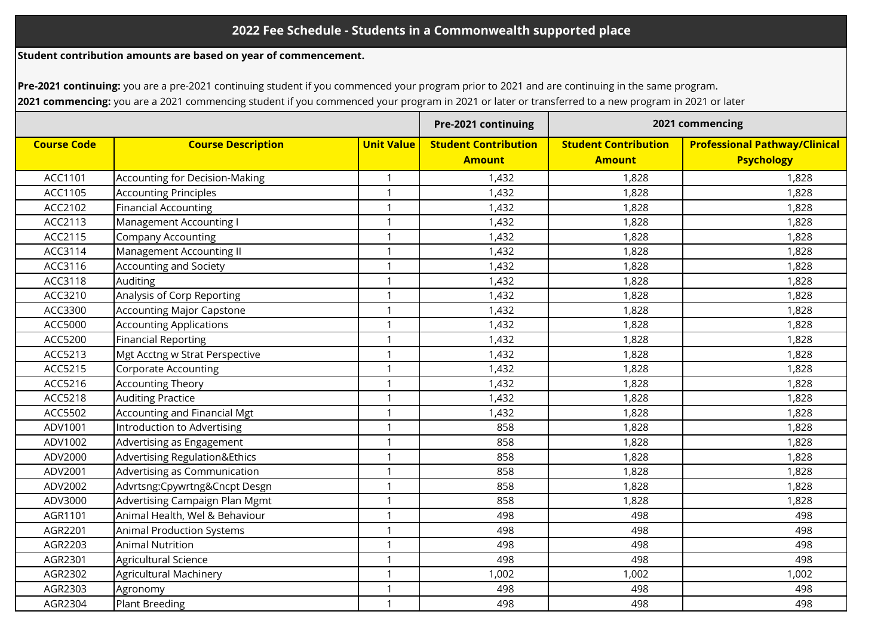**Student contribution amounts are based on year of commencement.**

**Pre-2021 continuing:** you are a pre-2021 continuing student if you commenced your program prior to 2021 and are continuing in the same program. **2021 commencing:** you are a 2021 commencing student if you commenced your program in 2021 or later or transferred to a new program in 2021 or later

|                    |                                       |                   | Pre-2021 continuing         | 2021 commencing             |                                      |
|--------------------|---------------------------------------|-------------------|-----------------------------|-----------------------------|--------------------------------------|
| <b>Course Code</b> | <b>Course Description</b>             | <b>Unit Value</b> | <b>Student Contribution</b> | <b>Student Contribution</b> | <b>Professional Pathway/Clinical</b> |
|                    |                                       |                   | <b>Amount</b>               | <b>Amount</b>               | <b>Psychology</b>                    |
| ACC1101            | <b>Accounting for Decision-Making</b> | $\mathbf 1$       | 1,432                       | 1,828                       | 1,828                                |
| ACC1105            | <b>Accounting Principles</b>          | $\mathbf{1}$      | 1,432                       | 1,828                       | 1,828                                |
| ACC2102            | <b>Financial Accounting</b>           | 1                 | 1,432                       | 1,828                       | 1,828                                |
| ACC2113            | Management Accounting I               | 1                 | 1,432                       | 1,828                       | 1,828                                |
| ACC2115            | <b>Company Accounting</b>             | $\mathbf{1}$      | 1,432                       | 1,828                       | 1,828                                |
| ACC3114            | Management Accounting II              | $\mathbf{1}$      | 1,432                       | 1,828                       | 1,828                                |
| ACC3116            | <b>Accounting and Society</b>         | $\mathbf 1$       | 1,432                       | 1,828                       | 1,828                                |
| ACC3118            | Auditing                              | $\mathbf{1}$      | 1,432                       | 1,828                       | 1,828                                |
| ACC3210            | Analysis of Corp Reporting            | $\mathbf{1}$      | 1,432                       | 1,828                       | 1,828                                |
| ACC3300            | <b>Accounting Major Capstone</b>      | $\mathbf{1}$      | 1,432                       | 1,828                       | 1,828                                |
| ACC5000            | <b>Accounting Applications</b>        | $\mathbf{1}$      | 1,432                       | 1,828                       | 1,828                                |
| ACC5200            | <b>Financial Reporting</b>            | $\mathbf{1}$      | 1,432                       | 1,828                       | 1,828                                |
| ACC5213            | Mgt Acctng w Strat Perspective        | $\mathbf{1}$      | 1,432                       | 1,828                       | 1,828                                |
| ACC5215            | <b>Corporate Accounting</b>           | $\mathbf 1$       | 1,432                       | 1,828                       | 1,828                                |
| ACC5216            | <b>Accounting Theory</b>              | $\mathbf{1}$      | 1,432                       | 1,828                       | 1,828                                |
| ACC5218            | <b>Auditing Practice</b>              | $\mathbf{1}$      | 1,432                       | 1,828                       | 1,828                                |
| ACC5502            | Accounting and Financial Mgt          | $\mathbf 1$       | 1,432                       | 1,828                       | 1,828                                |
| ADV1001            | Introduction to Advertising           | $\mathbf{1}$      | 858                         | 1,828                       | 1,828                                |
| ADV1002            | Advertising as Engagement             | $\mathbf{1}$      | 858                         | 1,828                       | 1,828                                |
| ADV2000            | Advertising Regulation&Ethics         | $\mathbf 1$       | 858                         | 1,828                       | 1,828                                |
| ADV2001            | Advertising as Communication          | $\mathbf{1}$      | 858                         | 1,828                       | 1,828                                |
| ADV2002            | Advrtsng:Cpywrtng&Cncpt Desgn         | $\mathbf 1$       | 858                         | 1,828                       | 1,828                                |
| ADV3000            | Advertising Campaign Plan Mgmt        | $\mathbf{1}$      | 858                         | 1,828                       | 1,828                                |
| AGR1101            | Animal Health, Wel & Behaviour        | $\mathbf{1}$      | 498                         | 498                         | 498                                  |
| AGR2201            | <b>Animal Production Systems</b>      | $\mathbf 1$       | 498                         | 498                         | 498                                  |
| AGR2203            | <b>Animal Nutrition</b>               | $\mathbf{1}$      | 498                         | 498                         | 498                                  |
| AGR2301            | Agricultural Science                  | $\mathbf 1$       | 498                         | 498                         | 498                                  |
| AGR2302            | Agricultural Machinery                | $\mathbf 1$       | 1,002                       | 1,002                       | 1,002                                |
| AGR2303            | Agronomy                              | $\mathbf{1}$      | 498                         | 498                         | 498                                  |
| AGR2304            | <b>Plant Breeding</b>                 | $\mathbf{1}$      | 498                         | 498                         | 498                                  |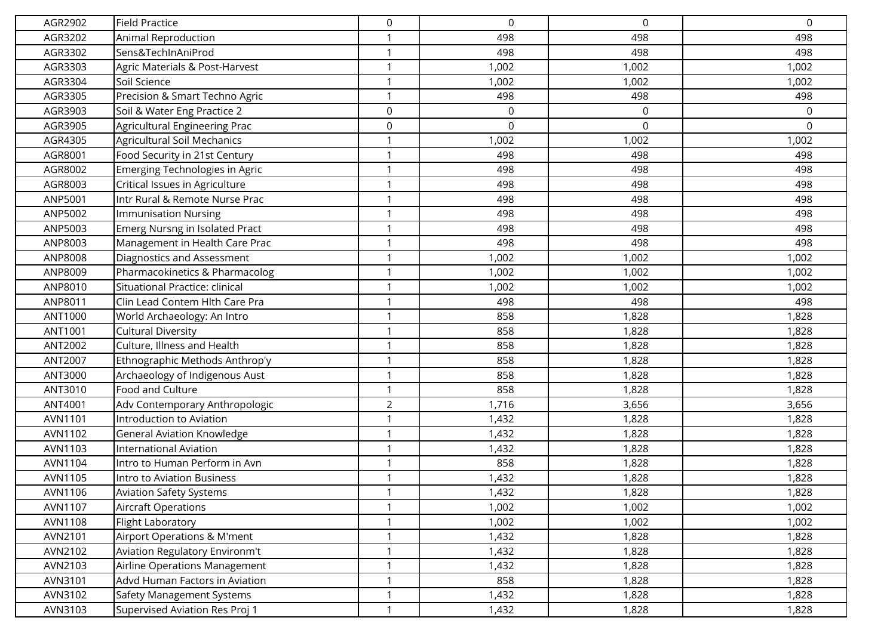| AGR2902 | <b>Field Practice</b>             | 0              | $\Omega$    | $\Omega$    | $\mathsf 0$ |
|---------|-----------------------------------|----------------|-------------|-------------|-------------|
| AGR3202 | Animal Reproduction               | $\mathbf{1}$   | 498         | 498         | 498         |
| AGR3302 | Sens&TechInAniProd                | -1             | 498         | 498         | 498         |
| AGR3303 | Agric Materials & Post-Harvest    | $\mathbf 1$    | 1,002       | 1,002       | 1,002       |
| AGR3304 | Soil Science                      | $\mathbf 1$    | 1,002       | 1,002       | 1,002       |
| AGR3305 | Precision & Smart Techno Agric    | -1             | 498         | 498         | 498         |
| AGR3903 | Soil & Water Eng Practice 2       | $\mathbf 0$    | 0           | $\mathbf 0$ | $\mathbf 0$ |
| AGR3905 | Agricultural Engineering Prac     | $\mathbf 0$    | $\mathbf 0$ | 0           | $\Omega$    |
| AGR4305 | Agricultural Soil Mechanics       | $\mathbf{1}$   | 1,002       | 1,002       | 1,002       |
| AGR8001 | Food Security in 21st Century     | $\mathbf 1$    | 498         | 498         | 498         |
| AGR8002 | Emerging Technologies in Agric    | $\mathbf 1$    | 498         | 498         | 498         |
| AGR8003 | Critical Issues in Agriculture    | $\mathbf{1}$   | 498         | 498         | 498         |
| ANP5001 | Intr Rural & Remote Nurse Prac    | $\mathbf 1$    | 498         | 498         | 498         |
| ANP5002 | <b>Immunisation Nursing</b>       | $\mathbf{1}$   | 498         | 498         | 498         |
| ANP5003 | Emerg Nursng in Isolated Pract    | $\mathbf 1$    | 498         | 498         | 498         |
| ANP8003 | Management in Health Care Prac    | -1             | 498         | 498         | 498         |
| ANP8008 | Diagnostics and Assessment        | $\mathbf{1}$   | 1,002       | 1,002       | 1,002       |
| ANP8009 | Pharmacokinetics & Pharmacolog    | $\mathbf 1$    | 1,002       | 1,002       | 1,002       |
| ANP8010 | Situational Practice: clinical    | $\mathbf{1}$   | 1,002       | 1,002       | 1,002       |
| ANP8011 | Clin Lead Contem Hlth Care Pra    | $\mathbf 1$    | 498         | 498         | 498         |
| ANT1000 | World Archaeology: An Intro       | -1             | 858         | 1,828       | 1,828       |
| ANT1001 | <b>Cultural Diversity</b>         | $\mathbf{1}$   | 858         | 1,828       | 1,828       |
| ANT2002 | Culture, Illness and Health       | $\mathbf 1$    | 858         | 1,828       | 1,828       |
| ANT2007 | Ethnographic Methods Anthrop'y    | $\mathbf{1}$   | 858         | 1,828       | 1,828       |
| ANT3000 | Archaeology of Indigenous Aust    | $\mathbf 1$    | 858         | 1,828       | 1,828       |
| ANT3010 | Food and Culture                  | $\mathbf 1$    | 858         | 1,828       | 1,828       |
| ANT4001 | Adv Contemporary Anthropologic    | $\overline{2}$ | 1,716       | 3,656       | 3,656       |
| AVN1101 | Introduction to Aviation          | -1             | 1,432       | 1,828       | 1,828       |
| AVN1102 | <b>General Aviation Knowledge</b> | $\mathbf{1}$   | 1,432       | 1,828       | 1,828       |
| AVN1103 | International Aviation            | $\mathbf 1$    | 1,432       | 1,828       | 1,828       |
| AVN1104 | Intro to Human Perform in Avn     | -1             | 858         | 1,828       | 1,828       |
| AVN1105 | Intro to Aviation Business        | $\mathbf 1$    | 1,432       | 1,828       | 1,828       |
| AVN1106 | <b>Aviation Safety Systems</b>    | $\mathbf{1}$   | 1,432       | 1,828       | 1,828       |
| AVN1107 | <b>Aircraft Operations</b>        | $\mathbf{1}$   | 1,002       | 1,002       | 1,002       |
| AVN1108 | Flight Laboratory                 | 1              | 1,002       | 1,002       | 1,002       |
| AVN2101 | Airport Operations & M'ment       | $\mathbf 1$    | 1,432       | 1,828       | 1,828       |
| AVN2102 | Aviation Regulatory Environm't    | $\mathbf 1$    | 1,432       | 1,828       | 1,828       |
| AVN2103 | Airline Operations Management     | $\mathbf{1}$   | 1,432       | 1,828       | 1,828       |
| AVN3101 | Advd Human Factors in Aviation    | $\mathbf{1}$   | 858         | 1,828       | 1,828       |
| AVN3102 | Safety Management Systems         | $\mathbf 1$    | 1,432       | 1,828       | 1,828       |
| AVN3103 | Supervised Aviation Res Proj 1    | -1             | 1,432       | 1,828       | 1,828       |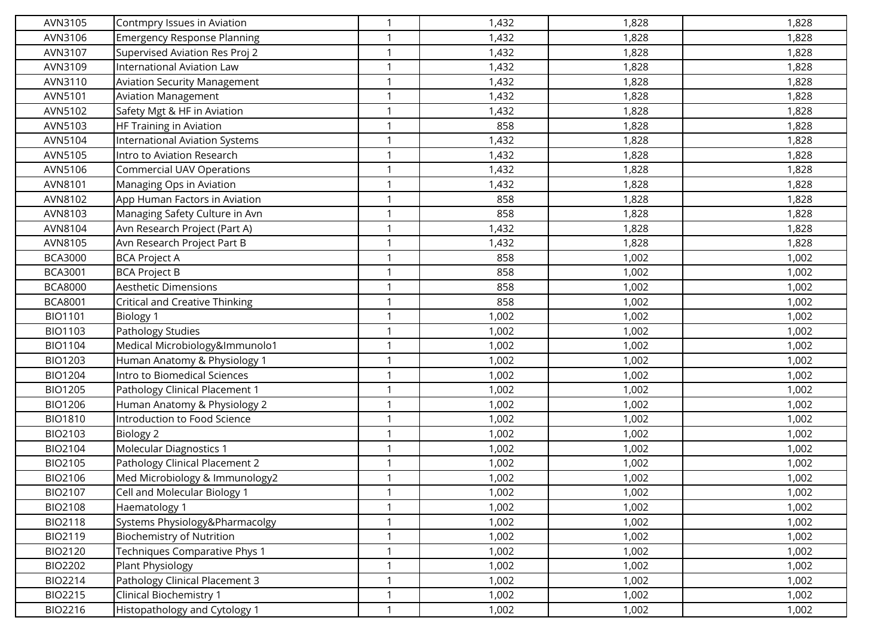| AVN3105        | Contmpry Issues in Aviation           | $\mathbf{1}$ | 1,432 | 1,828 | 1,828 |
|----------------|---------------------------------------|--------------|-------|-------|-------|
| AVN3106        | <b>Emergency Response Planning</b>    | $\mathbf 1$  | 1,432 | 1,828 | 1,828 |
| AVN3107        | Supervised Aviation Res Proj 2        |              | 1,432 | 1,828 | 1,828 |
| AVN3109        | <b>International Aviation Law</b>     | $\mathbf{1}$ | 1,432 | 1,828 | 1,828 |
| AVN3110        | <b>Aviation Security Management</b>   | $\mathbf 1$  | 1,432 | 1,828 | 1,828 |
| AVN5101        | <b>Aviation Management</b>            | $\mathbf{1}$ | 1,432 | 1,828 | 1,828 |
| AVN5102        | Safety Mgt & HF in Aviation           | $\mathbf{1}$ | 1,432 | 1,828 | 1,828 |
| AVN5103        | HF Training in Aviation               |              | 858   | 1,828 | 1,828 |
| AVN5104        | <b>International Aviation Systems</b> | $\mathbf{1}$ | 1,432 | 1,828 | 1,828 |
| AVN5105        | Intro to Aviation Research            | $\mathbf 1$  | 1,432 | 1,828 | 1,828 |
| AVN5106        | <b>Commercial UAV Operations</b>      | $\mathbf{1}$ | 1,432 | 1,828 | 1,828 |
| AVN8101        | Managing Ops in Aviation              | $\mathbf{1}$ | 1,432 | 1,828 | 1,828 |
| AVN8102        | App Human Factors in Aviation         | $\mathbf 1$  | 858   | 1,828 | 1,828 |
| AVN8103        | Managing Safety Culture in Avn        | $\mathbf{1}$ | 858   | 1,828 | 1,828 |
| AVN8104        | Avn Research Project (Part A)         | $\mathbf 1$  | 1,432 | 1,828 | 1,828 |
| AVN8105        | Avn Research Project Part B           | $\mathbf{1}$ | 1,432 | 1,828 | 1,828 |
| <b>BCA3000</b> | <b>BCA Project A</b>                  | $\mathbf{1}$ | 858   | 1,002 | 1,002 |
| <b>BCA3001</b> | <b>BCA Project B</b>                  |              | 858   | 1,002 | 1,002 |
| <b>BCA8000</b> | <b>Aesthetic Dimensions</b>           | $\mathbf{1}$ | 858   | 1,002 | 1,002 |
| <b>BCA8001</b> | <b>Critical and Creative Thinking</b> | $\mathbf 1$  | 858   | 1,002 | 1,002 |
| <b>BIO1101</b> | <b>Biology 1</b>                      | $\mathbf{1}$ | 1,002 | 1,002 | 1,002 |
| <b>BIO1103</b> | Pathology Studies                     | $\mathbf 1$  | 1,002 | 1,002 | 1,002 |
| <b>BIO1104</b> | Medical Microbiology&Immunolo1        | $\mathbf 1$  | 1,002 | 1,002 | 1,002 |
| <b>BIO1203</b> | Human Anatomy & Physiology 1          | $\mathbf 1$  | 1,002 | 1,002 | 1,002 |
| <b>BIO1204</b> | Intro to Biomedical Sciences          | $\mathbf 1$  | 1,002 | 1,002 | 1,002 |
| <b>BIO1205</b> | Pathology Clinical Placement 1        | $\mathbf{1}$ | 1,002 | 1,002 | 1,002 |
| <b>BIO1206</b> | Human Anatomy & Physiology 2          | $\mathbf{1}$ | 1,002 | 1,002 | 1,002 |
| <b>BIO1810</b> | Introduction to Food Science          |              | 1,002 | 1,002 | 1,002 |
| BIO2103        | <b>Biology 2</b>                      | $\mathbf{1}$ | 1,002 | 1,002 | 1,002 |
| BIO2104        | Molecular Diagnostics 1               | $\mathbf 1$  | 1,002 | 1,002 | 1,002 |
| BIO2105        | Pathology Clinical Placement 2        | $\mathbf{1}$ | 1,002 | 1,002 | 1,002 |
| BIO2106        | Med Microbiology & Immunology2        | $\mathbf{1}$ | 1,002 | 1,002 | 1,002 |
| BIO2107        | Cell and Molecular Biology 1          | $\mathbf{1}$ | 1,002 | 1,002 | 1,002 |
| <b>BIO2108</b> | Haematology 1                         | $\mathbf{1}$ | 1,002 | 1,002 | 1,002 |
| <b>BIO2118</b> | Systems Physiology&Pharmacolgy        | $\mathbf 1$  | 1,002 | 1,002 | 1,002 |
| BIO2119        | <b>Biochemistry of Nutrition</b>      | $\mathbf{1}$ | 1,002 | 1,002 | 1,002 |
| BIO2120        | Techniques Comparative Phys 1         | $\mathbf{1}$ | 1,002 | 1,002 | 1,002 |
| <b>BIO2202</b> | Plant Physiology                      |              | 1,002 | 1,002 | 1,002 |
| BIO2214        | Pathology Clinical Placement 3        | $\mathbf{1}$ | 1,002 | 1,002 | 1,002 |
| <b>BIO2215</b> | Clinical Biochemistry 1               | $\mathbf 1$  | 1,002 | 1,002 | 1,002 |
| <b>BIO2216</b> | Histopathology and Cytology 1         | $\mathbf{1}$ | 1,002 | 1,002 | 1,002 |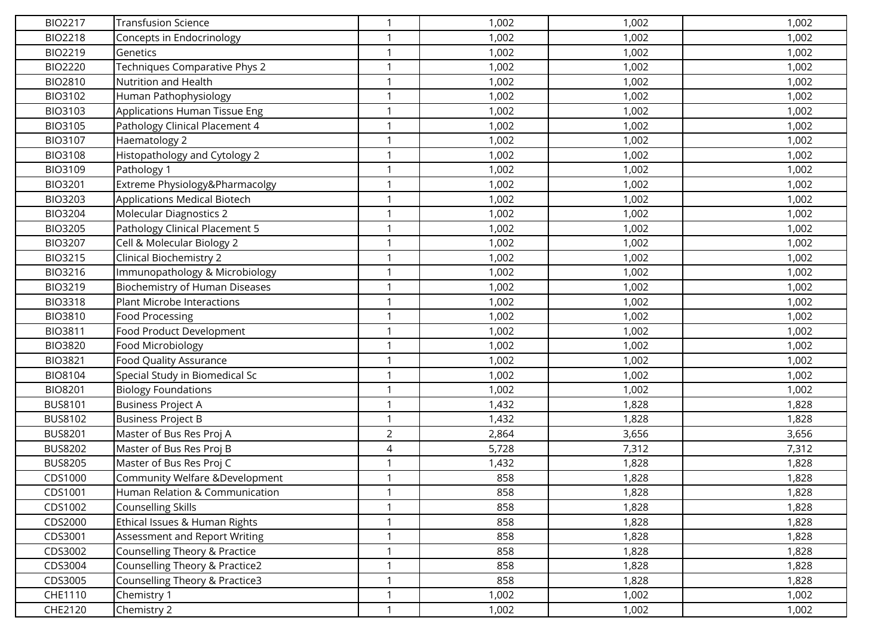| <b>BIO2217</b> | <b>Transfusion Science</b>            | $\mathbf{1}$   | 1,002 | 1,002 | 1,002 |
|----------------|---------------------------------------|----------------|-------|-------|-------|
| <b>BIO2218</b> | Concepts in Endocrinology             | $\mathbf 1$    | 1,002 | 1,002 | 1,002 |
| BIO2219        | Genetics                              | -1             | 1,002 | 1,002 | 1,002 |
| <b>BIO2220</b> | Techniques Comparative Phys 2         | $\mathbf{1}$   | 1,002 | 1,002 | 1,002 |
| <b>BIO2810</b> | Nutrition and Health                  | $\mathbf 1$    | 1,002 | 1,002 | 1,002 |
| BIO3102        | Human Pathophysiology                 | $\mathbf{1}$   | 1,002 | 1,002 | 1,002 |
| BIO3103        | Applications Human Tissue Eng         | $\mathbf{1}$   | 1,002 | 1,002 | 1,002 |
| BIO3105        | Pathology Clinical Placement 4        | -1             | 1,002 | 1,002 | 1,002 |
| BIO3107        | Haematology 2                         | 1              | 1,002 | 1,002 | 1,002 |
| <b>BIO3108</b> | Histopathology and Cytology 2         | $\mathbf 1$    | 1,002 | 1,002 | 1,002 |
| BIO3109        | Pathology 1                           | $\mathbf{1}$   | 1,002 | 1,002 | 1,002 |
| <b>BIO3201</b> | Extreme Physiology&Pharmacolgy        | $\mathbf{1}$   | 1,002 | 1,002 | 1,002 |
| BIO3203        | Applications Medical Biotech          | $\mathbf 1$    | 1,002 | 1,002 | 1,002 |
| <b>BIO3204</b> | <b>Molecular Diagnostics 2</b>        | $\mathbf{1}$   | 1,002 | 1,002 | 1,002 |
| <b>BIO3205</b> | Pathology Clinical Placement 5        | -1             | 1,002 | 1,002 | 1,002 |
| BIO3207        | Cell & Molecular Biology 2            | $\mathbf{1}$   | 1,002 | 1,002 | 1,002 |
| <b>BIO3215</b> | Clinical Biochemistry 2               | $\mathbf{1}$   | 1,002 | 1,002 | 1,002 |
| BIO3216        | Immunopathology & Microbiology        | $\mathbf 1$    | 1,002 | 1,002 | 1,002 |
| <b>BIO3219</b> | <b>Biochemistry of Human Diseases</b> | 1              | 1,002 | 1,002 | 1,002 |
| <b>BIO3318</b> | Plant Microbe Interactions            | $\mathbf 1$    | 1,002 | 1,002 | 1,002 |
| <b>BIO3810</b> | <b>Food Processing</b>                | $\mathbf 1$    | 1,002 | 1,002 | 1,002 |
| <b>BIO3811</b> | Food Product Development              | $\mathbf 1$    | 1,002 | 1,002 | 1,002 |
| <b>BIO3820</b> | Food Microbiology                     | -1             | 1,002 | 1,002 | 1,002 |
| <b>BIO3821</b> | <b>Food Quality Assurance</b>         | $\mathbf{1}$   | 1,002 | 1,002 | 1,002 |
| BIO8104        | Special Study in Biomedical Sc        | $\mathbf 1$    | 1,002 | 1,002 | 1,002 |
| <b>BIO8201</b> | <b>Biology Foundations</b>            | $\mathbf{1}$   | 1,002 | 1,002 | 1,002 |
| <b>BUS8101</b> | <b>Business Project A</b>             | $\mathbf 1$    | 1,432 | 1,828 | 1,828 |
| BUS8102        | <b>Business Project B</b>             |                | 1,432 | 1,828 | 1,828 |
| <b>BUS8201</b> | Master of Bus Res Proj A              | $\overline{2}$ | 2,864 | 3,656 | 3,656 |
| <b>BUS8202</b> | Master of Bus Res Proj B              | 4              | 5,728 | 7,312 | 7,312 |
| <b>BUS8205</b> | Master of Bus Res Proj C              | $\mathbf{1}$   | 1,432 | 1,828 | 1,828 |
| CDS1000        | Community Welfare &Development        | $\mathbf 1$    | 858   | 1,828 | 1,828 |
| CDS1001        | Human Relation & Communication        | $\mathbf{1}$   | 858   | 1,828 | 1,828 |
| CDS1002        | Counselling Skills                    | $\mathbf{1}$   | 858   | 1,828 | 1,828 |
| CDS2000        | Ethical Issues & Human Rights         | -1             | 858   | 1,828 | 1,828 |
| CDS3001        | Assessment and Report Writing         | $\mathbf{1}$   | 858   | 1,828 | 1,828 |
| CDS3002        | Counselling Theory & Practice         | $\mathbf{1}$   | 858   | 1,828 | 1,828 |
| CDS3004        | Counselling Theory & Practice2        | $\mathbf{1}$   | 858   | 1,828 | 1,828 |
| CDS3005        | Counselling Theory & Practice3        | $\mathbf{1}$   | 858   | 1,828 | 1,828 |
| CHE1110        | Chemistry 1                           | $\mathbf 1$    | 1,002 | 1,002 | 1,002 |
| CHE2120        | Chemistry 2                           | $\mathbf{1}$   | 1,002 | 1,002 | 1,002 |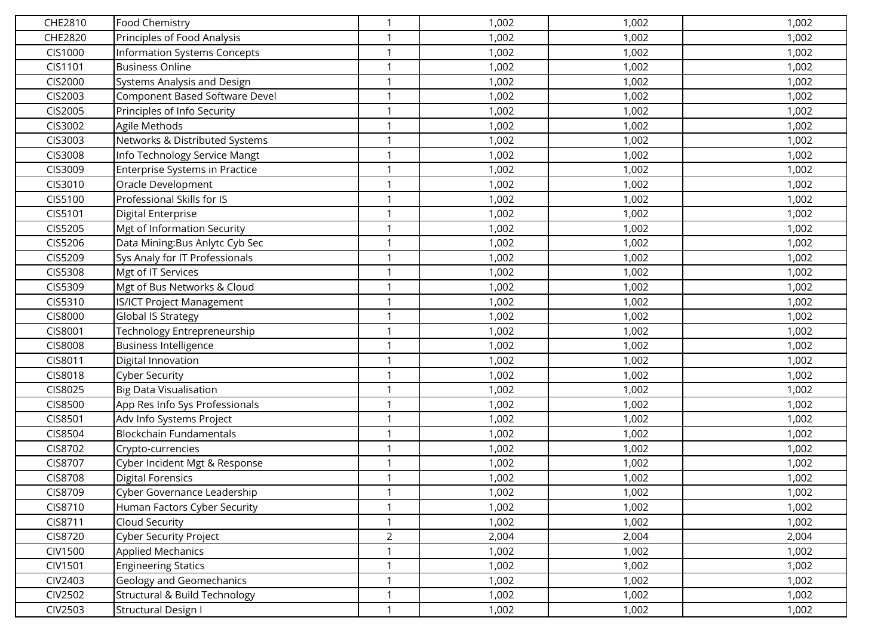| CHE2810        | Food Chemistry                      | 1              | 1,002 | 1,002 | 1,002 |
|----------------|-------------------------------------|----------------|-------|-------|-------|
| CHE2820        | Principles of Food Analysis         | 1              | 1,002 | 1,002 | 1,002 |
| CIS1000        | <b>Information Systems Concepts</b> | 1              | 1,002 | 1,002 | 1,002 |
| CIS1101        | <b>Business Online</b>              | 1              | 1,002 | 1,002 | 1,002 |
| <b>CIS2000</b> | Systems Analysis and Design         | 1              | 1,002 | 1,002 | 1,002 |
| CIS2003        | Component Based Software Devel      | 1              | 1,002 | 1,002 | 1,002 |
| CIS2005        | Principles of Info Security         | $\mathbf{1}$   | 1,002 | 1,002 | 1,002 |
| CIS3002        | Agile Methods                       | 1              | 1,002 | 1,002 | 1,002 |
| CIS3003        | Networks & Distributed Systems      | $\mathbf{1}$   | 1,002 | 1,002 | 1,002 |
| <b>CIS3008</b> | Info Technology Service Mangt       | 1              | 1,002 | 1,002 | 1,002 |
| CIS3009        | Enterprise Systems in Practice      | 1              | 1,002 | 1,002 | 1,002 |
| CIS3010        | Oracle Development                  | $\mathbf{1}$   | 1,002 | 1,002 | 1,002 |
| CIS5100        | Professional Skills for IS          | 1              | 1,002 | 1,002 | 1,002 |
| CIS5101        | Digital Enterprise                  | 1              | 1,002 | 1,002 | 1,002 |
| CIS5205        | Mgt of Information Security         | 1              | 1,002 | 1,002 | 1,002 |
| CIS5206        | Data Mining: Bus Anlytc Cyb Sec     | -1             | 1,002 | 1,002 | 1,002 |
| CIS5209        | Sys Analy for IT Professionals      | $\mathbf{1}$   | 1,002 | 1,002 | 1,002 |
| <b>CIS5308</b> | Mgt of IT Services                  | 1              | 1,002 | 1,002 | 1,002 |
| CIS5309        | Mgt of Bus Networks & Cloud         | 1              | 1,002 | 1,002 | 1,002 |
| CIS5310        | <b>IS/ICT Project Management</b>    | $\mathbf{1}$   | 1,002 | 1,002 | 1,002 |
| <b>CIS8000</b> | Global IS Strategy                  | $\mathbf 1$    | 1,002 | 1,002 | 1,002 |
| CIS8001        | Technology Entrepreneurship         | 1              | 1,002 | 1,002 | 1,002 |
| <b>CIS8008</b> | <b>Business Intelligence</b>        | 1              | 1,002 | 1,002 | 1,002 |
| CIS8011        | Digital Innovation                  | 1              | 1,002 | 1,002 | 1,002 |
| CIS8018        | <b>Cyber Security</b>               | 1              | 1,002 | 1,002 | 1,002 |
| CIS8025        | <b>Big Data Visualisation</b>       | 1              | 1,002 | 1,002 | 1,002 |
| CIS8500        | App Res Info Sys Professionals      | $\mathbf{1}$   | 1,002 | 1,002 | 1,002 |
| CIS8501        | Adv Info Systems Project            | 1              | 1,002 | 1,002 | 1,002 |
| CIS8504        | <b>Blockchain Fundamentals</b>      | $\mathbf{1}$   | 1,002 | 1,002 | 1,002 |
| CIS8702        | Crypto-currencies                   | $\mathbf{1}$   | 1,002 | 1,002 | 1,002 |
| CIS8707        | Cyber Incident Mgt & Response       | $\mathbf 1$    | 1,002 | 1,002 | 1,002 |
| <b>CIS8708</b> | <b>Digital Forensics</b>            | 1              | 1,002 | 1,002 | 1,002 |
| CIS8709        | Cyber Governance Leadership         | 1              | 1,002 | 1,002 | 1,002 |
| CIS8710        | Human Factors Cyber Security        | $\mathbf{1}$   | 1,002 | 1,002 | 1,002 |
| CIS8711        | Cloud Security                      | $\mathbf{1}$   | 1,002 | 1,002 | 1,002 |
| CIS8720        | <b>Cyber Security Project</b>       | $\overline{2}$ | 2,004 | 2,004 | 2,004 |
| <b>CIV1500</b> | <b>Applied Mechanics</b>            | 1              | 1,002 | 1,002 | 1,002 |
| CIV1501        | <b>Engineering Statics</b>          | 1              | 1,002 | 1,002 | 1,002 |
| CIV2403        | <b>Geology and Geomechanics</b>     | $\mathbf{1}$   | 1,002 | 1,002 | 1,002 |
| <b>CIV2502</b> | Structural & Build Technology       | $\mathbf{1}$   | 1,002 | 1,002 | 1,002 |
| CIV2503        | Structural Design I                 | 1              | 1,002 | 1,002 | 1,002 |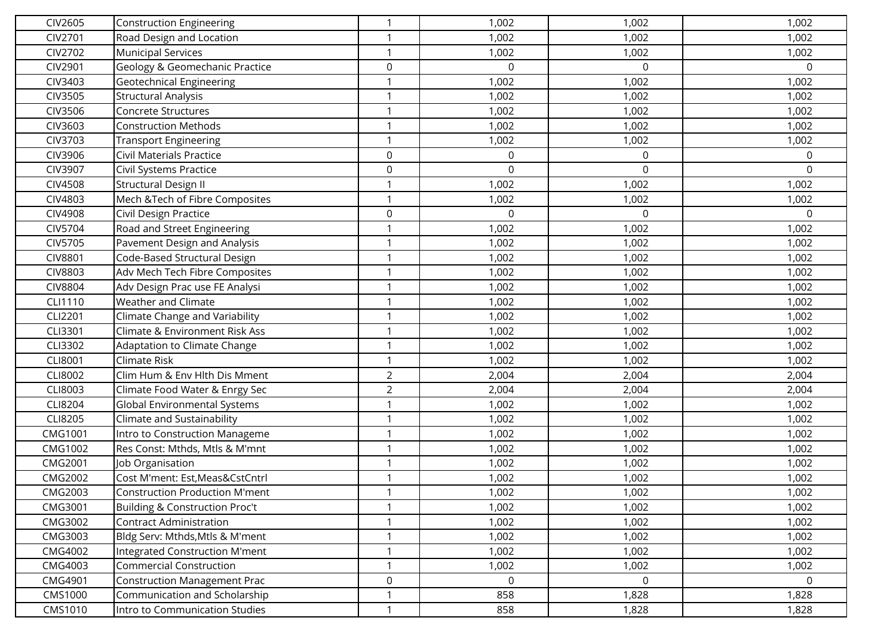| <b>CIV2605</b> | <b>Construction Engineering</b>           | $\mathbf 1$      | 1,002       | 1,002    | 1,002        |
|----------------|-------------------------------------------|------------------|-------------|----------|--------------|
| CIV2701        | Road Design and Location                  | $\mathbf 1$      | 1,002       | 1,002    | 1,002        |
| CIV2702        | <b>Municipal Services</b>                 | -1               | 1,002       | 1,002    | 1,002        |
| CIV2901        | Geology & Geomechanic Practice            | $\mathsf 0$      | $\mathsf 0$ | 0        | 0            |
| CIV3403        | <b>Geotechnical Engineering</b>           | $\mathbf 1$      | 1,002       | 1,002    | 1,002        |
| CIV3505        | <b>Structural Analysis</b>                | $\mathbf{1}$     | 1,002       | 1,002    | 1,002        |
| CIV3506        | Concrete Structures                       | $\mathbf{1}$     | 1,002       | 1,002    | 1,002        |
| CIV3603        | <b>Construction Methods</b>               |                  | 1,002       | 1,002    | 1,002        |
| CIV3703        | <b>Transport Engineering</b>              | $\mathbf{1}$     | 1,002       | 1,002    | 1,002        |
| CIV3906        | <b>Civil Materials Practice</b>           | $\mathbf 0$      | 0           | 0        | 0            |
| <b>CIV3907</b> | Civil Systems Practice                    | $\boldsymbol{0}$ | $\mathsf 0$ | 0        | 0            |
| <b>CIV4508</b> | <b>Structural Design II</b>               | $\mathbf 1$      | 1,002       | 1,002    | 1,002        |
| <b>CIV4803</b> | Mech & Tech of Fibre Composites           | $\mathbf 1$      | 1,002       | 1,002    | 1,002        |
| <b>CIV4908</b> | Civil Design Practice                     | $\mathsf 0$      | 0           | $\Omega$ | 0            |
| <b>CIV5704</b> | Road and Street Engineering               | $\mathbf 1$      | 1,002       | 1,002    | 1,002        |
| CIV5705        | Pavement Design and Analysis              | $\mathbf 1$      | 1,002       | 1,002    | 1,002        |
| <b>CIV8801</b> | Code-Based Structural Design              | $\mathbf 1$      | 1,002       | 1,002    | 1,002        |
| <b>CIV8803</b> | Adv Mech Tech Fibre Composites            | $\mathbf 1$      | 1,002       | 1,002    | 1,002        |
| <b>CIV8804</b> | Adv Design Prac use FE Analysi            | $\mathbf 1$      | 1,002       | 1,002    | 1,002        |
| CLI1110        | Weather and Climate                       | $\mathbf{1}$     | 1,002       | 1,002    | 1,002        |
| <b>CLI2201</b> | Climate Change and Variability            |                  | 1,002       | 1,002    | 1,002        |
| CLI3301        | <b>Climate &amp; Environment Risk Ass</b> | $\mathbf 1$      | 1,002       | 1,002    | 1,002        |
| CLI3302        | Adaptation to Climate Change              | $\mathbf 1$      | 1,002       | 1,002    | 1,002        |
| <b>CLI8001</b> | Climate Risk                              | $\mathbf 1$      | 1,002       | 1,002    | 1,002        |
| <b>CLI8002</b> | Clim Hum & Env Hlth Dis Mment             | $\overline{2}$   | 2,004       | 2,004    | 2,004        |
| CLI8003        | Climate Food Water & Enrgy Sec            | $\overline{2}$   | 2,004       | 2,004    | 2,004        |
| CLI8204        | Global Environmental Systems              | $\mathbf{1}$     | 1,002       | 1,002    | 1,002        |
| <b>CLI8205</b> | Climate and Sustainability                | $\mathbf 1$      | 1,002       | 1,002    | 1,002        |
| CMG1001        | Intro to Construction Manageme            | $\mathbf 1$      | 1,002       | 1,002    | 1,002        |
| CMG1002        | Res Const: Mthds, Mtls & M'mnt            | $\mathbf 1$      | 1,002       | 1,002    | 1,002        |
| CMG2001        | Job Organisation                          |                  | 1,002       | 1,002    | 1,002        |
| CMG2002        | Cost M'ment: Est, Meas&CstCntrl           | $\mathbf{1}$     | 1,002       | 1,002    | 1,002        |
| CMG2003        | <b>Construction Production M'ment</b>     | $\mathbf{1}$     | 1,002       | 1,002    | 1,002        |
| CMG3001        | <b>Building &amp; Construction Proc't</b> | $\mathbf{1}$     | 1,002       | 1,002    | 1,002        |
| CMG3002        | <b>Contract Administration</b>            | $\mathbf{1}$     | 1,002       | 1,002    | 1,002        |
| CMG3003        | Bldg Serv: Mthds, Mtls & M'ment           | $\mathbf 1$      | 1,002       | 1,002    | 1,002        |
| CMG4002        | <b>Integrated Construction M'ment</b>     | $\mathbf 1$      | 1,002       | 1,002    | 1,002        |
| CMG4003        | <b>Commercial Construction</b>            | $\mathbf 1$      | 1,002       | 1,002    | 1,002        |
| CMG4901        | <b>Construction Management Prac</b>       | $\mathsf 0$      | $\mathbf 0$ | $\Omega$ | $\mathsf{O}$ |
| <b>CMS1000</b> | Communication and Scholarship             | $\mathbf 1$      | 858         | 1,828    | 1,828        |
| CMS1010        | Intro to Communication Studies            | $\mathbf{1}$     | 858         | 1,828    | 1,828        |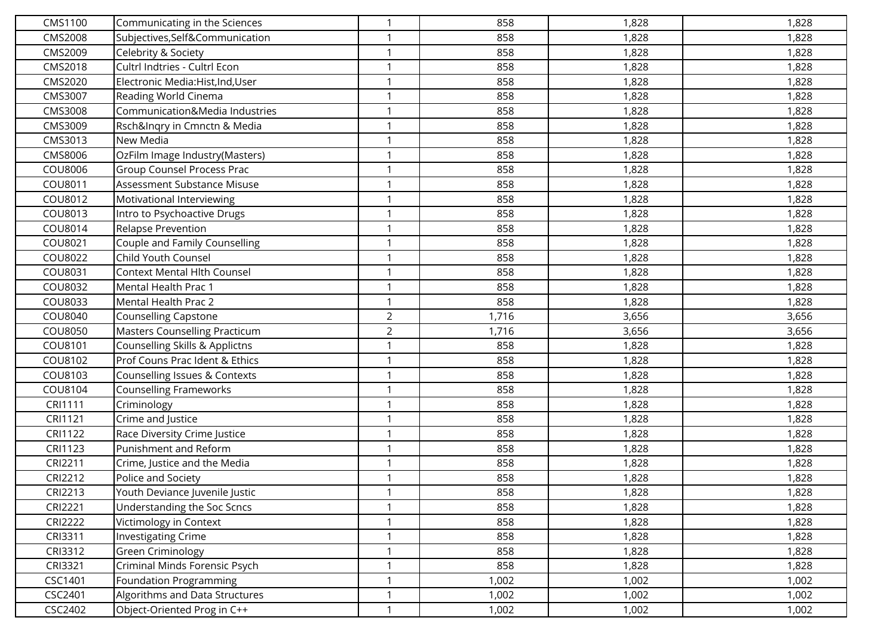| CMS1100        | Communicating in the Sciences             | $\mathbf 1$    | 858   | 1,828 | 1,828 |
|----------------|-------------------------------------------|----------------|-------|-------|-------|
| <b>CMS2008</b> | Subjectives, Self&Communication           | $\mathbf 1$    | 858   | 1,828 | 1,828 |
| CMS2009        | Celebrity & Society                       | $\mathbf 1$    | 858   | 1,828 | 1,828 |
| CMS2018        | Cultrl Indtries - Cultrl Econ             | $\mathbf 1$    | 858   | 1,828 | 1,828 |
| CMS2020        | Electronic Media:Hist,Ind,User            | $\mathbf 1$    | 858   | 1,828 | 1,828 |
| CMS3007        | Reading World Cinema                      | $\mathbf{1}$   | 858   | 1,828 | 1,828 |
| CMS3008        | Communication&Media Industries            | $\mathbf{1}$   | 858   | 1,828 | 1,828 |
| CMS3009        | Rsch&Inqry in Cmnctn & Media              | -1             | 858   | 1,828 | 1,828 |
| CMS3013        | New Media                                 | $\mathbf{1}$   | 858   | 1,828 | 1,828 |
| CMS8006        | OzFilm Image Industry(Masters)            | $\mathbf{1}$   | 858   | 1,828 | 1,828 |
| COU8006        | Group Counsel Process Prac                | $\mathbf 1$    | 858   | 1,828 | 1,828 |
| COU8011        | Assessment Substance Misuse               | $\mathbf{1}$   | 858   | 1,828 | 1,828 |
| COU8012        | Motivational Interviewing                 | $\mathbf 1$    | 858   | 1,828 | 1,828 |
| COU8013        | Intro to Psychoactive Drugs               | $\mathbf 1$    | 858   | 1,828 | 1,828 |
| COU8014        | <b>Relapse Prevention</b>                 | $\mathbf 1$    | 858   | 1,828 | 1,828 |
| COU8021        | Couple and Family Counselling             | $\mathbf 1$    | 858   | 1,828 | 1,828 |
| COU8022        | Child Youth Counsel                       | $\mathbf 1$    | 858   | 1,828 | 1,828 |
| COU8031        | <b>Context Mental Hlth Counsel</b>        | $\mathbf 1$    | 858   | 1,828 | 1,828 |
| COU8032        | Mental Health Prac 1                      | $\mathbf 1$    | 858   | 1,828 | 1,828 |
| COU8033        | Mental Health Prac 2                      | $\mathbf{1}$   | 858   | 1,828 | 1,828 |
| COU8040        | Counselling Capstone                      | $\overline{2}$ | 1,716 | 3,656 | 3,656 |
| COU8050        | Masters Counselling Practicum             | $\overline{2}$ | 1,716 | 3,656 | 3,656 |
| COU8101        | <b>Counselling Skills &amp; Applictns</b> | $\mathbf 1$    | 858   | 1,828 | 1,828 |
| COU8102        | Prof Couns Prac Ident & Ethics            | $\mathbf 1$    | 858   | 1,828 | 1,828 |
| COU8103        | Counselling Issues & Contexts             | $\mathbf{1}$   | 858   | 1,828 | 1,828 |
| COU8104        | <b>Counselling Frameworks</b>             | $\mathbf 1$    | 858   | 1,828 | 1,828 |
| CRI1111        | Criminology                               | $\mathbf{1}$   | 858   | 1,828 | 1,828 |
| CRI1121        | Crime and Justice                         | $\mathbf 1$    | 858   | 1,828 | 1,828 |
| CRI1122        | Race Diversity Crime Justice              | $\mathbf{1}$   | 858   | 1,828 | 1,828 |
| CRI1123        | Punishment and Reform                     | $\mathbf{1}$   | 858   | 1,828 | 1,828 |
| CRI2211        | Crime, Justice and the Media              |                | 858   | 1,828 | 1,828 |
| CRI2212        | Police and Society                        | 1              | 858   | 1,828 | 1,828 |
| CRI2213        | Youth Deviance Juvenile Justic            | $\mathbf{1}$   | 858   | 1,828 | 1,828 |
| <b>CRI2221</b> | Understanding the Soc Scncs               | $\mathbf{1}$   | 858   | 1,828 | 1,828 |
| <b>CRI2222</b> | Victimology in Context                    | $\mathbf{1}$   | 858   | 1,828 | 1,828 |
| CRI3311        | <b>Investigating Crime</b>                | $\mathbf 1$    | 858   | 1,828 | 1,828 |
| CRI3312        | Green Criminology                         | $\mathbf{1}$   | 858   | 1,828 | 1,828 |
| CRI3321        | Criminal Minds Forensic Psych             | $\mathbf 1$    | 858   | 1,828 | 1,828 |
| CSC1401        | Foundation Programming                    | $\mathbf{1}$   | 1,002 | 1,002 | 1,002 |
| CSC2401        | Algorithms and Data Structures            | $\mathbf{1}$   | 1,002 | 1,002 | 1,002 |
| CSC2402        | Object-Oriented Prog in C++               | $\mathbf 1$    | 1,002 | 1,002 | 1,002 |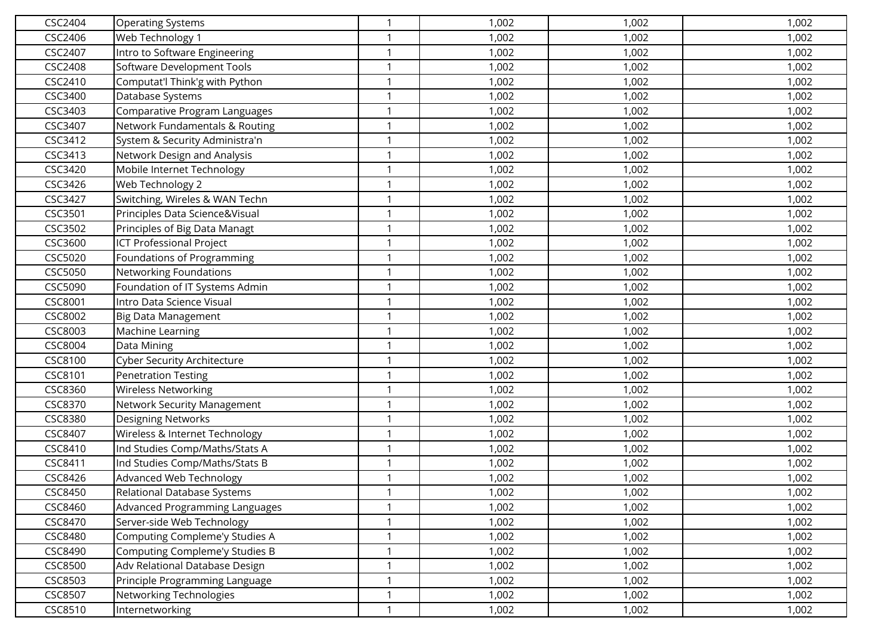| CSC2404        | <b>Operating Systems</b>        | 1            | 1,002 | 1,002 | 1,002 |
|----------------|---------------------------------|--------------|-------|-------|-------|
| CSC2406        | Web Technology 1                | 1            | 1,002 | 1,002 | 1,002 |
| CSC2407        | Intro to Software Engineering   | 1            | 1,002 | 1,002 | 1,002 |
| <b>CSC2408</b> | Software Development Tools      | 1            | 1,002 | 1,002 | 1,002 |
| CSC2410        | Computat'l Think'g with Python  | 1            | 1,002 | 1,002 | 1,002 |
| CSC3400        | Database Systems                | 1            | 1,002 | 1,002 | 1,002 |
| CSC3403        | Comparative Program Languages   | $\mathbf{1}$ | 1,002 | 1,002 | 1,002 |
| CSC3407        | Network Fundamentals & Routing  | 1            | 1,002 | 1,002 | 1,002 |
| CSC3412        | System & Security Administra'n  | $\mathbf{1}$ | 1,002 | 1,002 | 1,002 |
| CSC3413        | Network Design and Analysis     | 1            | 1,002 | 1,002 | 1,002 |
| CSC3420        | Mobile Internet Technology      | 1            | 1,002 | 1,002 | 1,002 |
| CSC3426        | Web Technology 2                | $\mathbf{1}$ | 1,002 | 1,002 | 1,002 |
| CSC3427        | Switching, Wireles & WAN Techn  | 1            | 1,002 | 1,002 | 1,002 |
| CSC3501        | Principles Data Science&Visual  | 1            | 1,002 | 1,002 | 1,002 |
| CSC3502        | Principles of Big Data Managt   | 1            | 1,002 | 1,002 | 1,002 |
| CSC3600        | <b>ICT Professional Project</b> | -1           | 1,002 | 1,002 | 1,002 |
| CSC5020        | Foundations of Programming      | $\mathbf{1}$ | 1,002 | 1,002 | 1,002 |
| CSC5050        | Networking Foundations          | 1            | 1,002 | 1,002 | 1,002 |
| CSC5090        | Foundation of IT Systems Admin  | $\mathbf{1}$ | 1,002 | 1,002 | 1,002 |
| CSC8001        | Intro Data Science Visual       | $\mathbf{1}$ | 1,002 | 1,002 | 1,002 |
| CSC8002        | Big Data Management             | $\mathbf 1$  | 1,002 | 1,002 | 1,002 |
| CSC8003        | Machine Learning                | 1            | 1,002 | 1,002 | 1,002 |
| CSC8004        | Data Mining                     | 1            | 1,002 | 1,002 | 1,002 |
| CSC8100        | Cyber Security Architecture     | 1            | 1,002 | 1,002 | 1,002 |
| CSC8101        | <b>Penetration Testing</b>      | 1            | 1,002 | 1,002 | 1,002 |
| CSC8360        | <b>Wireless Networking</b>      | $\mathbf 1$  | 1,002 | 1,002 | 1,002 |
| CSC8370        | Network Security Management     | $\mathbf{1}$ | 1,002 | 1,002 | 1,002 |
| CSC8380        | <b>Designing Networks</b>       | 1            | 1,002 | 1,002 | 1,002 |
| CSC8407        | Wireless & Internet Technology  | $\mathbf{1}$ | 1,002 | 1,002 | 1,002 |
| CSC8410        | Ind Studies Comp/Maths/Stats A  | $\mathbf{1}$ | 1,002 | 1,002 | 1,002 |
| CSC8411        | Ind Studies Comp/Maths/Stats B  | $\mathbf 1$  | 1,002 | 1,002 | 1,002 |
| CSC8426        | Advanced Web Technology         | 1            | 1,002 | 1,002 | 1,002 |
| CSC8450        | Relational Database Systems     | 1            | 1,002 | 1,002 | 1,002 |
| CSC8460        | Advanced Programming Languages  | $\mathbf{1}$ | 1,002 | 1,002 | 1,002 |
| CSC8470        | Server-side Web Technology      | 1            | 1,002 | 1,002 | 1,002 |
| <b>CSC8480</b> | Computing Compleme'y Studies A  | $\mathbf 1$  | 1,002 | 1,002 | 1,002 |
| CSC8490        | Computing Compleme'y Studies B  | 1            | 1,002 | 1,002 | 1,002 |
| <b>CSC8500</b> | Adv Relational Database Design  | 1            | 1,002 | 1,002 | 1,002 |
| CSC8503        | Principle Programming Language  | $\mathbf{1}$ | 1,002 | 1,002 | 1,002 |
| CSC8507        | Networking Technologies         | $\mathbf{1}$ | 1,002 | 1,002 | 1,002 |
| CSC8510        | Internetworking                 | 1            | 1,002 | 1,002 | 1,002 |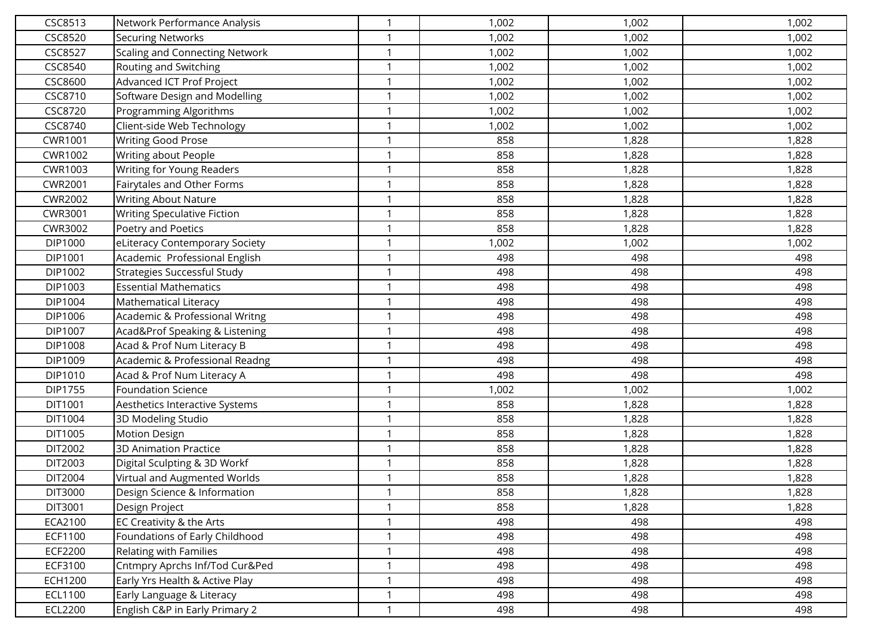| CSC8513        | Network Performance Analysis          | $\mathbf{1}$ | 1,002 | 1,002 | 1,002 |
|----------------|---------------------------------------|--------------|-------|-------|-------|
| CSC8520        | <b>Securing Networks</b>              |              | 1,002 | 1,002 | 1,002 |
| <b>CSC8527</b> | <b>Scaling and Connecting Network</b> | $\mathbf 1$  | 1,002 | 1,002 | 1,002 |
| CSC8540        | Routing and Switching                 | $\mathbf 1$  | 1,002 | 1,002 | 1,002 |
| CSC8600        | Advanced ICT Prof Project             | $\mathbf{1}$ | 1,002 | 1,002 | 1,002 |
| CSC8710        | Software Design and Modelling         | $\mathbf 1$  | 1,002 | 1,002 | 1,002 |
| CSC8720        | Programming Algorithms                | $\mathbf 1$  | 1,002 | 1,002 | 1,002 |
| CSC8740        | Client-side Web Technology            | -1           | 1,002 | 1,002 | 1,002 |
| CWR1001        | <b>Writing Good Prose</b>             | $\mathbf 1$  | 858   | 1,828 | 1,828 |
| CWR1002        | Writing about People                  | $\mathbf{1}$ | 858   | 1,828 | 1,828 |
| CWR1003        | Writing for Young Readers             | $\mathbf 1$  | 858   | 1,828 | 1,828 |
| <b>CWR2001</b> | Fairytales and Other Forms            | $\mathbf{1}$ | 858   | 1,828 | 1,828 |
| <b>CWR2002</b> | <b>Writing About Nature</b>           | $\mathbf 1$  | 858   | 1,828 | 1,828 |
| CWR3001        | Writing Speculative Fiction           | $\mathbf 1$  | 858   | 1,828 | 1,828 |
| CWR3002        | Poetry and Poetics                    | $\mathbf{1}$ | 858   | 1,828 | 1,828 |
| DIP1000        | eLiteracy Contemporary Society        | $\mathbf 1$  | 1,002 | 1,002 | 1,002 |
| DIP1001        | Academic Professional English         | $\mathbf{1}$ | 498   | 498   | 498   |
| DIP1002        | Strategies Successful Study           | $\mathbf 1$  | 498   | 498   | 498   |
| DIP1003        | <b>Essential Mathematics</b>          | $\mathbf{1}$ | 498   | 498   | 498   |
| DIP1004        | Mathematical Literacy                 | $\mathbf 1$  | 498   | 498   | 498   |
| DIP1006        | Academic & Professional Writng        |              | 498   | 498   | 498   |
| DIP1007        | Acad&Prof Speaking & Listening        | 1            | 498   | 498   | 498   |
| DIP1008        | Acad & Prof Num Literacy B            | $\mathbf 1$  | 498   | 498   | 498   |
| DIP1009        | Academic & Professional Readng        | $\mathbf 1$  | 498   | 498   | 498   |
| DIP1010        | Acad & Prof Num Literacy A            | $\mathbf{1}$ | 498   | 498   | 498   |
| DIP1755        | <b>Foundation Science</b>             | $\mathbf 1$  | 1,002 | 1,002 | 1,002 |
| DIT1001        | Aesthetics Interactive Systems        | $\mathbf{1}$ | 858   | 1,828 | 1,828 |
| DIT1004        | 3D Modeling Studio                    | $\mathbf 1$  | 858   | 1,828 | 1,828 |
| DIT1005        | <b>Motion Design</b>                  | $\mathbf 1$  | 858   | 1,828 | 1,828 |
| DIT2002        | <b>3D Animation Practice</b>          | $\mathbf{1}$ | 858   | 1,828 | 1,828 |
| DIT2003        | Digital Sculpting & 3D Workf          | -1           | 858   | 1,828 | 1,828 |
| DIT2004        | Virtual and Augmented Worlds          | $\mathbf{1}$ | 858   | 1,828 | 1,828 |
| DIT3000        | Design Science & Information          | $\mathbf{1}$ | 858   | 1,828 | 1,828 |
| DIT3001        | Design Project                        | $\mathbf{1}$ | 858   | 1,828 | 1,828 |
| ECA2100        | EC Creativity & the Arts              | 1            | 498   | 498   | 498   |
| ECF1100        | Foundations of Early Childhood        | $\mathbf 1$  | 498   | 498   | 498   |
| ECF2200        | Relating with Families                | $\mathbf{1}$ | 498   | 498   | 498   |
| ECF3100        | Cntmpry Aprchs Inf/Tod Cur&Ped        | $\mathbf 1$  | 498   | 498   | 498   |
| ECH1200        | Early Yrs Health & Active Play        | $\mathbf{1}$ | 498   | 498   | 498   |
| ECL1100        | Early Language & Literacy             | 1            | 498   | 498   | 498   |
| ECL2200        | English C&P in Early Primary 2        | $\mathbf 1$  | 498   | 498   | 498   |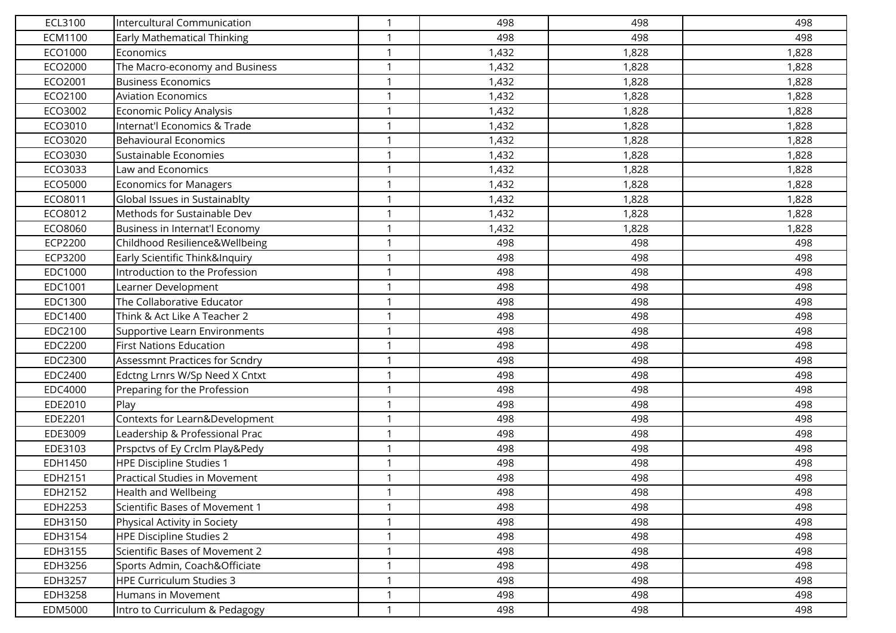| ECL3100        | Intercultural Communication        |              | 498   | 498   | 498   |
|----------------|------------------------------------|--------------|-------|-------|-------|
| ECM1100        | <b>Early Mathematical Thinking</b> | $\mathbf{1}$ | 498   | 498   | 498   |
| ECO1000        | Economics                          | $\mathbf 1$  | 1,432 | 1,828 | 1,828 |
| ECO2000        | The Macro-economy and Business     | $\mathbf{1}$ | 1,432 | 1,828 | 1,828 |
| ECO2001        | <b>Business Economics</b>          | $\mathbf 1$  | 1,432 | 1,828 | 1,828 |
| ECO2100        | <b>Aviation Economics</b>          |              | 1,432 | 1,828 | 1,828 |
| ECO3002        | Economic Policy Analysis           | $\mathbf 1$  | 1,432 | 1,828 | 1,828 |
| ECO3010        | Internat'l Economics & Trade       |              | 1,432 | 1,828 | 1,828 |
| ECO3020        | <b>Behavioural Economics</b>       | $\mathbf{1}$ | 1,432 | 1,828 | 1,828 |
| ECO3030        | Sustainable Economies              | $\mathbf{1}$ | 1,432 | 1,828 | 1,828 |
| ECO3033        | Law and Economics                  | $\mathbf 1$  | 1,432 | 1,828 | 1,828 |
| ECO5000        | <b>Economics for Managers</b>      | $\mathbf{1}$ | 1,432 | 1,828 | 1,828 |
| ECO8011        | Global Issues in Sustainablty      | $\mathbf 1$  | 1,432 | 1,828 | 1,828 |
| ECO8012        | Methods for Sustainable Dev        | $\mathbf{1}$ | 1,432 | 1,828 | 1,828 |
| ECO8060        | Business in Internat'l Economy     | $\mathbf{1}$ | 1,432 | 1,828 | 1,828 |
| ECP2200        | Childhood Resilience&Wellbeing     | $\mathbf 1$  | 498   | 498   | 498   |
| ECP3200        | Early Scientific Think&Inquiry     | $\mathbf 1$  | 498   | 498   | 498   |
| EDC1000        | Introduction to the Profession     | $\mathbf 1$  | 498   | 498   | 498   |
| EDC1001        | Learner Development                | $\mathbf{1}$ | 498   | 498   | 498   |
| EDC1300        | The Collaborative Educator         | $\mathbf{1}$ | 498   | 498   | 498   |
| EDC1400        | Think & Act Like A Teacher 2       | -1           | 498   | 498   | 498   |
| EDC2100        | Supportive Learn Environments      | $\mathbf{1}$ | 498   | 498   | 498   |
| EDC2200        | <b>First Nations Education</b>     | $\mathbf 1$  | 498   | 498   | 498   |
| EDC2300        | Assessmnt Practices for Scndry     | $\mathbf{1}$ | 498   | 498   | 498   |
| EDC2400        | Edctng Lrnrs W/Sp Need X Cntxt     | $\mathbf 1$  | 498   | 498   | 498   |
| <b>EDC4000</b> | Preparing for the Profession       | -1           | 498   | 498   | 498   |
| EDE2010        | Play                               | $\mathbf{1}$ | 498   | 498   | 498   |
| EDE2201        | Contexts for Learn&Development     |              | 498   | 498   | 498   |
| EDE3009        | Leadership & Professional Prac     | $\mathbf{1}$ | 498   | 498   | 498   |
| EDE3103        | Prspctvs of Ey Crclm Play&Pedy     | $\mathbf 1$  | 498   | 498   | 498   |
| EDH1450        | HPE Discipline Studies 1           | -1           | 498   | 498   | 498   |
| EDH2151        | Practical Studies in Movement      | $\mathbf 1$  | 498   | 498   | 498   |
| EDH2152        | Health and Wellbeing               | $\mathbf{1}$ | 498   | 498   | 498   |
| EDH2253        | Scientific Bases of Movement 1     | $\mathbf{1}$ | 498   | 498   | 498   |
| EDH3150        | Physical Activity in Society       | $\mathbf 1$  | 498   | 498   | 498   |
| EDH3154        | HPE Discipline Studies 2           | $\mathbf 1$  | 498   | 498   | 498   |
| EDH3155        | Scientific Bases of Movement 2     | $\mathbf 1$  | 498   | 498   | 498   |
| EDH3256        | Sports Admin, Coach&Officiate      | $\mathbf 1$  | 498   | 498   | 498   |
| EDH3257        | HPE Curriculum Studies 3           | $\mathbf{1}$ | 498   | 498   | 498   |
| EDH3258        | Humans in Movement                 | $\mathbf{1}$ | 498   | 498   | 498   |
| EDM5000        | Intro to Curriculum & Pedagogy     | $\mathbf 1$  | 498   | 498   | 498   |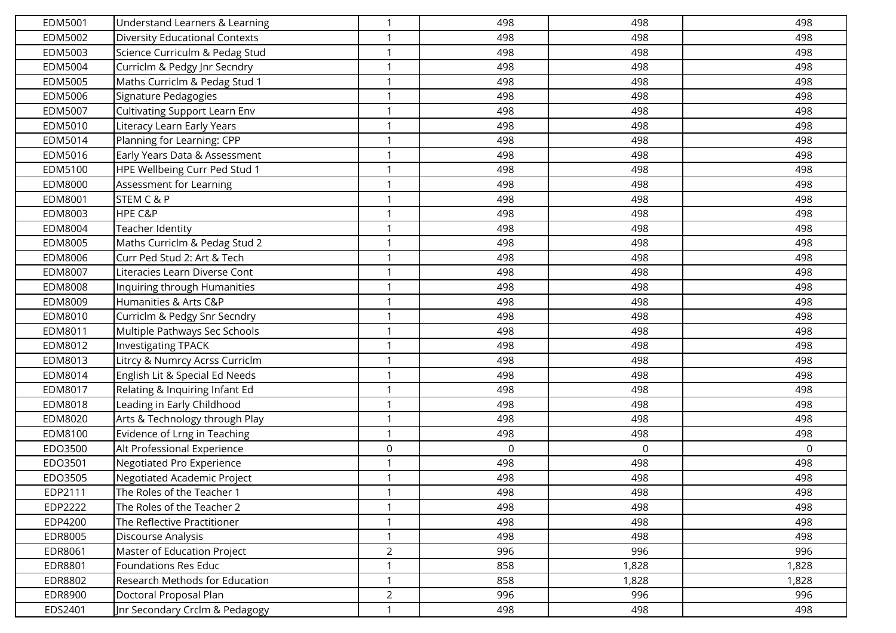| EDM5001        | Understand Learners & Learning        | -1             | 498 | 498   | 498   |
|----------------|---------------------------------------|----------------|-----|-------|-------|
| EDM5002        | <b>Diversity Educational Contexts</b> |                | 498 | 498   | 498   |
| EDM5003        | Science Curriculm & Pedag Stud        | -1             | 498 | 498   | 498   |
| EDM5004        | Curriclm & Pedgy Jnr Secndry          | $\mathbf 1$    | 498 | 498   | 498   |
| EDM5005        | Maths Curriclm & Pedag Stud 1         | $\mathbf{1}$   | 498 | 498   | 498   |
| EDM5006        | Signature Pedagogies                  | $\mathbf{1}$   | 498 | 498   | 498   |
| EDM5007        | <b>Cultivating Support Learn Env</b>  | $\mathbf 1$    | 498 | 498   | 498   |
| EDM5010        | Literacy Learn Early Years            | -1             | 498 | 498   | 498   |
| EDM5014        | Planning for Learning: CPP            | $\mathbf 1$    | 498 | 498   | 498   |
| EDM5016        | Early Years Data & Assessment         | $\mathbf{1}$   | 498 | 498   | 498   |
| EDM5100        | HPE Wellbeing Curr Ped Stud 1         | $\mathbf 1$    | 498 | 498   | 498   |
| EDM8000        | Assessment for Learning               | $\mathbf{1}$   | 498 | 498   | 498   |
| EDM8001        | STEM C & P                            | -1             | 498 | 498   | 498   |
| EDM8003        | HPE C&P                               | $\mathbf 1$    | 498 | 498   | 498   |
| EDM8004        | Teacher Identity                      | $\mathbf 1$    | 498 | 498   | 498   |
| EDM8005        | Maths Curriclm & Pedag Stud 2         | -1             | 498 | 498   | 498   |
| EDM8006        | Curr Ped Stud 2: Art & Tech           | $\mathbf 1$    | 498 | 498   | 498   |
| EDM8007        | Literacies Learn Diverse Cont         | -1             | 498 | 498   | 498   |
| EDM8008        | Inquiring through Humanities          | $\mathbf 1$    | 498 | 498   | 498   |
| EDM8009        | Humanities & Arts C&P                 | $\mathbf 1$    | 498 | 498   | 498   |
| EDM8010        | Curriclm & Pedgy Snr Secndry          |                | 498 | 498   | 498   |
| EDM8011        | Multiple Pathways Sec Schools         | $\mathbf{1}$   | 498 | 498   | 498   |
| EDM8012        | <b>Investigating TPACK</b>            | $\mathbf 1$    | 498 | 498   | 498   |
| EDM8013        | Litrcy & Numrcy Acrss Curriclm        | $\mathbf 1$    | 498 | 498   | 498   |
| EDM8014        | English Lit & Special Ed Needs        | $\mathbf{1}$   | 498 | 498   | 498   |
| EDM8017        | Relating & Inquiring Infant Ed        | -1             | 498 | 498   | 498   |
| EDM8018        | Leading in Early Childhood            | $\mathbf 1$    | 498 | 498   | 498   |
| EDM8020        | Arts & Technology through Play        | $\mathbf 1$    | 498 | 498   | 498   |
| EDM8100        | Evidence of Lrng in Teaching          | $\mathbf 1$    | 498 | 498   | 498   |
| EDO3500        | Alt Professional Experience           | $\mathsf 0$    | 0   | 0     | 0     |
| EDO3501        | Negotiated Pro Experience             |                | 498 | 498   | 498   |
| EDO3505        | Negotiated Academic Project           | 1              | 498 | 498   | 498   |
| EDP2111        | The Roles of the Teacher 1            | $\mathbf{1}$   | 498 | 498   | 498   |
| EDP2222        | The Roles of the Teacher 2            | $\mathbf{1}$   | 498 | 498   | 498   |
| EDP4200        | The Reflective Practitioner           | 1              | 498 | 498   | 498   |
| EDR8005        | Discourse Analysis                    | $\mathbf 1$    | 498 | 498   | 498   |
| EDR8061        | Master of Education Project           | $\overline{2}$ | 996 | 996   | 996   |
| <b>EDR8801</b> | <b>Foundations Res Educ</b>           | $\mathbf 1$    | 858 | 1,828 | 1,828 |
| EDR8802        | Research Methods for Education        | $\mathbf{1}$   | 858 | 1,828 | 1,828 |
| EDR8900        | Doctoral Proposal Plan                | $\overline{2}$ | 996 | 996   | 996   |
| EDS2401        | Jnr Secondary Crclm & Pedagogy        | $\mathbf{1}$   | 498 | 498   | 498   |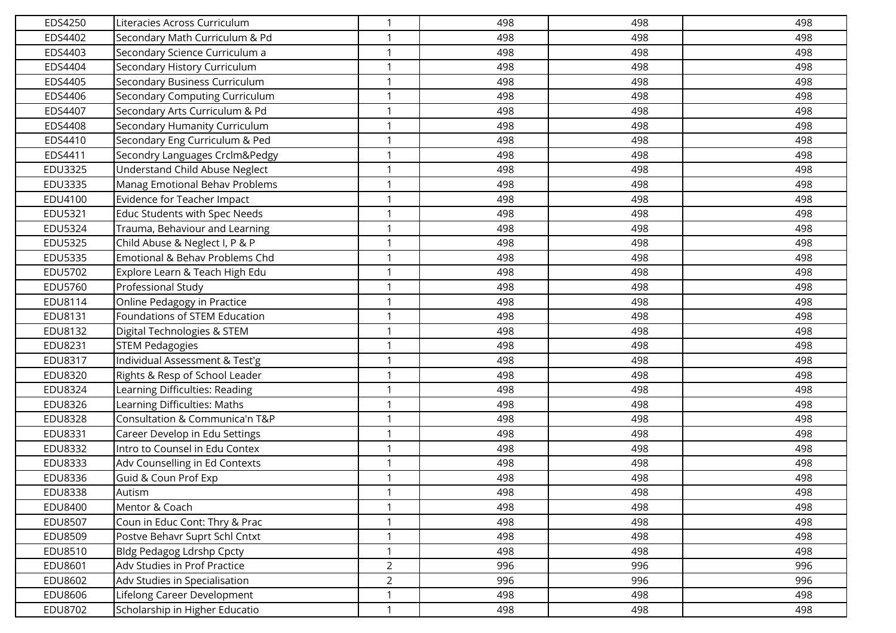| EDS4250        | Literacies Across Curriculum          | $\mathbf 1$    | 498 | 498 | 498 |
|----------------|---------------------------------------|----------------|-----|-----|-----|
| EDS4402        | Secondary Math Curriculum & Pd        | $\mathbf 1$    | 498 | 498 | 498 |
| EDS4403        | Secondary Science Curriculum a        | $\mathbf 1$    | 498 | 498 | 498 |
| EDS4404        | Secondary History Curriculum          | $\mathbf 1$    | 498 | 498 | 498 |
| EDS4405        | Secondary Business Curriculum         | $\mathbf 1$    | 498 | 498 | 498 |
| EDS4406        | Secondary Computing Curriculum        | $\mathbf{1}$   | 498 | 498 | 498 |
| EDS4407        | Secondary Arts Curriculum & Pd        | $\mathbf{1}$   | 498 | 498 | 498 |
| EDS4408        | Secondary Humanity Curriculum         | -1             | 498 | 498 | 498 |
| EDS4410        | Secondary Eng Curriculum & Ped        | $\mathbf{1}$   | 498 | 498 | 498 |
| EDS4411        | Secondry Languages Crclm&Pedgy        | $\mathbf{1}$   | 498 | 498 | 498 |
| <b>EDU3325</b> | <b>Understand Child Abuse Neglect</b> | $\mathbf 1$    | 498 | 498 | 498 |
| EDU3335        | Manag Emotional Behav Problems        | $\mathbf{1}$   | 498 | 498 | 498 |
| EDU4100        | Evidence for Teacher Impact           | $\mathbf 1$    | 498 | 498 | 498 |
| EDU5321        | Educ Students with Spec Needs         | $\mathbf 1$    | 498 | 498 | 498 |
| EDU5324        | Trauma, Behaviour and Learning        | $\mathbf 1$    | 498 | 498 | 498 |
| <b>EDU5325</b> | Child Abuse & Neglect I, P & P        | $\mathbf 1$    | 498 | 498 | 498 |
| EDU5335        | Emotional & Behav Problems Chd        | $\mathbf 1$    | 498 | 498 | 498 |
| EDU5702        | Explore Learn & Teach High Edu        | $\mathbf 1$    | 498 | 498 | 498 |
| EDU5760        | Professional Study                    | $\mathbf{1}$   | 498 | 498 | 498 |
| EDU8114        | Online Pedagogy in Practice           | $\mathbf{1}$   | 498 | 498 | 498 |
| EDU8131        | Foundations of STEM Education         |                | 498 | 498 | 498 |
| EDU8132        | Digital Technologies & STEM           | $\mathbf{1}$   | 498 | 498 | 498 |
| EDU8231        | <b>STEM Pedagogies</b>                | $\mathbf 1$    | 498 | 498 | 498 |
| EDU8317        | Individual Assessment & Test'g        | $\mathbf 1$    | 498 | 498 | 498 |
| EDU8320        | Rights & Resp of School Leader        | $\mathbf{1}$   | 498 | 498 | 498 |
| <b>EDU8324</b> | Learning Difficulties: Reading        | $\mathbf 1$    | 498 | 498 | 498 |
| EDU8326        | Learning Difficulties: Maths          | $\mathbf{1}$   | 498 | 498 | 498 |
| <b>EDU8328</b> | Consultation & Communica'n T&P        | $\mathbf{1}$   | 498 | 498 | 498 |
| EDU8331        | Career Develop in Edu Settings        | $\mathbf{1}$   | 498 | 498 | 498 |
| EDU8332        | Intro to Counsel in Edu Contex        | $\mathbf{1}$   | 498 | 498 | 498 |
| <b>EDU8333</b> | Adv Counselling in Ed Contexts        |                | 498 | 498 | 498 |
| EDU8336        | Guid & Coun Prof Exp                  | 1              | 498 | 498 | 498 |
| <b>EDU8338</b> | Autism                                | $\mathbf{1}$   | 498 | 498 | 498 |
| EDU8400        | Mentor & Coach                        | $\mathbf{1}$   | 498 | 498 | 498 |
| <b>EDU8507</b> | Coun in Educ Cont: Thry & Prac        | $\mathbf 1$    | 498 | 498 | 498 |
| EDU8509        | Postve Behavr Suprt Schl Cntxt        | $\mathbf 1$    | 498 | 498 | 498 |
| EDU8510        | Bldg Pedagog Ldrshp Cpcty             | $\mathbf 1$    | 498 | 498 | 498 |
| EDU8601        | Adv Studies in Prof Practice          | $\overline{2}$ | 996 | 996 | 996 |
| EDU8602        | Adv Studies in Specialisation         | $\overline{2}$ | 996 | 996 | 996 |
| EDU8606        | Lifelong Career Development           | $\mathbf 1$    | 498 | 498 | 498 |
| EDU8702        | Scholarship in Higher Educatio        | $\mathbf 1$    | 498 | 498 | 498 |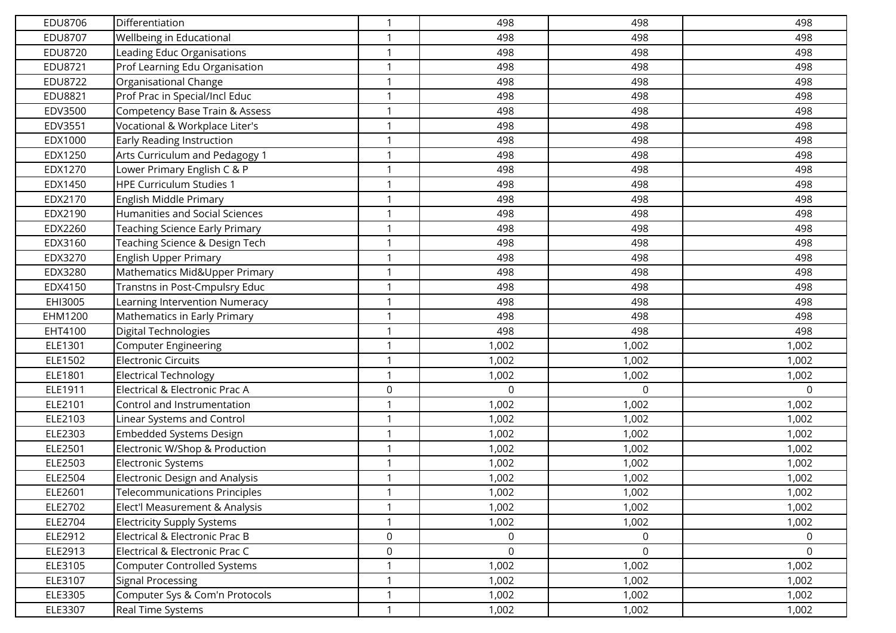| EDU8706        | Differentiation                       | $\mathbf 1$  | 498          | 498      | 498         |
|----------------|---------------------------------------|--------------|--------------|----------|-------------|
| <b>EDU8707</b> | Wellbeing in Educational              | $\mathbf 1$  | 498          | 498      | 498         |
| <b>EDU8720</b> | Leading Educ Organisations            | $\mathbf 1$  | 498          | 498      | 498         |
| EDU8721        | Prof Learning Edu Organisation        | $\mathbf 1$  | 498          | 498      | 498         |
| EDU8722        | Organisational Change                 | $\mathbf 1$  | 498          | 498      | 498         |
| EDU8821        | Prof Prac in Special/Incl Educ        | $\mathbf{1}$ | 498          | 498      | 498         |
| EDV3500        | Competency Base Train & Assess        | $\mathbf{1}$ | 498          | 498      | 498         |
| EDV3551        | Vocational & Workplace Liter's        | -1           | 498          | 498      | 498         |
| EDX1000        | Early Reading Instruction             | $\mathbf{1}$ | 498          | 498      | 498         |
| EDX1250        | Arts Curriculum and Pedagogy 1        | $\mathbf{1}$ | 498          | 498      | 498         |
| EDX1270        | Lower Primary English C & P           | $\mathbf 1$  | 498          | 498      | 498         |
| EDX1450        | <b>HPE Curriculum Studies 1</b>       | $\mathbf{1}$ | 498          | 498      | 498         |
| EDX2170        | English Middle Primary                | $\mathbf 1$  | 498          | 498      | 498         |
| EDX2190        | <b>Humanities and Social Sciences</b> | $\mathbf 1$  | 498          | 498      | 498         |
| EDX2260        | Teaching Science Early Primary        | $\mathbf 1$  | 498          | 498      | 498         |
| EDX3160        | Teaching Science & Design Tech        | $\mathbf 1$  | 498          | 498      | 498         |
| EDX3270        | English Upper Primary                 | $\mathbf 1$  | 498          | 498      | 498         |
| EDX3280        | Mathematics Mid&Upper Primary         | $\mathbf 1$  | 498          | 498      | 498         |
| EDX4150        | Transtns in Post-Cmpulsry Educ        | $\mathbf{1}$ | 498          | 498      | 498         |
| EHI3005        | Learning Intervention Numeracy        | $\mathbf{1}$ | 498          | 498      | 498         |
| EHM1200        | Mathematics in Early Primary          |              | 498          | 498      | 498         |
| EHT4100        | Digital Technologies                  | $\mathbf 1$  | 498          | 498      | 498         |
| ELE1301        | <b>Computer Engineering</b>           | $\mathbf 1$  | 1,002        | 1,002    | 1,002       |
| ELE1502        | <b>Electronic Circuits</b>            | $\mathbf 1$  | 1,002        | 1,002    | 1,002       |
| ELE1801        | <b>Electrical Technology</b>          | $\mathbf{1}$ | 1,002        | 1,002    | 1,002       |
| ELE1911        | Electrical & Electronic Prac A        | $\mathsf 0$  | $\mathbf{0}$ | $\Omega$ | 0           |
| ELE2101        | Control and Instrumentation           | $\mathbf{1}$ | 1,002        | 1,002    | 1,002       |
| ELE2103        | Linear Systems and Control            | $\mathbf{1}$ | 1,002        | 1,002    | 1,002       |
| ELE2303        | <b>Embedded Systems Design</b>        | $\mathbf{1}$ | 1,002        | 1,002    | 1,002       |
| ELE2501        | Electronic W/Shop & Production        | $\mathbf{1}$ | 1,002        | 1,002    | 1,002       |
| ELE2503        | Electronic Systems                    |              | 1,002        | 1,002    | 1,002       |
| ELE2504        | <b>Electronic Design and Analysis</b> | 1            | 1,002        | 1,002    | 1,002       |
| ELE2601        | Telecommunications Principles         | $\mathbf{1}$ | 1,002        | 1,002    | 1,002       |
| ELE2702        | Elect'l Measurement & Analysis        | $\mathbf{1}$ | 1,002        | 1,002    | 1,002       |
| ELE2704        | <b>Electricity Supply Systems</b>     | $\mathbf{1}$ | 1,002        | 1,002    | 1,002       |
| ELE2912        | Electrical & Electronic Prac B        | $\mathsf 0$  | 0            | 0        | $\mathbf 0$ |
| ELE2913        | Electrical & Electronic Prac C        | $\mathsf 0$  | $\mathsf 0$  | 0        | 0           |
| ELE3105        | <b>Computer Controlled Systems</b>    |              | 1,002        | 1,002    | 1,002       |
| ELE3107        | <b>Signal Processing</b>              | $\mathbf{1}$ | 1,002        | 1,002    | 1,002       |
| ELE3305        | Computer Sys & Com'n Protocols        | $\mathbf{1}$ | 1,002        | 1,002    | 1,002       |
| ELE3307        | Real Time Systems                     | $\mathbf{1}$ | 1,002        | 1,002    | 1,002       |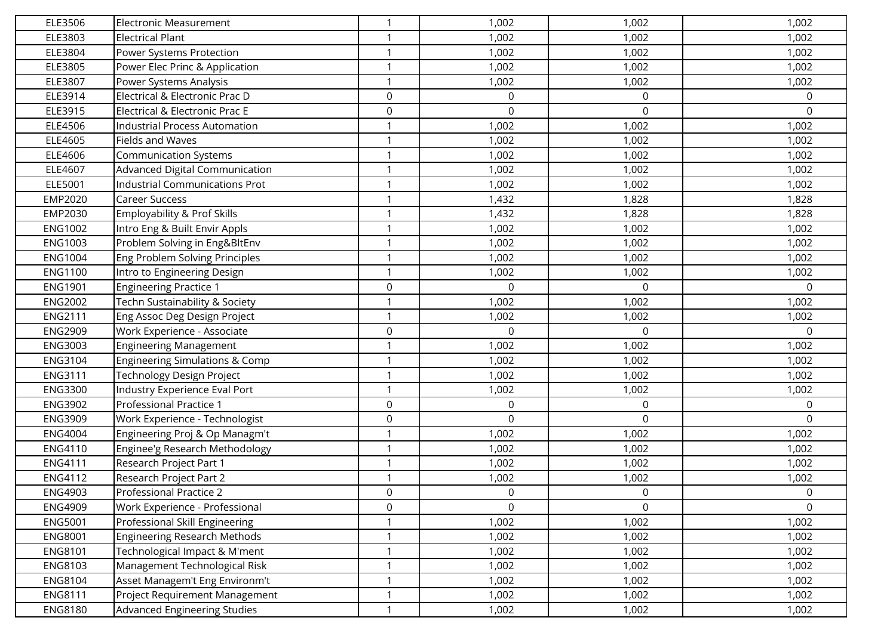| ELE3506        | <b>Electronic Measurement</b>             | $\mathbf{1}$ | 1,002            | 1,002            | 1,002        |
|----------------|-------------------------------------------|--------------|------------------|------------------|--------------|
| ELE3803        | <b>Electrical Plant</b>                   | $\mathbf{1}$ | 1,002            | 1,002            | 1,002        |
| ELE3804        | Power Systems Protection                  | $\mathbf 1$  | 1,002            | 1,002            | 1,002        |
| ELE3805        | Power Elec Princ & Application            | $\mathbf{1}$ | 1,002            | 1,002            | 1,002        |
| ELE3807        | Power Systems Analysis                    | $\mathbf{1}$ | 1,002            | 1,002            | 1,002        |
| ELE3914        | Electrical & Electronic Prac D            | $\mathbf 0$  | $\mathbf 0$      | 0                | 0            |
| ELE3915        | Electrical & Electronic Prac E            | $\mathsf 0$  | $\boldsymbol{0}$ | 0                | 0            |
| ELE4506        | <b>Industrial Process Automation</b>      |              | 1,002            | 1,002            | 1,002        |
| ELE4605        | Fields and Waves                          | $\mathbf{1}$ | 1,002            | 1,002            | 1,002        |
| ELE4606        | <b>Communication Systems</b>              | $\mathbf{1}$ | 1,002            | 1,002            | 1,002        |
| ELE4607        | Advanced Digital Communication            | $\mathbf{1}$ | 1,002            | 1,002            | 1,002        |
| ELE5001        | Industrial Communications Prot            | $\mathbf{1}$ | 1,002            | 1,002            | 1,002        |
| EMP2020        | <b>Career Success</b>                     | $\mathbf{1}$ | 1,432            | 1,828            | 1,828        |
| EMP2030        | Employability & Prof Skills               | $\mathbf{1}$ | 1,432            | 1,828            | 1,828        |
| <b>ENG1002</b> | Intro Eng & Built Envir Appls             | $\mathbf{1}$ | 1,002            | 1,002            | 1,002        |
| <b>ENG1003</b> | Problem Solving in Eng&BltEnv             | $\mathbf{1}$ | 1,002            | 1,002            | 1,002        |
| <b>ENG1004</b> | Eng Problem Solving Principles            | $\mathbf{1}$ | 1,002            | 1,002            | 1,002        |
| <b>ENG1100</b> | Intro to Engineering Design               | $\mathbf 1$  | 1,002            | 1,002            | 1,002        |
| <b>ENG1901</b> | <b>Engineering Practice 1</b>             | $\mathsf 0$  | $\mathbf 0$      | $\Omega$         | 0            |
| <b>ENG2002</b> | Techn Sustainability & Society            | $\mathbf{1}$ | 1,002            | 1,002            | 1,002        |
| <b>ENG2111</b> | Eng Assoc Deg Design Project              | $\mathbf{1}$ | 1,002            | 1,002            | 1,002        |
| <b>ENG2909</b> | Work Experience - Associate               | $\mathsf 0$  | $\mathbf 0$      | $\Omega$         | 0            |
| ENG3003        | <b>Engineering Management</b>             | $\mathbf{1}$ | 1,002            | 1,002            | 1,002        |
| ENG3104        | <b>Engineering Simulations &amp; Comp</b> | $\mathbf{1}$ | 1,002            | 1,002            | 1,002        |
| <b>ENG3111</b> | Technology Design Project                 | $\mathbf{1}$ | 1,002            | 1,002            | 1,002        |
| <b>ENG3300</b> | Industry Experience Eval Port             | $\mathbf{1}$ | 1,002            | 1,002            | 1,002        |
| <b>ENG3902</b> | Professional Practice 1                   | $\mathsf 0$  | $\mathbf 0$      | $\boldsymbol{0}$ | $\mathsf{O}$ |
| <b>ENG3909</b> | Work Experience - Technologist            | $\mathsf 0$  | $\Omega$         | $\Omega$         | 0            |
| <b>ENG4004</b> | Engineering Proj & Op Managm't            | $\mathbf{1}$ | 1,002            | 1,002            | 1,002        |
| <b>ENG4110</b> | Enginee'g Research Methodology            | $\mathbf{1}$ | 1,002            | 1,002            | 1,002        |
| <b>ENG4111</b> | Research Project Part 1                   | $\mathbf{1}$ | 1,002            | 1,002            | 1,002        |
| <b>ENG4112</b> | Research Project Part 2                   | $\mathbf{1}$ | 1,002            | 1,002            | 1,002        |
| ENG4903        | Professional Practice 2                   | $\mathsf 0$  | 0                | 0                | 0            |
| <b>ENG4909</b> | Work Experience - Professional            | $\mathsf 0$  | $\mathbf 0$      | $\mathbf 0$      | 0            |
| <b>ENG5001</b> | Professional Skill Engineering            | $\mathbf{1}$ | 1,002            | 1,002            | 1,002        |
| <b>ENG8001</b> | <b>Engineering Research Methods</b>       | $\mathbf 1$  | 1,002            | 1,002            | 1,002        |
| <b>ENG8101</b> | Technological Impact & M'ment             | $\mathbf 1$  | 1,002            | 1,002            | 1,002        |
| ENG8103        | Management Technological Risk             | 1            | 1,002            | 1,002            | 1,002        |
| ENG8104        | Asset Managem't Eng Environm't            | $\mathbf{1}$ | 1,002            | 1,002            | 1,002        |
| <b>ENG8111</b> | Project Requirement Management            | $\mathbf{1}$ | 1,002            | 1,002            | 1,002        |
| <b>ENG8180</b> | <b>Advanced Engineering Studies</b>       | $\mathbf{1}$ | 1,002            | 1,002            | 1,002        |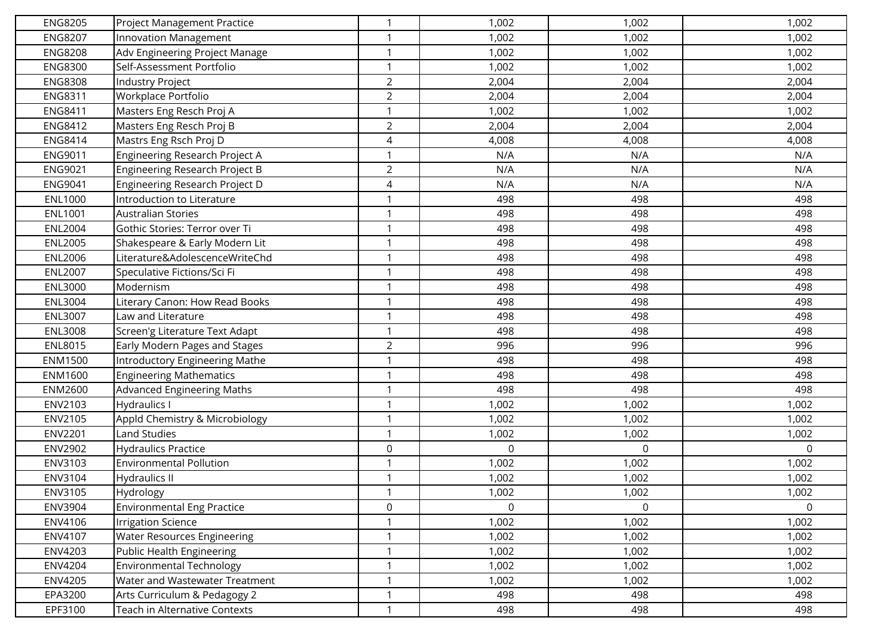| <b>ENG8205</b> | Project Management Practice          | $\mathbf 1$    | 1,002            | 1,002 | 1,002 |
|----------------|--------------------------------------|----------------|------------------|-------|-------|
| <b>ENG8207</b> | Innovation Management                | $\mathbf{1}$   | 1,002            | 1,002 | 1,002 |
| <b>ENG8208</b> | Adv Engineering Project Manage       | $\mathbf 1$    | 1,002            | 1,002 | 1,002 |
| <b>ENG8300</b> | Self-Assessment Portfolio            | $\mathbf{1}$   | 1,002            | 1,002 | 1,002 |
| <b>ENG8308</b> | Industry Project                     | $\overline{2}$ | 2,004            | 2,004 | 2,004 |
| <b>ENG8311</b> | Workplace Portfolio                  | $\overline{2}$ | 2,004            | 2,004 | 2,004 |
| <b>ENG8411</b> | Masters Eng Resch Proj A             | $\mathbf{1}$   | 1,002            | 1,002 | 1,002 |
| <b>ENG8412</b> | Masters Eng Resch Proj B             | $\overline{2}$ | 2,004            | 2,004 | 2,004 |
| <b>ENG8414</b> | Mastrs Eng Rsch Proj D               | $\overline{4}$ | 4,008            | 4,008 | 4,008 |
| ENG9011        | Engineering Research Project A       | $\mathbf{1}$   | N/A              | N/A   | N/A   |
| <b>ENG9021</b> | Engineering Research Project B       | $\overline{2}$ | N/A              | N/A   | N/A   |
| <b>ENG9041</b> | Engineering Research Project D       | $\sqrt{4}$     | N/A              | N/A   | N/A   |
| <b>ENL1000</b> | Introduction to Literature           | $\mathbf 1$    | 498              | 498   | 498   |
| <b>ENL1001</b> | <b>Australian Stories</b>            | $\mathbf{1}$   | 498              | 498   | 498   |
| <b>ENL2004</b> | Gothic Stories: Terror over Ti       | $\mathbf{1}$   | 498              | 498   | 498   |
| <b>ENL2005</b> | Shakespeare & Early Modern Lit       | $\mathbf 1$    | 498              | 498   | 498   |
| <b>ENL2006</b> | Literature&AdolescenceWriteChd       | $\mathbf{1}$   | 498              | 498   | 498   |
| <b>ENL2007</b> | Speculative Fictions/Sci Fi          | $\mathbf{1}$   | 498              | 498   | 498   |
| <b>ENL3000</b> | Modernism                            | $\mathbf{1}$   | 498              | 498   | 498   |
| <b>ENL3004</b> | Literary Canon: How Read Books       | $\mathbf{1}$   | 498              | 498   | 498   |
| <b>ENL3007</b> | Law and Literature                   | $\mathbf 1$    | 498              | 498   | 498   |
| <b>ENL3008</b> | Screen'g Literature Text Adapt       | $\mathbf{1}$   | 498              | 498   | 498   |
| <b>ENL8015</b> | Early Modern Pages and Stages        | $\overline{2}$ | 996              | 996   | 996   |
| ENM1500        | Introductory Engineering Mathe       | $\mathbf{1}$   | 498              | 498   | 498   |
| ENM1600        | <b>Engineering Mathematics</b>       | $\mathbf{1}$   | 498              | 498   | 498   |
| ENM2600        | <b>Advanced Engineering Maths</b>    | $\mathbf 1$    | 498              | 498   | 498   |
| ENV2103        | Hydraulics I                         | $\mathbf{1}$   | 1,002            | 1,002 | 1,002 |
| ENV2105        | Appld Chemistry & Microbiology       | $\mathbf 1$    | 1,002            | 1,002 | 1,002 |
| <b>ENV2201</b> | <b>Land Studies</b>                  | $\mathbf{1}$   | 1,002            | 1,002 | 1,002 |
| <b>ENV2902</b> | <b>Hydraulics Practice</b>           | $\mathsf 0$    | $\boldsymbol{0}$ | 0     | 0     |
| ENV3103        | <b>Environmental Pollution</b>       | $\mathbf 1$    | 1,002            | 1,002 | 1,002 |
| ENV3104        | <b>Hydraulics II</b>                 | $\mathbf{1}$   | 1,002            | 1,002 | 1,002 |
| ENV3105        | Hydrology                            | $\mathbf{1}$   | 1,002            | 1,002 | 1,002 |
| ENV3904        | <b>Environmental Eng Practice</b>    | $\mathsf 0$    | $\mathbf 0$      | 0     | 0     |
| ENV4106        | <b>Irrigation Science</b>            | $\mathbf{1}$   | 1,002            | 1,002 | 1,002 |
| ENV4107        | <b>Water Resources Engineering</b>   | $\mathbf{1}$   | 1,002            | 1,002 | 1,002 |
| ENV4203        | Public Health Engineering            | $\mathbf{1}$   | 1,002            | 1,002 | 1,002 |
| ENV4204        | <b>Environmental Technology</b>      | $\mathbf{1}$   | 1,002            | 1,002 | 1,002 |
| ENV4205        | Water and Wastewater Treatment       | $\mathbf{1}$   | 1,002            | 1,002 | 1,002 |
| EPA3200        | Arts Curriculum & Pedagogy 2         | $\mathbf{1}$   | 498              | 498   | 498   |
| EPF3100        | <b>Teach in Alternative Contexts</b> | $\mathbf{1}$   | 498              | 498   | 498   |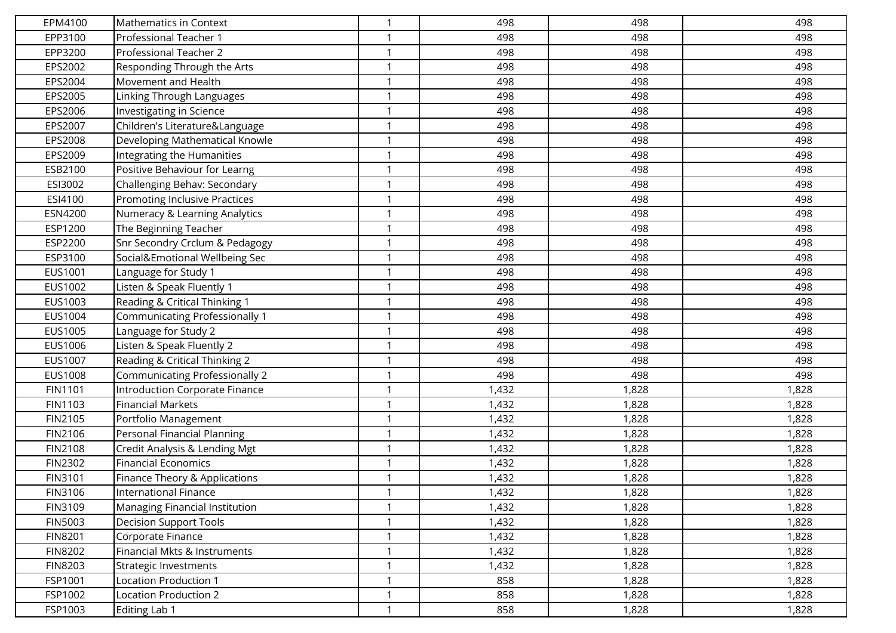| EPM4100        | Mathematics in Context                | $\mathbf 1$  | 498   | 498   | 498   |
|----------------|---------------------------------------|--------------|-------|-------|-------|
| EPP3100        | Professional Teacher 1                | $\mathbf 1$  | 498   | 498   | 498   |
| EPP3200        | Professional Teacher 2                |              | 498   | 498   | 498   |
| EPS2002        | Responding Through the Arts           | $\mathbf 1$  | 498   | 498   | 498   |
| EPS2004        | Movement and Health                   | -1           | 498   | 498   | 498   |
| EPS2005        | Linking Through Languages             | $\mathbf{1}$ | 498   | 498   | 498   |
| EPS2006        | Investigating in Science              | $\mathbf{1}$ | 498   | 498   | 498   |
| EPS2007        | Children's Literature&Language        |              | 498   | 498   | 498   |
| EPS2008        | Developing Mathematical Knowle        | $\mathbf{1}$ | 498   | 498   | 498   |
| EPS2009        | Integrating the Humanities            | $\mathbf 1$  | 498   | 498   | 498   |
| ESB2100        | Positive Behaviour for Learng         | $\mathbf{1}$ | 498   | 498   | 498   |
| ESI3002        | Challenging Behav: Secondary          | $\mathbf{1}$ | 498   | 498   | 498   |
| ESI4100        | Promoting Inclusive Practices         | $\mathbf 1$  | 498   | 498   | 498   |
| ESN4200        | Numeracy & Learning Analytics         | $\mathbf{1}$ | 498   | 498   | 498   |
| ESP1200        | The Beginning Teacher                 |              | 498   | 498   | 498   |
| ESP2200        | Snr Secondry Crclum & Pedagogy        | $\mathbf{1}$ | 498   | 498   | 498   |
| ESP3100        | Social&Emotional Wellbeing Sec        | $\mathbf{1}$ | 498   | 498   | 498   |
| EUS1001        | Language for Study 1                  |              | 498   | 498   | 498   |
| EUS1002        | Listen & Speak Fluently 1             | $\mathbf{1}$ | 498   | 498   | 498   |
| EUS1003        | Reading & Critical Thinking 1         | $\mathbf 1$  | 498   | 498   | 498   |
| EUS1004        | <b>Communicating Professionally 1</b> | $\mathbf{1}$ | 498   | 498   | 498   |
| EUS1005        | Language for Study 2                  | $\mathbf 1$  | 498   | 498   | 498   |
| EUS1006        | Listen & Speak Fluently 2             |              | 498   | 498   | 498   |
| EUS1007        | Reading & Critical Thinking 2         | $\mathbf 1$  | 498   | 498   | 498   |
| EUS1008        | <b>Communicating Professionally 2</b> | $\mathbf 1$  | 498   | 498   | 498   |
| FIN1101        | Introduction Corporate Finance        | $\mathbf{1}$ | 1,432 | 1,828 | 1,828 |
| FIN1103        | <b>Financial Markets</b>              | $\mathbf{1}$ | 1,432 | 1,828 | 1,828 |
| FIN2105        | Portfolio Management                  |              | 1,432 | 1,828 | 1,828 |
| FIN2106        | Personal Financial Planning           | $\mathbf{1}$ | 1,432 | 1,828 | 1,828 |
| <b>FIN2108</b> | Credit Analysis & Lending Mgt         | $\mathbf 1$  | 1,432 | 1,828 | 1,828 |
| <b>FIN2302</b> | <b>Financial Economics</b>            | $\mathbf{1}$ | 1,432 | 1,828 | 1,828 |
| FIN3101        | Finance Theory & Applications         | $\mathbf 1$  | 1,432 | 1,828 | 1,828 |
| FIN3106        | International Finance                 | $\mathbf{1}$ | 1,432 | 1,828 | 1,828 |
| FIN3109        | Managing Financial Institution        | $\mathbf{1}$ | 1,432 | 1,828 | 1,828 |
| <b>FIN5003</b> | <b>Decision Support Tools</b>         | $\mathbf 1$  | 1,432 | 1,828 | 1,828 |
| <b>FIN8201</b> | Corporate Finance                     | $\mathbf{1}$ | 1,432 | 1,828 | 1,828 |
| <b>FIN8202</b> | Financial Mkts & Instruments          | $\mathbf{1}$ | 1,432 | 1,828 | 1,828 |
| <b>FIN8203</b> | Strategic Investments                 | $\mathbf 1$  | 1,432 | 1,828 | 1,828 |
| FSP1001        | Location Production 1                 | $\mathbf{1}$ | 858   | 1,828 | 1,828 |
| FSP1002        | Location Production 2                 | $\mathbf 1$  | 858   | 1,828 | 1,828 |
| FSP1003        | Editing Lab 1                         | 1            | 858   | 1,828 | 1,828 |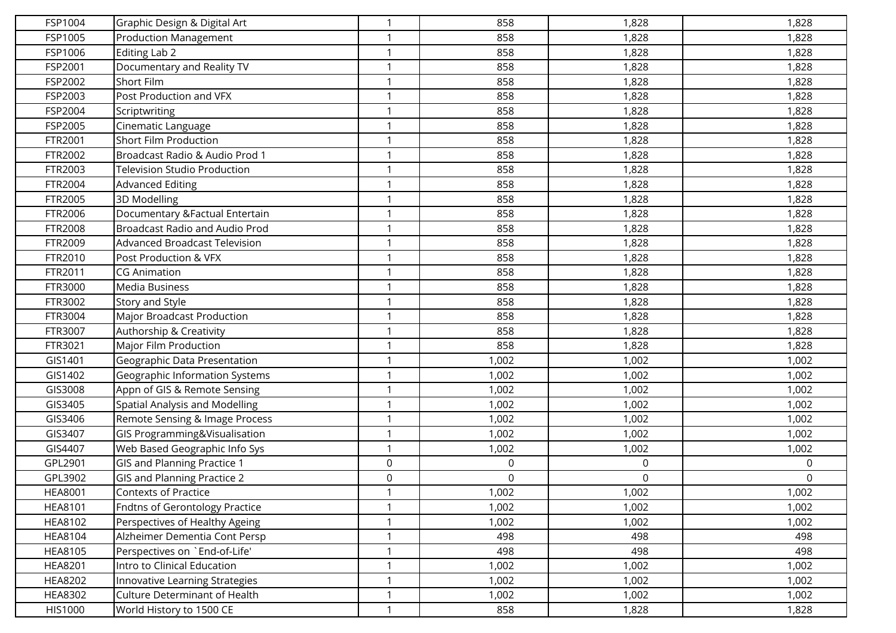| FSP1004        | Graphic Design & Digital Art          | $\mathbf 1$  | 858   | 1,828            | 1,828 |
|----------------|---------------------------------------|--------------|-------|------------------|-------|
| FSP1005        | <b>Production Management</b>          | $\mathbf 1$  | 858   | 1,828            | 1,828 |
| FSP1006        | Editing Lab 2                         | -1           | 858   | 1,828            | 1,828 |
| FSP2001        | Documentary and Reality TV            | $\mathbf{1}$ | 858   | 1,828            | 1,828 |
| FSP2002        | Short Film                            | -1           | 858   | 1,828            | 1,828 |
| FSP2003        | Post Production and VFX               | $\mathbf{1}$ | 858   | 1,828            | 1,828 |
| FSP2004        | Scriptwriting                         | $\mathbf 1$  | 858   | 1,828            | 1,828 |
| FSP2005        | Cinematic Language                    |              | 858   | 1,828            | 1,828 |
| FTR2001        | <b>Short Film Production</b>          | $\mathbf{1}$ | 858   | 1,828            | 1,828 |
| FTR2002        | Broadcast Radio & Audio Prod 1        | $\mathbf 1$  | 858   | 1,828            | 1,828 |
| FTR2003        | <b>Television Studio Production</b>   | $\mathbf{1}$ | 858   | 1,828            | 1,828 |
| FTR2004        | <b>Advanced Editing</b>               | $\mathbf{1}$ | 858   | 1,828            | 1,828 |
| FTR2005        | 3D Modelling                          | -1           | 858   | 1,828            | 1,828 |
| FTR2006        | Documentary & Factual Entertain       | $\mathbf{1}$ | 858   | 1,828            | 1,828 |
| FTR2008        | <b>Broadcast Radio and Audio Prod</b> | -1           | 858   | 1,828            | 1,828 |
| FTR2009        | <b>Advanced Broadcast Television</b>  | $\mathbf{1}$ | 858   | 1,828            | 1,828 |
| FTR2010        | Post Production & VFX                 | $\mathbf 1$  | 858   | 1,828            | 1,828 |
| FTR2011        | <b>CG Animation</b>                   | -1           | 858   | 1,828            | 1,828 |
| FTR3000        | <b>Media Business</b>                 | 1            | 858   | 1,828            | 1,828 |
| FTR3002        | Story and Style                       | $\mathbf 1$  | 858   | 1,828            | 1,828 |
| FTR3004        | <b>Major Broadcast Production</b>     | $\mathbf 1$  | 858   | 1,828            | 1,828 |
| FTR3007        | Authorship & Creativity               | $\mathbf 1$  | 858   | 1,828            | 1,828 |
| FTR3021        | Major Film Production                 | -1           | 858   | 1,828            | 1,828 |
| GIS1401        | Geographic Data Presentation          | $\mathbf{1}$ | 1,002 | 1,002            | 1,002 |
| GIS1402        | Geographic Information Systems        | $\mathbf 1$  | 1,002 | 1,002            | 1,002 |
| GIS3008        | Appn of GIS & Remote Sensing          | $\mathbf{1}$ | 1,002 | 1,002            | 1,002 |
| GIS3405        | Spatial Analysis and Modelling        | $\mathbf 1$  | 1,002 | 1,002            | 1,002 |
| GIS3406        | Remote Sensing & Image Process        | -1           | 1,002 | 1,002            | 1,002 |
| GIS3407        | GIS Programming&Visualisation         | 1            | 1,002 | 1,002            | 1,002 |
| GIS4407        | Web Based Geographic Info Sys         | $\mathbf 1$  | 1,002 | 1,002            | 1,002 |
| GPL2901        | <b>GIS and Planning Practice 1</b>    | $\mathbf 0$  | 0     | $\boldsymbol{0}$ | 0     |
| GPL3902        | GIS and Planning Practice 2           | $\mathsf 0$  | 0     | 0                | 0     |
| <b>HEA8001</b> | Contexts of Practice                  | $\mathbf{1}$ | 1,002 | 1,002            | 1,002 |
| <b>HEA8101</b> | Fndtns of Gerontology Practice        | $\mathbf{1}$ | 1,002 | 1,002            | 1,002 |
| <b>HEA8102</b> | Perspectives of Healthy Ageing        | -1           | 1,002 | 1,002            | 1,002 |
| <b>HEA8104</b> | Alzheimer Dementia Cont Persp         | $\mathbf{1}$ | 498   | 498              | 498   |
| <b>HEA8105</b> | Perspectives on `End-of-Life'         | $\mathbf 1$  | 498   | 498              | 498   |
| <b>HEA8201</b> | Intro to Clinical Education           | -1           | 1,002 | 1,002            | 1,002 |
| <b>HEA8202</b> | Innovative Learning Strategies        | $\mathbf{1}$ | 1,002 | 1,002            | 1,002 |
| <b>HEA8302</b> | <b>Culture Determinant of Health</b>  | $\mathbf 1$  | 1,002 | 1,002            | 1,002 |
| HIS1000        | World History to 1500 CE              | $\mathbf{1}$ | 858   | 1,828            | 1,828 |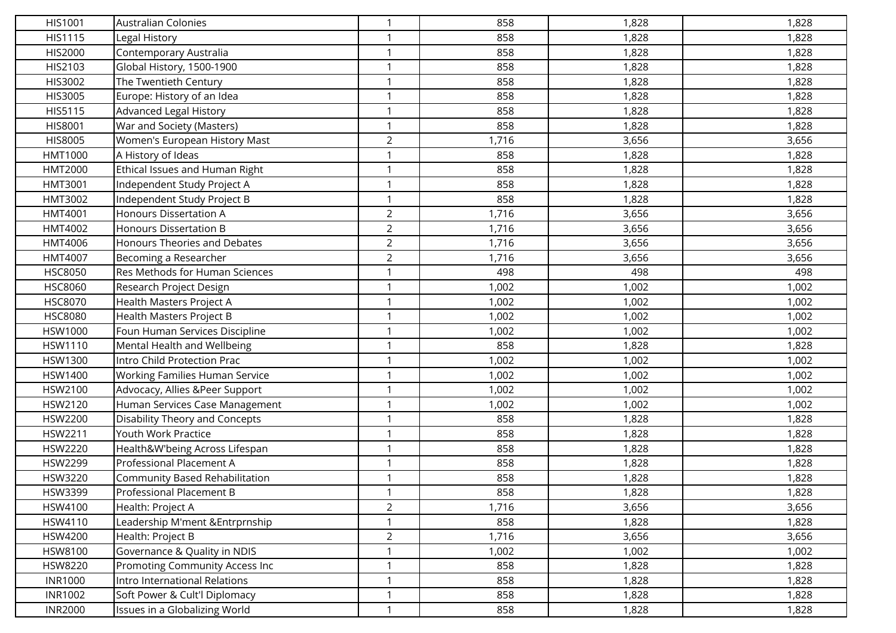| HIS1001        | <b>Australian Colonies</b>          | $\mathbf{1}$   | 858   | 1,828 | 1,828 |
|----------------|-------------------------------------|----------------|-------|-------|-------|
| HIS1115        | Legal History                       | $\mathbf 1$    | 858   | 1,828 | 1,828 |
| HIS2000        | Contemporary Australia              | -1             | 858   | 1,828 | 1,828 |
| HIS2103        | Global History, 1500-1900           | $\mathbf{1}$   | 858   | 1,828 | 1,828 |
| HIS3002        | The Twentieth Century               | $\mathbf 1$    | 858   | 1,828 | 1,828 |
| HIS3005        | Europe: History of an Idea          | $\mathbf{1}$   | 858   | 1,828 | 1,828 |
| HIS5115        | <b>Advanced Legal History</b>       | $\mathbf{1}$   | 858   | 1,828 | 1,828 |
| HIS8001        | War and Society (Masters)           | -1             | 858   | 1,828 | 1,828 |
| HIS8005        | Women's European History Mast       | $\overline{2}$ | 1,716 | 3,656 | 3,656 |
| HMT1000        | A History of Ideas                  | $\mathbf 1$    | 858   | 1,828 | 1,828 |
| HMT2000        | Ethical Issues and Human Right      | $\mathbf{1}$   | 858   | 1,828 | 1,828 |
| HMT3001        | Independent Study Project A         | $\mathbf{1}$   | 858   | 1,828 | 1,828 |
| HMT3002        | Independent Study Project B         | $\mathbf 1$    | 858   | 1,828 | 1,828 |
| HMT4001        | <b>Honours Dissertation A</b>       | $\overline{2}$ | 1,716 | 3,656 | 3,656 |
| HMT4002        | <b>Honours Dissertation B</b>       | $\overline{2}$ | 1,716 | 3,656 | 3,656 |
| HMT4006        | <b>Honours Theories and Debates</b> | $\overline{2}$ | 1,716 | 3,656 | 3,656 |
| HMT4007        | Becoming a Researcher               | $\overline{2}$ | 1,716 | 3,656 | 3,656 |
| <b>HSC8050</b> | Res Methods for Human Sciences      | -1             | 498   | 498   | 498   |
| <b>HSC8060</b> | Research Project Design             | 1              | 1,002 | 1,002 | 1,002 |
| <b>HSC8070</b> | Health Masters Project A            | $\mathbf 1$    | 1,002 | 1,002 | 1,002 |
| <b>HSC8080</b> | Health Masters Project B            | $\mathbf 1$    | 1,002 | 1,002 | 1,002 |
| HSW1000        | Foun Human Services Discipline      | $\mathbf 1$    | 1,002 | 1,002 | 1,002 |
| HSW1110        | Mental Health and Wellbeing         | -1             | 858   | 1,828 | 1,828 |
| HSW1300        | Intro Child Protection Prac         | $\mathbf{1}$   | 1,002 | 1,002 | 1,002 |
| HSW1400        | Working Families Human Service      | $\mathbf 1$    | 1,002 | 1,002 | 1,002 |
| HSW2100        | Advocacy, Allies &Peer Support      | $\mathbf{1}$   | 1,002 | 1,002 | 1,002 |
| HSW2120        | Human Services Case Management      | $\mathbf 1$    | 1,002 | 1,002 | 1,002 |
| HSW2200        | Disability Theory and Concepts      | -1             | 858   | 1,828 | 1,828 |
| HSW2211        | Youth Work Practice                 | 1              | 858   | 1,828 | 1,828 |
| HSW2220        | Health&W'being Across Lifespan      | $\mathbf 1$    | 858   | 1,828 | 1,828 |
| HSW2299        | <b>Professional Placement A</b>     | $\mathbf{1}$   | 858   | 1,828 | 1,828 |
| HSW3220        | Community Based Rehabilitation      | $\mathbf 1$    | 858   | 1,828 | 1,828 |
| HSW3399        | Professional Placement B            | $\mathbf{1}$   | 858   | 1,828 | 1,828 |
| HSW4100        | Health: Project A                   | $\overline{2}$ | 1,716 | 3,656 | 3,656 |
| HSW4110        | Leadership M'ment &Entrprnship      | $\mathbf 1$    | 858   | 1,828 | 1,828 |
| HSW4200        | Health: Project B                   | $\overline{2}$ | 1,716 | 3,656 | 3,656 |
| HSW8100        | Governance & Quality in NDIS        | $\mathbf{1}$   | 1,002 | 1,002 | 1,002 |
| <b>HSW8220</b> | Promoting Community Access Inc      | $\mathbf 1$    | 858   | 1,828 | 1,828 |
| <b>INR1000</b> | Intro International Relations       | $\mathbf{1}$   | 858   | 1,828 | 1,828 |
| <b>INR1002</b> | Soft Power & Cult'l Diplomacy       | $\mathbf 1$    | 858   | 1,828 | 1,828 |
| <b>INR2000</b> | Issues in a Globalizing World       | $\mathbf{1}$   | 858   | 1,828 | 1,828 |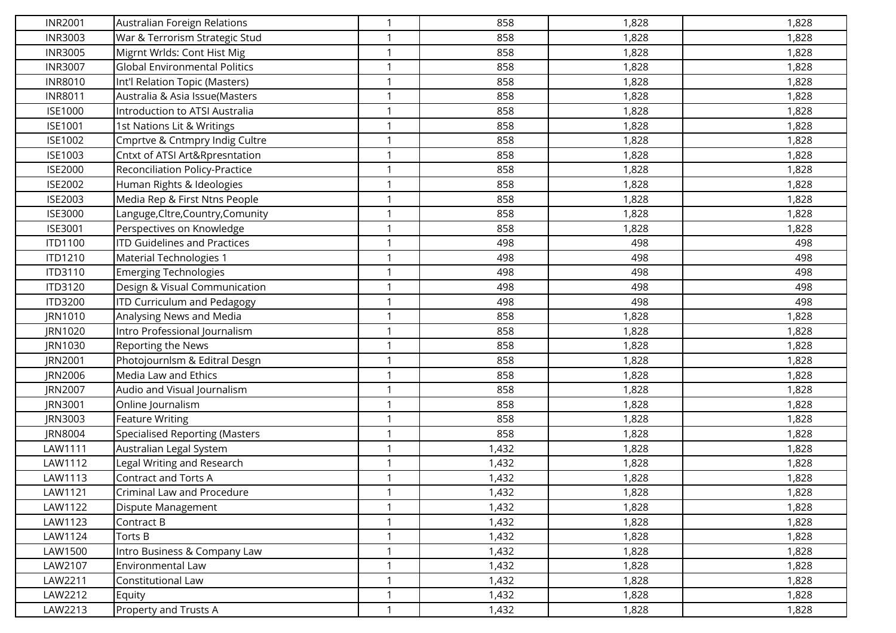| <b>INR2001</b> | Australian Foreign Relations          | $\mathbf 1$    | 858   | 1,828 | 1,828 |
|----------------|---------------------------------------|----------------|-------|-------|-------|
| <b>INR3003</b> | War & Terrorism Strategic Stud        | $\mathbf 1$    | 858   | 1,828 | 1,828 |
| <b>INR3005</b> | Migrnt Wrlds: Cont Hist Mig           | $\mathbf{1}$   | 858   | 1,828 | 1,828 |
| <b>INR3007</b> | <b>Global Environmental Politics</b>  | $\mathbf{1}$   | 858   | 1,828 | 1,828 |
| <b>INR8010</b> | Int'l Relation Topic (Masters)        | $\mathbf 1$    | 858   | 1,828 | 1,828 |
| <b>INR8011</b> | Australia & Asia Issue(Masters        | $\overline{1}$ | 858   | 1,828 | 1,828 |
| <b>ISE1000</b> | Introduction to ATSI Australia        | $\mathbf{1}$   | 858   | 1,828 | 1,828 |
| <b>ISE1001</b> | 1st Nations Lit & Writings            |                | 858   | 1,828 | 1,828 |
| <b>ISE1002</b> | Cmprtve & Cntmpry Indig Cultre        | $\mathbf{1}$   | 858   | 1,828 | 1,828 |
| ISE1003        | Cntxt of ATSI Art&Rpresntation        | $\mathbf 1$    | 858   | 1,828 | 1,828 |
| <b>ISE2000</b> | Reconciliation Policy-Practice        | $\mathbf{1}$   | 858   | 1,828 | 1,828 |
| <b>ISE2002</b> | Human Rights & Ideologies             | $\mathbf{1}$   | 858   | 1,828 | 1,828 |
| ISE2003        | Media Rep & First Ntns People         | $\mathbf{1}$   | 858   | 1,828 | 1,828 |
| <b>ISE3000</b> | Languge, Cltre, Country, Comunity     | $\mathbf{1}$   | 858   | 1,828 | 1,828 |
| ISE3001        | Perspectives on Knowledge             | $\mathbf 1$    | 858   | 1,828 | 1,828 |
| <b>ITD1100</b> | <b>ITD Guidelines and Practices</b>   | $\mathbf{1}$   | 498   | 498   | 498   |
| ITD1210        | Material Technologies 1               | $\mathbf{1}$   | 498   | 498   | 498   |
| ITD3110        | <b>Emerging Technologies</b>          | $\mathbf 1$    | 498   | 498   | 498   |
| ITD3120        | Design & Visual Communication         | $\mathbf{1}$   | 498   | 498   | 498   |
| <b>ITD3200</b> | <b>ITD Curriculum and Pedagogy</b>    | $\mathbf 1$    | 498   | 498   | 498   |
| JRN1010        | Analysing News and Media              | $\mathbf{1}$   | 858   | 1,828 | 1,828 |
| JRN1020        | Intro Professional Journalism         | $\mathbf{1}$   | 858   | 1,828 | 1,828 |
| JRN1030        | Reporting the News                    | $\mathbf 1$    | 858   | 1,828 | 1,828 |
| JRN2001        | Photojournlsm & Editral Desgn         | $\mathbf{1}$   | 858   | 1,828 | 1,828 |
| JRN2006        | Media Law and Ethics                  | $\mathbf 1$    | 858   | 1,828 | 1,828 |
| JRN2007        | Audio and Visual Journalism           | $\mathbf{1}$   | 858   | 1,828 | 1,828 |
| JRN3001        | Online Journalism                     | $\mathbf{1}$   | 858   | 1,828 | 1,828 |
| JRN3003        | <b>Feature Writing</b>                |                | 858   | 1,828 | 1,828 |
| JRN8004        | <b>Specialised Reporting (Masters</b> | $\mathbf{1}$   | 858   | 1,828 | 1,828 |
| LAW1111        | Australian Legal System               | $\mathbf 1$    | 1,432 | 1,828 | 1,828 |
| LAW1112        | Legal Writing and Research            | $\mathbf{1}$   | 1,432 | 1,828 | 1,828 |
| LAW1113        | <b>Contract and Torts A</b>           | $\mathbf{1}$   | 1,432 | 1,828 | 1,828 |
| LAW1121        | Criminal Law and Procedure            | $\mathbf{1}$   | 1,432 | 1,828 | 1,828 |
| LAW1122        | Dispute Management                    | $\mathbf{1}$   | 1,432 | 1,828 | 1,828 |
| LAW1123        | Contract B                            | $\mathbf 1$    | 1,432 | 1,828 | 1,828 |
| LAW1124        | Torts B                               | $\mathbf{1}$   | 1,432 | 1,828 | 1,828 |
| LAW1500        | Intro Business & Company Law          | $\mathbf{1}$   | 1,432 | 1,828 | 1,828 |
| LAW2107        | Environmental Law                     | $\mathbf 1$    | 1,432 | 1,828 | 1,828 |
| LAW2211        | Constitutional Law                    | $\mathbf{1}$   | 1,432 | 1,828 | 1,828 |
| LAW2212        | Equity                                | $\mathbf 1$    | 1,432 | 1,828 | 1,828 |
| LAW2213        | Property and Trusts A                 | $\mathbf{1}$   | 1,432 | 1,828 | 1,828 |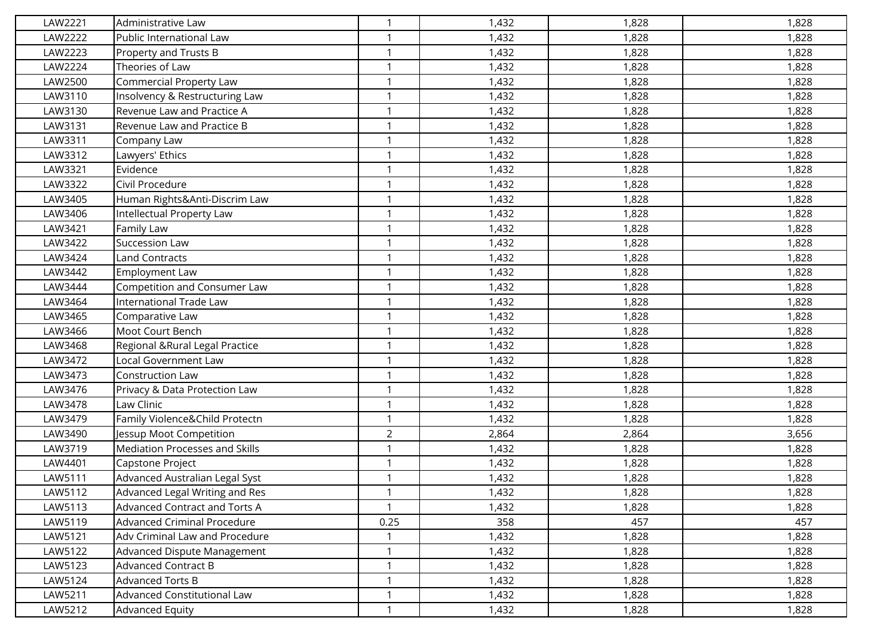| LAW2221 | Administrative Law                 | $\mathbf{1}$   | 1,432 | 1,828 | 1,828 |
|---------|------------------------------------|----------------|-------|-------|-------|
| LAW2222 | Public International Law           | $\mathbf 1$    | 1,432 | 1,828 | 1,828 |
| LAW2223 | Property and Trusts B              | $\mathbf 1$    | 1,432 | 1,828 | 1,828 |
| LAW2224 | Theories of Law                    | $\mathbf 1$    | 1,432 | 1,828 | 1,828 |
| LAW2500 | Commercial Property Law            | $\mathbf 1$    | 1,432 | 1,828 | 1,828 |
| LAW3110 | Insolvency & Restructuring Law     | $\mathbf{1}$   | 1,432 | 1,828 | 1,828 |
| LAW3130 | Revenue Law and Practice A         | $\mathbf{1}$   | 1,432 | 1,828 | 1,828 |
| LAW3131 | Revenue Law and Practice B         | $\mathbf 1$    | 1,432 | 1,828 | 1,828 |
| LAW3311 | Company Law                        | $\mathbf{1}$   | 1,432 | 1,828 | 1,828 |
| LAW3312 | Lawyers' Ethics                    | $\mathbf 1$    | 1,432 | 1,828 | 1,828 |
| LAW3321 | Evidence                           | $\mathbf{1}$   | 1,432 | 1,828 | 1,828 |
| LAW3322 | Civil Procedure                    | $\mathbf{1}$   | 1,432 | 1,828 | 1,828 |
| LAW3405 | Human Rights&Anti-Discrim Law      | $\mathbf 1$    | 1,432 | 1,828 | 1,828 |
| LAW3406 | Intellectual Property Law          | $\mathbf 1$    | 1,432 | 1,828 | 1,828 |
| LAW3421 | Family Law                         |                | 1,432 | 1,828 | 1,828 |
| LAW3422 | Succession Law                     | $\mathbf{1}$   | 1,432 | 1,828 | 1,828 |
| LAW3424 | <b>Land Contracts</b>              | $\mathbf{1}$   | 1,432 | 1,828 | 1,828 |
| LAW3442 | <b>Employment Law</b>              | $\mathbf 1$    | 1,432 | 1,828 | 1,828 |
| LAW3444 | Competition and Consumer Law       | $\mathbf{1}$   | 1,432 | 1,828 | 1,828 |
| LAW3464 | International Trade Law            | $\mathbf 1$    | 1,432 | 1,828 | 1,828 |
| LAW3465 | Comparative Law                    | $\mathbf{1}$   | 1,432 | 1,828 | 1,828 |
| LAW3466 | Moot Court Bench                   | $\mathbf{1}$   | 1,432 | 1,828 | 1,828 |
| LAW3468 | Regional & Rural Legal Practice    | $\mathbf 1$    | 1,432 | 1,828 | 1,828 |
| LAW3472 | Local Government Law               | $\mathbf 1$    | 1,432 | 1,828 | 1,828 |
| LAW3473 | Construction Law                   | $\mathbf 1$    | 1,432 | 1,828 | 1,828 |
| LAW3476 | Privacy & Data Protection Law      | $\mathbf{1}$   | 1,432 | 1,828 | 1,828 |
| LAW3478 | Law Clinic                         | $\mathbf{1}$   | 1,432 | 1,828 | 1,828 |
| LAW3479 | Family Violence&Child Protectn     |                | 1,432 | 1,828 | 1,828 |
| LAW3490 | Jessup Moot Competition            | $\overline{2}$ | 2,864 | 2,864 | 3,656 |
| LAW3719 | Mediation Processes and Skills     | $\mathbf 1$    | 1,432 | 1,828 | 1,828 |
| LAW4401 | Capstone Project                   | $\mathbf{1}$   | 1,432 | 1,828 | 1,828 |
| LAW5111 | Advanced Australian Legal Syst     |                | 1,432 | 1,828 | 1,828 |
| LAW5112 | Advanced Legal Writing and Res     | $\mathbf{1}$   | 1,432 | 1,828 | 1,828 |
| LAW5113 | Advanced Contract and Torts A      | $\mathbf{1}$   | 1,432 | 1,828 | 1,828 |
| LAW5119 | <b>Advanced Criminal Procedure</b> | 0.25           | 358   | 457   | 457   |
| LAW5121 | Adv Criminal Law and Procedure     | $\mathbf{1}$   | 1,432 | 1,828 | 1,828 |
| LAW5122 | Advanced Dispute Management        | $\mathbf{1}$   | 1,432 | 1,828 | 1,828 |
| LAW5123 | <b>Advanced Contract B</b>         | $\mathbf 1$    | 1,432 | 1,828 | 1,828 |
| LAW5124 | Advanced Torts B                   | $\mathbf{1}$   | 1,432 | 1,828 | 1,828 |
| LAW5211 | Advanced Constitutional Law        | $\mathbf 1$    | 1,432 | 1,828 | 1,828 |
| LAW5212 | <b>Advanced Equity</b>             | $\mathbf{1}$   | 1,432 | 1,828 | 1,828 |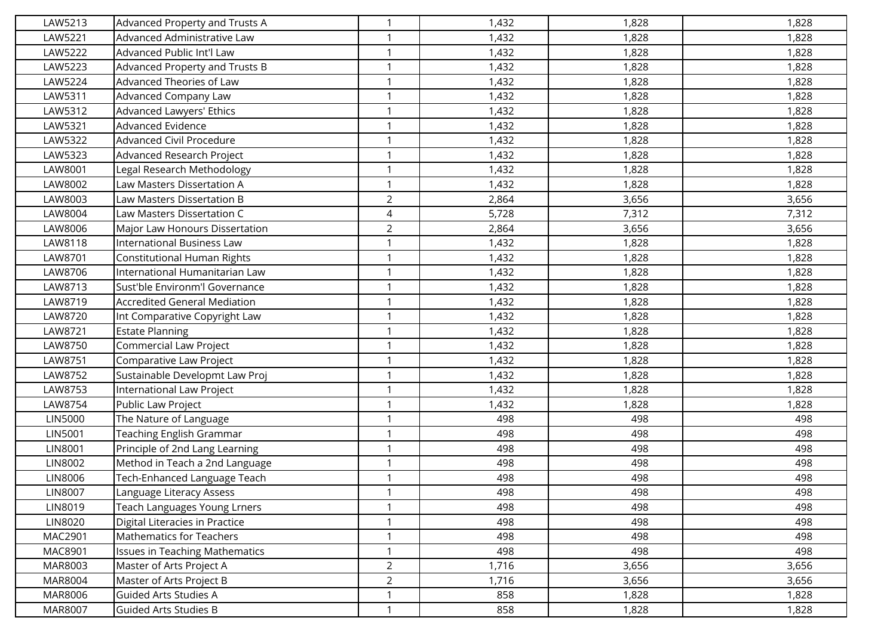| LAW5213 | Advanced Property and Trusts A      | $\mathbf{1}$   | 1,432 | 1,828 | 1,828 |
|---------|-------------------------------------|----------------|-------|-------|-------|
| LAW5221 | Advanced Administrative Law         | $\mathbf{1}$   | 1,432 | 1,828 | 1,828 |
| LAW5222 | Advanced Public Int'l Law           | $\mathbf{1}$   | 1,432 | 1,828 | 1,828 |
| LAW5223 | Advanced Property and Trusts B      | $\mathbf{1}$   | 1,432 | 1,828 | 1,828 |
| LAW5224 | Advanced Theories of Law            | $\mathbf 1$    | 1,432 | 1,828 | 1,828 |
| LAW5311 | Advanced Company Law                | $\mathbf{1}$   | 1,432 | 1,828 | 1,828 |
| LAW5312 | Advanced Lawyers' Ethics            | $\mathbf{1}$   | 1,432 | 1,828 | 1,828 |
| LAW5321 | <b>Advanced Evidence</b>            | $\mathbf 1$    | 1,432 | 1,828 | 1,828 |
| LAW5322 | Advanced Civil Procedure            | $\mathbf{1}$   | 1,432 | 1,828 | 1,828 |
| LAW5323 | Advanced Research Project           | $\mathbf 1$    | 1,432 | 1,828 | 1,828 |
| LAW8001 | Legal Research Methodology          | $\mathbf{1}$   | 1,432 | 1,828 | 1,828 |
| LAW8002 | Law Masters Dissertation A          | $\mathbf{1}$   | 1,432 | 1,828 | 1,828 |
| LAW8003 | Law Masters Dissertation B          | $\overline{2}$ | 2,864 | 3,656 | 3,656 |
| LAW8004 | Law Masters Dissertation C          | $\overline{4}$ | 5,728 | 7,312 | 7,312 |
| LAW8006 | Major Law Honours Dissertation      | $\overline{2}$ | 2,864 | 3,656 | 3,656 |
| LAW8118 | International Business Law          | $\mathbf{1}$   | 1,432 | 1,828 | 1,828 |
| LAW8701 | <b>Constitutional Human Rights</b>  | $\mathbf{1}$   | 1,432 | 1,828 | 1,828 |
| LAW8706 | International Humanitarian Law      | $\mathbf{1}$   | 1,432 | 1,828 | 1,828 |
| LAW8713 | Sust'ble Environm'l Governance      | $\mathbf{1}$   | 1,432 | 1,828 | 1,828 |
| LAW8719 | <b>Accredited General Mediation</b> | $\mathbf 1$    | 1,432 | 1,828 | 1,828 |
| LAW8720 | Int Comparative Copyright Law       | $\mathbf{1}$   | 1,432 | 1,828 | 1,828 |
| LAW8721 | <b>Estate Planning</b>              | $\mathbf{1}$   | 1,432 | 1,828 | 1,828 |
| LAW8750 | <b>Commercial Law Project</b>       | $\mathbf{1}$   | 1,432 | 1,828 | 1,828 |
| LAW8751 | Comparative Law Project             | $\mathbf{1}$   | 1,432 | 1,828 | 1,828 |
| LAW8752 | Sustainable Developmt Law Proj      | $\mathbf 1$    | 1,432 | 1,828 | 1,828 |
| LAW8753 | International Law Project           | $\mathbf{1}$   | 1,432 | 1,828 | 1,828 |
| LAW8754 | Public Law Project                  | $\mathbf{1}$   | 1,432 | 1,828 | 1,828 |
| LIN5000 | The Nature of Language              | $\mathbf 1$    | 498   | 498   | 498   |
| LIN5001 | Teaching English Grammar            | $\mathbf{1}$   | 498   | 498   | 498   |
| LIN8001 | Principle of 2nd Lang Learning      | $\mathbf 1$    | 498   | 498   | 498   |
| LIN8002 | Method in Teach a 2nd Language      | $\mathbf{1}$   | 498   | 498   | 498   |
| LIN8006 | Tech-Enhanced Language Teach        | $\mathbf{1}$   | 498   | 498   | 498   |
| LIN8007 | Language Literacy Assess            | $\mathbf{1}$   | 498   | 498   | 498   |
| LIN8019 | Teach Languages Young Lrners        | $\mathbf{1}$   | 498   | 498   | 498   |
| LIN8020 | Digital Literacies in Practice      | $\mathbf{1}$   | 498   | 498   | 498   |
| MAC2901 | <b>Mathematics for Teachers</b>     | $\mathbf{1}$   | 498   | 498   | 498   |
| MAC8901 | Issues in Teaching Mathematics      | $\mathbf{1}$   | 498   | 498   | 498   |
| MAR8003 | Master of Arts Project A            | $\overline{2}$ | 1,716 | 3,656 | 3,656 |
| MAR8004 | Master of Arts Project B            | $\overline{2}$ | 1,716 | 3,656 | 3,656 |
| MAR8006 | Guided Arts Studies A               | 1              | 858   | 1,828 | 1,828 |
| MAR8007 | <b>Guided Arts Studies B</b>        | $\mathbf{1}$   | 858   | 1,828 | 1,828 |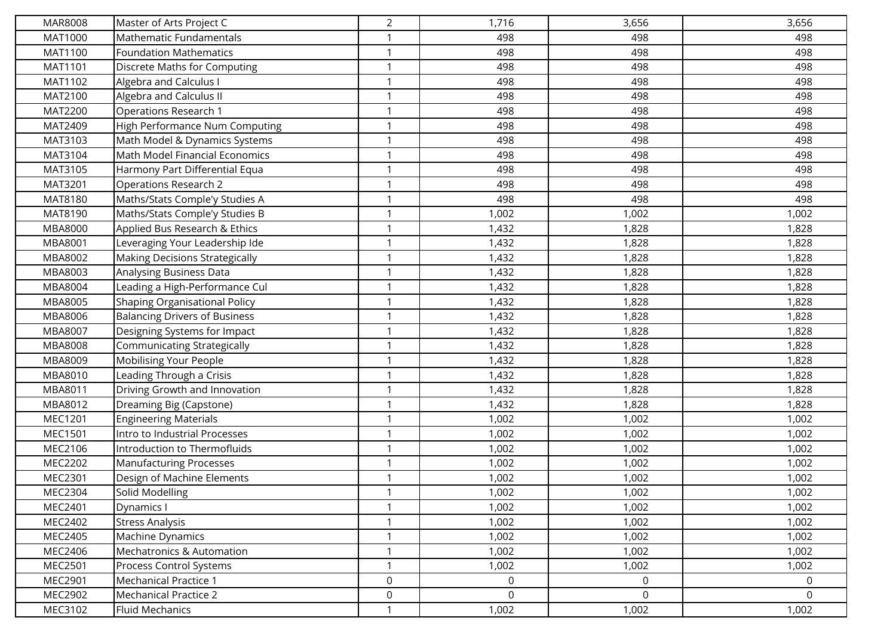| MAR8008 | Master of Arts Project C             | $\overline{2}$ | 1,716          | 3,656       | 3,656       |
|---------|--------------------------------------|----------------|----------------|-------------|-------------|
| MAT1000 | Mathematic Fundamentals              | -1             | 498            | 498         | 498         |
| MAT1100 | <b>Foundation Mathematics</b>        | $\mathbf 1$    | 498            | 498         | 498         |
| MAT1101 | Discrete Maths for Computing         | $\mathbf 1$    | 498            | 498         | 498         |
| MAT1102 | Algebra and Calculus I               |                | 498            | 498         | 498         |
| MAT2100 | Algebra and Calculus II              | $\mathbf 1$    | 498            | 498         | 498         |
| MAT2200 | Operations Research 1                | 1              | 498            | 498         | 498         |
| MAT2409 | High Performance Num Computing       | $\mathbf 1$    | 498            | 498         | 498         |
| MAT3103 | Math Model & Dynamics Systems        | $\mathbf 1$    | 498            | 498         | 498         |
| MAT3104 | Math Model Financial Economics       | 1              | 498            | 498         | 498         |
| MAT3105 | Harmony Part Differential Equa       | $\mathbf 1$    | 498            | 498         | 498         |
| MAT3201 | Operations Research 2                | 1              | 498            | 498         | 498         |
| MAT8180 | Maths/Stats Comple'y Studies A       | $\mathbf 1$    | 498            | 498         | 498         |
| MAT8190 | Maths/Stats Comple'y Studies B       | $\mathbf 1$    | 1,002          | 1,002       | 1,002       |
| MBA8000 | Applied Bus Research & Ethics        |                | 1,432          | 1,828       | 1,828       |
| MBA8001 | Leveraging Your Leadership Ide       | $\mathbf 1$    | 1,432          | 1,828       | 1,828       |
| MBA8002 | Making Decisions Strategically       | 1              | 1,432          | 1,828       | 1,828       |
| MBA8003 | Analysing Business Data              | $\mathbf 1$    | 1,432          | 1,828       | 1,828       |
| MBA8004 | Leading a High-Performance Cul       | $\mathbf 1$    | 1,432          | 1,828       | 1,828       |
| MBA8005 | Shaping Organisational Policy        | -1             | 1,432          | 1,828       | 1,828       |
| MBA8006 | <b>Balancing Drivers of Business</b> | 1              | 1,432          | 1,828       | 1,828       |
| MBA8007 | Designing Systems for Impact         |                | 1,432          | 1,828       | 1,828       |
| MBA8008 | Communicating Strategically          | $\mathbf{1}$   | 1,432          | 1,828       | 1,828       |
| MBA8009 | Mobilising Your People               | 1              | 1,432          | 1,828       | 1,828       |
| MBA8010 | Leading Through a Crisis             |                | 1,432          | 1,828       | 1,828       |
| MBA8011 | Driving Growth and Innovation        | $\mathbf 1$    | 1,432          | 1,828       | 1,828       |
| MBA8012 | Dreaming Big (Capstone)              | 1              | 1,432          | 1,828       | 1,828       |
| MEC1201 | <b>Engineering Materials</b>         | $\mathbf 1$    | 1,002          | 1,002       | 1,002       |
| MEC1501 | Intro to Industrial Processes        | $\mathbf 1$    | 1,002          | 1,002       | 1,002       |
| MEC2106 | Introduction to Thermofluids         | -1             | 1,002          | 1,002       | 1,002       |
| MEC2202 | <b>Manufacturing Processes</b>       | -1             | 1,002          | 1,002       | 1,002       |
| MEC2301 | Design of Machine Elements           | 1              | 1,002          | 1,002       | 1,002       |
| MEC2304 | Solid Modelling                      | 1              | 1,002          | 1,002       | 1,002       |
| MEC2401 | Dynamics I                           | $\mathbf{1}$   | 1,002          | 1,002       | 1,002       |
| MEC2402 | <b>Stress Analysis</b>               |                | 1,002          | 1,002       | 1,002       |
| MEC2405 | Machine Dynamics                     | $\mathbf{1}$   | 1,002          | 1,002       | 1,002       |
| MEC2406 | <b>Mechatronics &amp; Automation</b> | $\mathbf 1$    | 1,002          | 1,002       | 1,002       |
| MEC2501 | Process Control Systems              | 1              | 1,002          | 1,002       | 1,002       |
| MEC2901 | <b>Mechanical Practice 1</b>         | 0              | $\mathbf 0$    | $\mathbf 0$ | $\mathbf 0$ |
| MEC2902 | Mechanical Practice 2                | 0              | $\overline{0}$ | $\mathbf 0$ | 0           |
| MEC3102 | <b>Fluid Mechanics</b>               |                | 1,002          | 1,002       | 1,002       |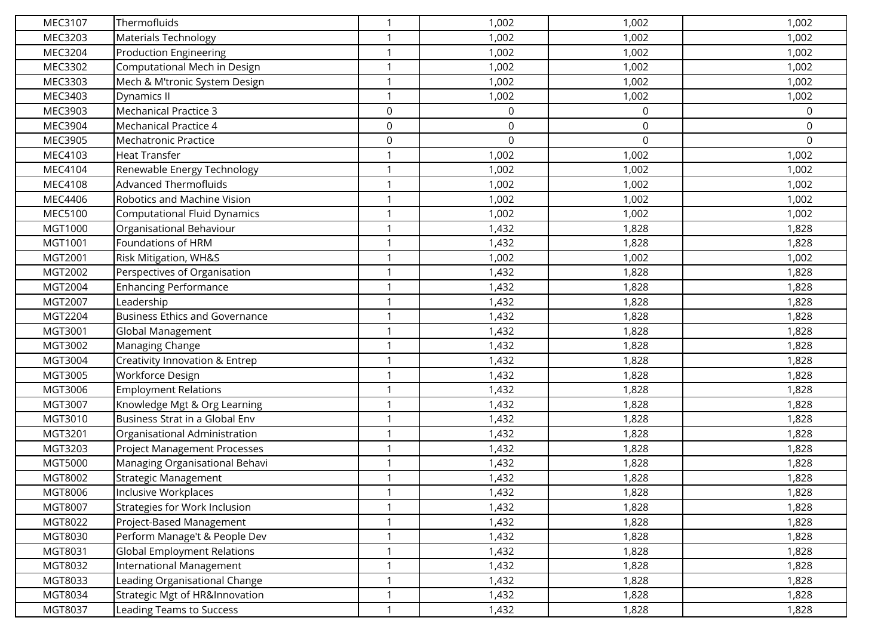| MEC3107 | Thermofluids                          | $\mathbf 1$  | 1,002            | 1,002            | 1,002 |
|---------|---------------------------------------|--------------|------------------|------------------|-------|
| MEC3203 | Materials Technology                  | $\mathbf{1}$ | 1,002            | 1,002            | 1,002 |
| MEC3204 | <b>Production Engineering</b>         | $\mathbf 1$  | 1,002            | 1,002            | 1,002 |
| MEC3302 | Computational Mech in Design          | $\mathbf{1}$ | 1,002            | 1,002            | 1,002 |
| MEC3303 | Mech & M'tronic System Design         | $\mathbf{1}$ | 1,002            | 1,002            | 1,002 |
| MEC3403 | Dynamics II                           | $\mathbf{1}$ | 1,002            | 1,002            | 1,002 |
| MEC3903 | <b>Mechanical Practice 3</b>          | $\mathsf 0$  | $\boldsymbol{0}$ | $\boldsymbol{0}$ | 0     |
| MEC3904 | <b>Mechanical Practice 4</b>          | $\mathbf 0$  | $\boldsymbol{0}$ | $\mathbf 0$      | 0     |
| MEC3905 | Mechatronic Practice                  | $\mathbf 0$  | $\mathbf 0$      | 0                | 0     |
| MEC4103 | <b>Heat Transfer</b>                  | $\mathbf 1$  | 1,002            | 1,002            | 1,002 |
| MEC4104 | Renewable Energy Technology           | $\mathbf{1}$ | 1,002            | 1,002            | 1,002 |
| MEC4108 | <b>Advanced Thermofluids</b>          | $\mathbf{1}$ | 1,002            | 1,002            | 1,002 |
| MEC4406 | Robotics and Machine Vision           | $\mathbf{1}$ | 1,002            | 1,002            | 1,002 |
| MEC5100 | <b>Computational Fluid Dynamics</b>   | $\mathbf{1}$ | 1,002            | 1,002            | 1,002 |
| MGT1000 | Organisational Behaviour              | $\mathbf{1}$ | 1,432            | 1,828            | 1,828 |
| MGT1001 | Foundations of HRM                    | $\mathbf{1}$ | 1,432            | 1,828            | 1,828 |
| MGT2001 | Risk Mitigation, WH&S                 | $\mathbf{1}$ | 1,002            | 1,002            | 1,002 |
| MGT2002 | Perspectives of Organisation          | $\mathbf 1$  | 1,432            | 1,828            | 1,828 |
| MGT2004 | <b>Enhancing Performance</b>          | $\mathbf{1}$ | 1,432            | 1,828            | 1,828 |
| MGT2007 | Leadership                            | $\mathbf{1}$ | 1,432            | 1,828            | 1,828 |
| MGT2204 | <b>Business Ethics and Governance</b> | 1            | 1,432            | 1,828            | 1,828 |
| MGT3001 | Global Management                     | $\mathbf{1}$ | 1,432            | 1,828            | 1,828 |
| MGT3002 | Managing Change                       | $\mathbf{1}$ | 1,432            | 1,828            | 1,828 |
| MGT3004 | Creativity Innovation & Entrep        | $\mathbf{1}$ | 1,432            | 1,828            | 1,828 |
| MGT3005 | Workforce Design                      | $\mathbf{1}$ | 1,432            | 1,828            | 1,828 |
| MGT3006 | <b>Employment Relations</b>           | $\mathbf{1}$ | 1,432            | 1,828            | 1,828 |
| MGT3007 | Knowledge Mgt & Org Learning          | $\mathbf{1}$ | 1,432            | 1,828            | 1,828 |
| MGT3010 | Business Strat in a Global Env        | $\mathbf{1}$ | 1,432            | 1,828            | 1,828 |
| MGT3201 | Organisational Administration         | $\mathbf{1}$ | 1,432            | 1,828            | 1,828 |
| MGT3203 | <b>Project Management Processes</b>   | $\mathbf{1}$ | 1,432            | 1,828            | 1,828 |
| MGT5000 | Managing Organisational Behavi        | $\mathbf 1$  | 1,432            | 1,828            | 1,828 |
| MGT8002 | Strategic Management                  | $\mathbf{1}$ | 1,432            | 1,828            | 1,828 |
| MGT8006 | Inclusive Workplaces                  | $\mathbf{1}$ | 1,432            | 1,828            | 1,828 |
| MGT8007 | Strategies for Work Inclusion         | $\mathbf{1}$ | 1,432            | 1,828            | 1,828 |
| MGT8022 | Project-Based Management              | $\mathbf{1}$ | 1,432            | 1,828            | 1,828 |
| MGT8030 | Perform Manage't & People Dev         | $\mathbf{1}$ | 1,432            | 1,828            | 1,828 |
| MGT8031 | <b>Global Employment Relations</b>    | $\mathbf{1}$ | 1,432            | 1,828            | 1,828 |
| MGT8032 | International Management              | $\mathbf 1$  | 1,432            | 1,828            | 1,828 |
| MGT8033 | Leading Organisational Change         | $\mathbf{1}$ | 1,432            | 1,828            | 1,828 |
| MGT8034 | Strategic Mgt of HR&Innovation        | $\mathbf{1}$ | 1,432            | 1,828            | 1,828 |
| MGT8037 | <b>Leading Teams to Success</b>       | $\mathbf{1}$ | 1,432            | 1,828            | 1,828 |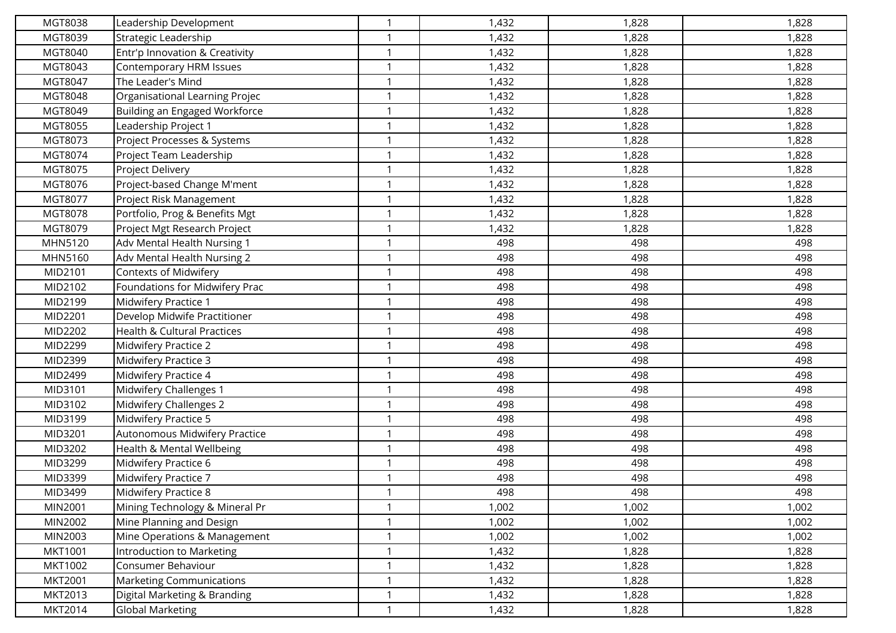| MGT8038        | Leadership Development          | $\mathbf 1$  | 1,432 | 1,828 | 1,828 |
|----------------|---------------------------------|--------------|-------|-------|-------|
| MGT8039        | Strategic Leadership            | $\mathbf 1$  | 1,432 | 1,828 | 1,828 |
| MGT8040        | Entr'p Innovation & Creativity  |              | 1,432 | 1,828 | 1,828 |
| MGT8043        | Contemporary HRM Issues         | $\mathbf 1$  | 1,432 | 1,828 | 1,828 |
| MGT8047        | The Leader's Mind               | $\mathbf 1$  | 1,432 | 1,828 | 1,828 |
| MGT8048        | Organisational Learning Projec  | $\mathbf{1}$ | 1,432 | 1,828 | 1,828 |
| MGT8049        | Building an Engaged Workforce   | $\mathbf{1}$ | 1,432 | 1,828 | 1,828 |
| MGT8055        | Leadership Project 1            |              | 1,432 | 1,828 | 1,828 |
| MGT8073        | Project Processes & Systems     | $\mathbf{1}$ | 1,432 | 1,828 | 1,828 |
| MGT8074        | Project Team Leadership         | $\mathbf 1$  | 1,432 | 1,828 | 1,828 |
| MGT8075        | Project Delivery                | $\mathbf{1}$ | 1,432 | 1,828 | 1,828 |
| MGT8076        | Project-based Change M'ment     | $\mathbf{1}$ | 1,432 | 1,828 | 1,828 |
| MGT8077        | Project Risk Management         | $\mathbf 1$  | 1,432 | 1,828 | 1,828 |
| MGT8078        | Portfolio, Prog & Benefits Mgt  | $\mathbf 1$  | 1,432 | 1,828 | 1,828 |
| MGT8079        | Project Mgt Research Project    |              | 1,432 | 1,828 | 1,828 |
| MHN5120        | Adv Mental Health Nursing 1     | $\mathbf{1}$ | 498   | 498   | 498   |
| MHN5160        | Adv Mental Health Nursing 2     | $\mathbf{1}$ | 498   | 498   | 498   |
| MID2101        | Contexts of Midwifery           |              | 498   | 498   | 498   |
| MID2102        | Foundations for Midwifery Prac  | $\mathbf{1}$ | 498   | 498   | 498   |
| MID2199        | Midwifery Practice 1            | $\mathbf 1$  | 498   | 498   | 498   |
| MID2201        | Develop Midwife Practitioner    | $\mathbf{1}$ | 498   | 498   | 498   |
| MID2202        | Health & Cultural Practices     | $\mathbf{1}$ | 498   | 498   | 498   |
| MID2299        | Midwifery Practice 2            |              | 498   | 498   | 498   |
| MID2399        | Midwifery Practice 3            | $\mathbf 1$  | 498   | 498   | 498   |
| MID2499        | Midwifery Practice 4            | $\mathbf 1$  | 498   | 498   | 498   |
| MID3101        | Midwifery Challenges 1          | $\mathbf{1}$ | 498   | 498   | 498   |
| MID3102        | Midwifery Challenges 2          | $\mathbf{1}$ | 498   | 498   | 498   |
| MID3199        | Midwifery Practice 5            |              | 498   | 498   | 498   |
| MID3201        | Autonomous Midwifery Practice   | $\mathbf{1}$ | 498   | 498   | 498   |
| MID3202        | Health & Mental Wellbeing       | $\mathbf 1$  | 498   | 498   | 498   |
| MID3299        | Midwifery Practice 6            | $\mathbf{1}$ | 498   | 498   | 498   |
| MID3399        | Midwifery Practice 7            |              | 498   | 498   | 498   |
| MID3499        | Midwifery Practice 8            | $\mathbf{1}$ | 498   | 498   | 498   |
| MIN2001        | Mining Technology & Mineral Pr  | $\mathbf{1}$ | 1,002 | 1,002 | 1,002 |
| MIN2002        | Mine Planning and Design        | $\mathbf 1$  | 1,002 | 1,002 | 1,002 |
| MIN2003        | Mine Operations & Management    | $\mathbf{1}$ | 1,002 | 1,002 | 1,002 |
| MKT1001        | Introduction to Marketing       | $\mathbf{1}$ | 1,432 | 1,828 | 1,828 |
| <b>MKT1002</b> | Consumer Behaviour              | $\mathbf 1$  | 1,432 | 1,828 | 1,828 |
| MKT2001        | <b>Marketing Communications</b> | $\mathbf{1}$ | 1,432 | 1,828 | 1,828 |
| MKT2013        | Digital Marketing & Branding    |              | 1,432 | 1,828 | 1,828 |
| <b>MKT2014</b> | <b>Global Marketing</b>         | $\mathbf{1}$ | 1,432 | 1,828 | 1,828 |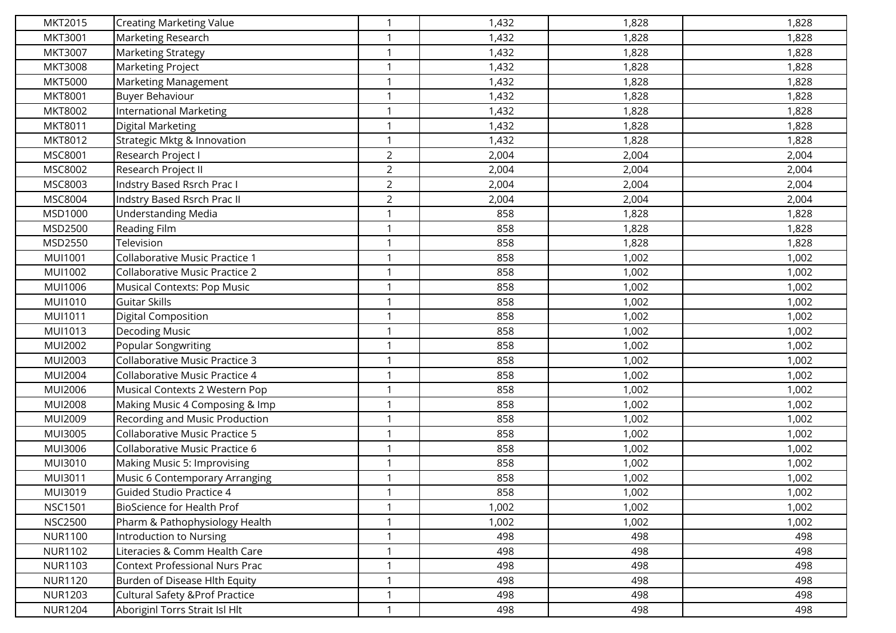| MKT2015        | <b>Creating Marketing Value</b>            | $\mathbf 1$    | 1,432 | 1,828 | 1,828 |
|----------------|--------------------------------------------|----------------|-------|-------|-------|
| MKT3001        | Marketing Research                         | $\mathbf 1$    | 1,432 | 1,828 | 1,828 |
| <b>MKT3007</b> | <b>Marketing Strategy</b>                  | -1             | 1,432 | 1,828 | 1,828 |
| <b>MKT3008</b> | <b>Marketing Project</b>                   | $\mathbf{1}$   | 1,432 | 1,828 | 1,828 |
| <b>MKT5000</b> | Marketing Management                       | -1             | 1,432 | 1,828 | 1,828 |
| <b>MKT8001</b> | <b>Buyer Behaviour</b>                     | $\mathbf{1}$   | 1,432 | 1,828 | 1,828 |
| MKT8002        | International Marketing                    | $\mathbf 1$    | 1,432 | 1,828 | 1,828 |
| MKT8011        | Digital Marketing                          |                | 1,432 | 1,828 | 1,828 |
| MKT8012        | Strategic Mktg & Innovation                | $\mathbf{1}$   | 1,432 | 1,828 | 1,828 |
| MSC8001        | Research Project I                         | $\overline{2}$ | 2,004 | 2,004 | 2,004 |
| MSC8002        | Research Project II                        | $\overline{2}$ | 2,004 | 2,004 | 2,004 |
| MSC8003        | Indstry Based Rsrch Prac I                 | $\overline{2}$ | 2,004 | 2,004 | 2,004 |
| MSC8004        | Indstry Based Rsrch Prac II                | $\overline{2}$ | 2,004 | 2,004 | 2,004 |
| MSD1000        | <b>Understanding Media</b>                 | $\mathbf{1}$   | 858   | 1,828 | 1,828 |
| MSD2500        | Reading Film                               | -1             | 858   | 1,828 | 1,828 |
| MSD2550        | Television                                 | $\mathbf{1}$   | 858   | 1,828 | 1,828 |
| <b>MUI1001</b> | Collaborative Music Practice 1             | $\mathbf{1}$   | 858   | 1,002 | 1,002 |
| MUI1002        | Collaborative Music Practice 2             | $\mathbf 1$    | 858   | 1,002 | 1,002 |
| MUI1006        | <b>Musical Contexts: Pop Music</b>         | 1              | 858   | 1,002 | 1,002 |
| MUI1010        | <b>Guitar Skills</b>                       | $\mathbf 1$    | 858   | 1,002 | 1,002 |
| MUI1011        | <b>Digital Composition</b>                 | $\mathbf 1$    | 858   | 1,002 | 1,002 |
| MUI1013        | <b>Decoding Music</b>                      | $\mathbf 1$    | 858   | 1,002 | 1,002 |
| MUI2002        | <b>Popular Songwriting</b>                 | -1             | 858   | 1,002 | 1,002 |
| MUI2003        | <b>Collaborative Music Practice 3</b>      | -1             | 858   | 1,002 | 1,002 |
| MUI2004        | Collaborative Music Practice 4             | $\mathbf 1$    | 858   | 1,002 | 1,002 |
| MUI2006        | Musical Contexts 2 Western Pop             | $\mathbf{1}$   | 858   | 1,002 | 1,002 |
| <b>MUI2008</b> | Making Music 4 Composing & Imp             | $\mathbf 1$    | 858   | 1,002 | 1,002 |
| MUI2009        | Recording and Music Production             | -1             | 858   | 1,002 | 1,002 |
| <b>MUI3005</b> | <b>Collaborative Music Practice 5</b>      | 1              | 858   | 1,002 | 1,002 |
| MUI3006        | Collaborative Music Practice 6             | $\mathbf 1$    | 858   | 1,002 | 1,002 |
| MUI3010        | Making Music 5: Improvising                | $\mathbf{1}$   | 858   | 1,002 | 1,002 |
| MUI3011        | Music 6 Contemporary Arranging             | $\mathbf 1$    | 858   | 1,002 | 1,002 |
| MUI3019        | Guided Studio Practice 4                   | $\mathbf{1}$   | 858   | 1,002 | 1,002 |
| <b>NSC1501</b> | BioScience for Health Prof                 | $\mathbf{1}$   | 1,002 | 1,002 | 1,002 |
| <b>NSC2500</b> | Pharm & Pathophysiology Health             | $\mathbf 1$    | 1,002 | 1,002 | 1,002 |
| <b>NUR1100</b> | Introduction to Nursing                    | $\mathbf{1}$   | 498   | 498   | 498   |
| <b>NUR1102</b> | Literacies & Comm Health Care              | $\mathbf 1$    | 498   | 498   | 498   |
| <b>NUR1103</b> | <b>Context Professional Nurs Prac</b>      | -1             | 498   | 498   | 498   |
| <b>NUR1120</b> | Burden of Disease Hlth Equity              | $\mathbf{1}$   | 498   | 498   | 498   |
| <b>NUR1203</b> | <b>Cultural Safety &amp; Prof Practice</b> | $\mathbf 1$    | 498   | 498   | 498   |
| <b>NUR1204</b> | Aboriginl Torrs Strait Isl Hlt             | $\mathbf{1}$   | 498   | 498   | 498   |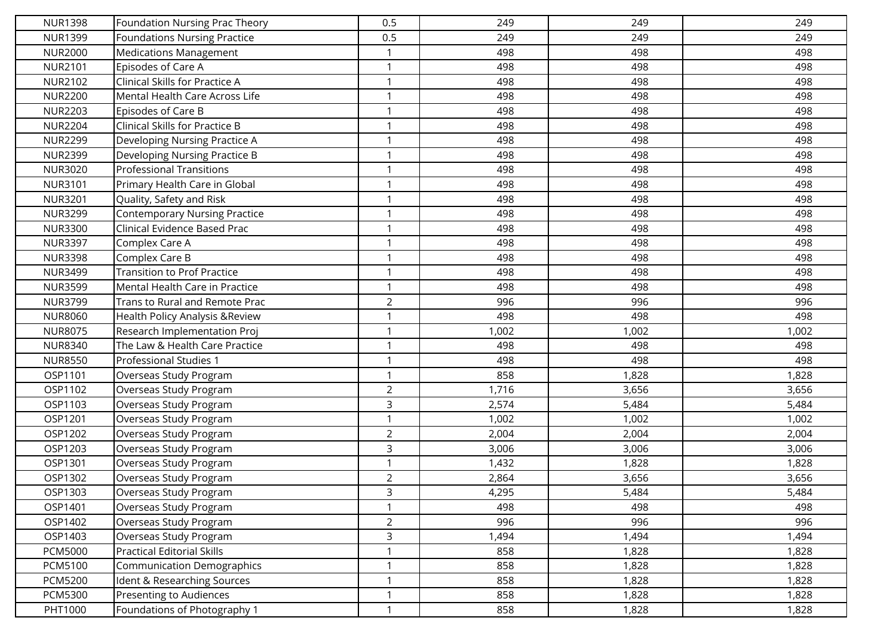| <b>NUR1398</b> | Foundation Nursing Prac Theory       | 0.5            | 249   | 249   | 249   |
|----------------|--------------------------------------|----------------|-------|-------|-------|
| <b>NUR1399</b> | <b>Foundations Nursing Practice</b>  | 0.5            | 249   | 249   | 249   |
| <b>NUR2000</b> | <b>Medications Management</b>        |                | 498   | 498   | 498   |
| <b>NUR2101</b> | Episodes of Care A                   | $\mathbf{1}$   | 498   | 498   | 498   |
| <b>NUR2102</b> | Clinical Skills for Practice A       | $\mathbf 1$    | 498   | 498   | 498   |
| <b>NUR2200</b> | Mental Health Care Across Life       | $\overline{1}$ | 498   | 498   | 498   |
| <b>NUR2203</b> | Episodes of Care B                   | $\mathbf{1}$   | 498   | 498   | 498   |
| <b>NUR2204</b> | Clinical Skills for Practice B       | $\mathbf 1$    | 498   | 498   | 498   |
| <b>NUR2299</b> | Developing Nursing Practice A        | $\mathbf{1}$   | 498   | 498   | 498   |
| <b>NUR2399</b> | Developing Nursing Practice B        | $\mathbf{1}$   | 498   | 498   | 498   |
| <b>NUR3020</b> | <b>Professional Transitions</b>      | $\mathbf{1}$   | 498   | 498   | 498   |
| <b>NUR3101</b> | Primary Health Care in Global        | $\mathbf{1}$   | 498   | 498   | 498   |
| <b>NUR3201</b> | Quality, Safety and Risk             | $\mathbf{1}$   | 498   | 498   | 498   |
| <b>NUR3299</b> | <b>Contemporary Nursing Practice</b> | $\mathbf{1}$   | 498   | 498   | 498   |
| <b>NUR3300</b> | Clinical Evidence Based Prac         | $\mathbf 1$    | 498   | 498   | 498   |
| <b>NUR3397</b> | Complex Care A                       | $\mathbf{1}$   | 498   | 498   | 498   |
| <b>NUR3398</b> | Complex Care B                       | $\mathbf{1}$   | 498   | 498   | 498   |
| <b>NUR3499</b> | <b>Transition to Prof Practice</b>   | $\mathbf{1}$   | 498   | 498   | 498   |
| <b>NUR3599</b> | Mental Health Care in Practice       | $\mathbf{1}$   | 498   | 498   | 498   |
| <b>NUR3799</b> | Trans to Rural and Remote Prac       | $\overline{2}$ | 996   | 996   | 996   |
| <b>NUR8060</b> | Health Policy Analysis & Review      | $\mathbf{1}$   | 498   | 498   | 498   |
| <b>NUR8075</b> | Research Implementation Proj         | $\mathbf{1}$   | 1,002 | 1,002 | 1,002 |
| <b>NUR8340</b> | The Law & Health Care Practice       | $\mathbf{1}$   | 498   | 498   | 498   |
| <b>NUR8550</b> | Professional Studies 1               | $\mathbf{1}$   | 498   | 498   | 498   |
| OSP1101        | Overseas Study Program               | $\mathbf 1$    | 858   | 1,828 | 1,828 |
| OSP1102        | Overseas Study Program               | $\overline{2}$ | 1,716 | 3,656 | 3,656 |
| OSP1103        | Overseas Study Program               | 3              | 2,574 | 5,484 | 5,484 |
| OSP1201        | Overseas Study Program               |                | 1,002 | 1,002 | 1,002 |
| OSP1202        | Overseas Study Program               | $\overline{2}$ | 2,004 | 2,004 | 2,004 |
| OSP1203        | Overseas Study Program               | 3              | 3,006 | 3,006 | 3,006 |
| OSP1301        | Overseas Study Program               | $\overline{1}$ | 1,432 | 1,828 | 1,828 |
| OSP1302        | Overseas Study Program               | $\overline{2}$ | 2,864 | 3,656 | 3,656 |
| OSP1303        | Overseas Study Program               | 3              | 4,295 | 5,484 | 5,484 |
| OSP1401        | Overseas Study Program               | $\mathbf{1}$   | 498   | 498   | 498   |
| OSP1402        | Overseas Study Program               | $\overline{2}$ | 996   | 996   | 996   |
| OSP1403        | Overseas Study Program               | $\mathsf{3}$   | 1,494 | 1,494 | 1,494 |
| <b>PCM5000</b> | <b>Practical Editorial Skills</b>    | $\mathbf{1}$   | 858   | 1,828 | 1,828 |
| <b>PCM5100</b> | Communication Demographics           | $\mathbf 1$    | 858   | 1,828 | 1,828 |
| <b>PCM5200</b> | Ident & Researching Sources          | $\mathbf{1}$   | 858   | 1,828 | 1,828 |
| <b>PCM5300</b> | Presenting to Audiences              | $\mathbf{1}$   | 858   | 1,828 | 1,828 |
| PHT1000        | Foundations of Photography 1         | $\mathbf{1}$   | 858   | 1,828 | 1,828 |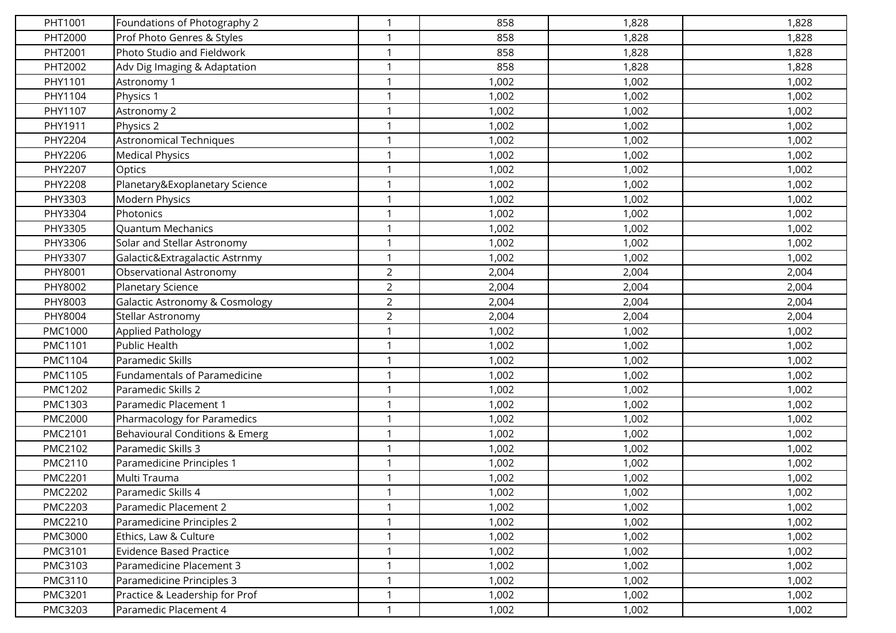| PHT1001        | Foundations of Photography 2              | $\mathbf 1$    | 858   | 1,828 | 1,828 |
|----------------|-------------------------------------------|----------------|-------|-------|-------|
| PHT2000        | Prof Photo Genres & Styles                | $\mathbf 1$    | 858   | 1,828 | 1,828 |
| PHT2001        | Photo Studio and Fieldwork                | $\mathbf 1$    | 858   | 1,828 | 1,828 |
| PHT2002        | Adv Dig Imaging & Adaptation              | $\mathbf{1}$   | 858   | 1,828 | 1,828 |
| PHY1101        | Astronomy 1                               | $\mathbf 1$    | 1,002 | 1,002 | 1,002 |
| PHY1104        | Physics 1                                 | $\mathbf{1}$   | 1,002 | 1,002 | 1,002 |
| PHY1107        | Astronomy 2                               | $\mathbf{1}$   | 1,002 | 1,002 | 1,002 |
| PHY1911        | Physics 2                                 |                | 1,002 | 1,002 | 1,002 |
| PHY2204        | <b>Astronomical Techniques</b>            | $\mathbf{1}$   | 1,002 | 1,002 | 1,002 |
| PHY2206        | <b>Medical Physics</b>                    | $\mathbf 1$    | 1,002 | 1,002 | 1,002 |
| PHY2207        | Optics                                    | $\mathbf{1}$   | 1,002 | 1,002 | 1,002 |
| PHY2208        | Planetary&Exoplanetary Science            | $\mathbf{1}$   | 1,002 | 1,002 | 1,002 |
| PHY3303        | Modern Physics                            | $\mathbf{1}$   | 1,002 | 1,002 | 1,002 |
| PHY3304        | Photonics                                 | $\mathbf{1}$   | 1,002 | 1,002 | 1,002 |
| PHY3305        | Quantum Mechanics                         |                | 1,002 | 1,002 | 1,002 |
| PHY3306        | Solar and Stellar Astronomy               | $\mathbf{1}$   | 1,002 | 1,002 | 1,002 |
| PHY3307        | Galactic&Extragalactic Astrnmy            | $\mathbf{1}$   | 1,002 | 1,002 | 1,002 |
| PHY8001        | Observational Astronomy                   | $\overline{2}$ | 2,004 | 2,004 | 2,004 |
| PHY8002        | Planetary Science                         | $\overline{2}$ | 2,004 | 2,004 | 2,004 |
| PHY8003        | <b>Galactic Astronomy &amp; Cosmology</b> | $\overline{2}$ | 2,004 | 2,004 | 2,004 |
| PHY8004        | Stellar Astronomy                         | $\overline{2}$ | 2,004 | 2,004 | 2,004 |
| <b>PMC1000</b> | Applied Pathology                         | $\mathbf{1}$   | 1,002 | 1,002 | 1,002 |
| PMC1101        | Public Health                             | $\mathbf 1$    | 1,002 | 1,002 | 1,002 |
| PMC1104        | Paramedic Skills                          | $\mathbf 1$    | 1,002 | 1,002 | 1,002 |
| PMC1105        | Fundamentals of Paramedicine              | $\mathbf 1$    | 1,002 | 1,002 | 1,002 |
| PMC1202        | Paramedic Skills 2                        | $\mathbf{1}$   | 1,002 | 1,002 | 1,002 |
| PMC1303        | Paramedic Placement 1                     | $\mathbf{1}$   | 1,002 | 1,002 | 1,002 |
| <b>PMC2000</b> | Pharmacology for Paramedics               |                | 1,002 | 1,002 | 1,002 |
| PMC2101        | Behavioural Conditions & Emerg            | $\mathbf{1}$   | 1,002 | 1,002 | 1,002 |
| PMC2102        | Paramedic Skills 3                        | $\mathbf 1$    | 1,002 | 1,002 | 1,002 |
| PMC2110        | Paramedicine Principles 1                 | $\mathbf{1}$   | 1,002 | 1,002 | 1,002 |
| <b>PMC2201</b> | Multi Trauma                              | $\mathbf{1}$   | 1,002 | 1,002 | 1,002 |
| <b>PMC2202</b> | Paramedic Skills 4                        | $\mathbf 1$    | 1,002 | 1,002 | 1,002 |
| <b>PMC2203</b> | Paramedic Placement 2                     | $\mathbf{1}$   | 1,002 | 1,002 | 1,002 |
| <b>PMC2210</b> | Paramedicine Principles 2                 | $\mathbf 1$    | 1,002 | 1,002 | 1,002 |
| PMC3000        | Ethics, Law & Culture                     | $\mathbf{1}$   | 1,002 | 1,002 | 1,002 |
| PMC3101        | <b>Evidence Based Practice</b>            | $\mathbf{1}$   | 1,002 | 1,002 | 1,002 |
| PMC3103        | Paramedicine Placement 3                  | $\mathbf 1$    | 1,002 | 1,002 | 1,002 |
| PMC3110        | Paramedicine Principles 3                 | $\mathbf{1}$   | 1,002 | 1,002 | 1,002 |
| PMC3201        | Practice & Leadership for Prof            | $\mathbf 1$    | 1,002 | 1,002 | 1,002 |
| PMC3203        | Paramedic Placement 4                     | $\mathbf{1}$   | 1,002 | 1,002 | 1,002 |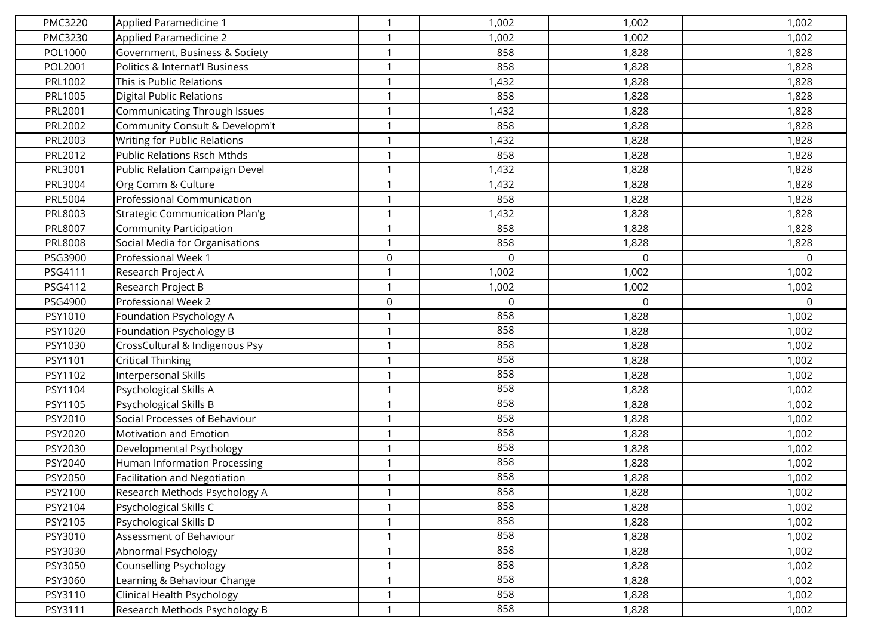| PMC3220 | Applied Paramedicine 1                | $\mathbf 1$    | 1,002       | 1,002    | 1,002 |
|---------|---------------------------------------|----------------|-------------|----------|-------|
| PMC3230 | Applied Paramedicine 2                | -1             | 1,002       | 1,002    | 1,002 |
| POL1000 | Government, Business & Society        | $\overline{1}$ | 858         | 1,828    | 1,828 |
| POL2001 | Politics & Internat'l Business        | $\mathbf 1$    | 858         | 1,828    | 1,828 |
| PRL1002 | This is Public Relations              | -1             | 1,432       | 1,828    | 1,828 |
| PRL1005 | <b>Digital Public Relations</b>       | $\overline{1}$ | 858         | 1,828    | 1,828 |
| PRL2001 | Communicating Through Issues          | $\overline{1}$ | 1,432       | 1,828    | 1,828 |
| PRL2002 | Community Consult & Developm't        |                | 858         | 1,828    | 1,828 |
| PRL2003 | Writing for Public Relations          | $\mathbf 1$    | 1,432       | 1,828    | 1,828 |
| PRL2012 | <b>Public Relations Rsch Mthds</b>    | -1             | 858         | 1,828    | 1,828 |
| PRL3001 | Public Relation Campaign Devel        | $\overline{1}$ | 1,432       | 1,828    | 1,828 |
| PRL3004 | Org Comm & Culture                    | $\mathbf 1$    | 1,432       | 1,828    | 1,828 |
| PRL5004 | Professional Communication            | $\mathbf 1$    | 858         | 1,828    | 1,828 |
| PRL8003 | <b>Strategic Communication Plan'g</b> | $\mathbf 1$    | 1,432       | 1,828    | 1,828 |
| PRL8007 | <b>Community Participation</b>        | -1             | 858         | 1,828    | 1,828 |
| PRL8008 | Social Media for Organisations        | $\mathbf{1}$   | 858         | 1,828    | 1,828 |
| PSG3900 | Professional Week 1                   | $\mathbf 0$    | $\mathbf 0$ | 0        | 0     |
| PSG4111 | Research Project A                    |                | 1,002       | 1,002    | 1,002 |
| PSG4112 | Research Project B                    | $\mathbf 1$    | 1,002       | 1,002    | 1,002 |
| PSG4900 | Professional Week 2                   | $\mathbf 0$    | 0           | $\Omega$ | 0     |
| PSY1010 | Foundation Psychology A               | $\mathbf{1}$   | 858         | 1,828    | 1,002 |
| PSY1020 | Foundation Psychology B               | -1             | 858         | 1,828    | 1,002 |
| PSY1030 | CrossCultural & Indigenous Psy        | $\mathbf 1$    | 858         | 1,828    | 1,002 |
| PSY1101 | <b>Critical Thinking</b>              | $\mathbf 1$    | 858         | 1,828    | 1,002 |
| PSY1102 | Interpersonal Skills                  | -1             | 858         | 1,828    | 1,002 |
| PSY1104 | Psychological Skills A                | $\mathbf 1$    | 858         | 1,828    | 1,002 |
| PSY1105 | Psychological Skills B                | $\overline{1}$ | 858         | 1,828    | 1,002 |
| PSY2010 | Social Processes of Behaviour         |                | 858         | 1,828    | 1,002 |
| PSY2020 | Motivation and Emotion                | $\mathbf{1}$   | 858         | 1,828    | 1,002 |
| PSY2030 | Developmental Psychology              | -1             | 858         | 1,828    | 1,002 |
| PSY2040 | <b>Human Information Processing</b>   | $\mathbf 1$    | 858         | 1,828    | 1,002 |
| PSY2050 | <b>Facilitation and Negotiation</b>   | $\mathbf 1$    | 858         | 1,828    | 1,002 |
| PSY2100 | Research Methods Psychology A         | $\mathbf{1}$   | 858         | 1,828    | 1,002 |
| PSY2104 | Psychological Skills C                | $\mathbf{1}$   | 858         | 1,828    | 1,002 |
| PSY2105 | Psychological Skills D                | $\mathbf 1$    | 858         | 1,828    | 1,002 |
| PSY3010 | Assessment of Behaviour               | $\mathbf{1}$   | 858         | 1,828    | 1,002 |
| PSY3030 | Abnormal Psychology                   | $\mathbf{1}$   | 858         | 1,828    | 1,002 |
| PSY3050 | Counselling Psychology                | $\mathbf 1$    | 858         | 1,828    | 1,002 |
| PSY3060 | Learning & Behaviour Change           | $\mathbf{1}$   | 858         | 1,828    | 1,002 |
| PSY3110 | Clinical Health Psychology            | $\mathbf 1$    | 858         | 1,828    | 1,002 |
| PSY3111 | Research Methods Psychology B         | $\mathbf{1}$   | 858         | 1,828    | 1,002 |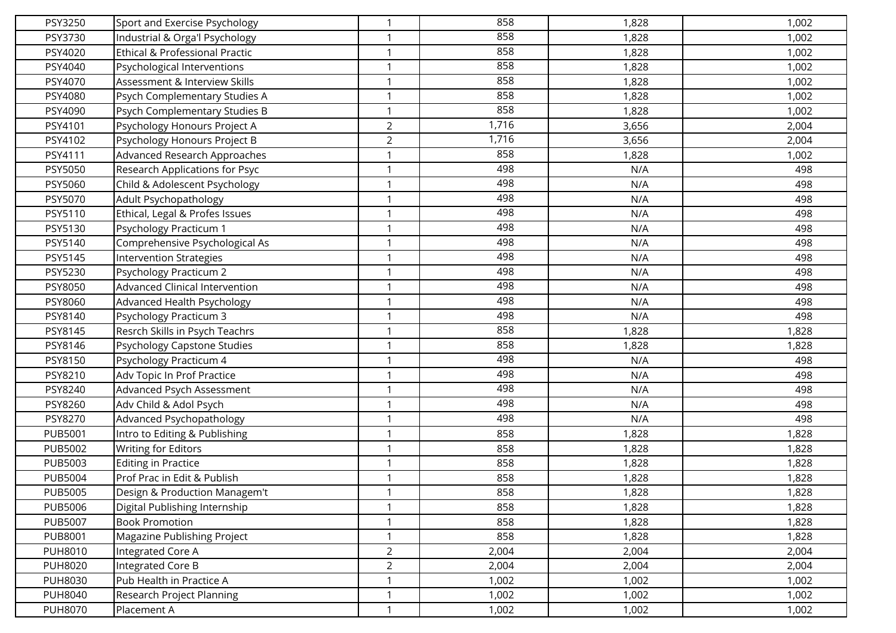| PSY3250        | Sport and Exercise Psychology             | $\mathbf{1}$   | 858   | 1,828 | 1,002 |
|----------------|-------------------------------------------|----------------|-------|-------|-------|
| PSY3730        | Industrial & Orga'l Psychology            | $\mathbf{1}$   | 858   | 1,828 | 1,002 |
| PSY4020        | <b>Ethical &amp; Professional Practic</b> | $\mathbf 1$    | 858   | 1,828 | 1,002 |
| PSY4040        | Psychological Interventions               | $\mathbf{1}$   | 858   | 1,828 | 1,002 |
| PSY4070        | Assessment & Interview Skills             | $\mathbf{1}$   | 858   | 1,828 | 1,002 |
| PSY4080        | Psych Complementary Studies A             | $\mathbf{1}$   | 858   | 1,828 | 1,002 |
| PSY4090        | Psych Complementary Studies B             | $\mathbf{1}$   | 858   | 1,828 | 1,002 |
| PSY4101        | Psychology Honours Project A              | $\overline{2}$ | 1,716 | 3,656 | 2,004 |
| PSY4102        | Psychology Honours Project B              | $\overline{2}$ | 1,716 | 3,656 | 2,004 |
| PSY4111        | Advanced Research Approaches              | $\mathbf{1}$   | 858   | 1,828 | 1,002 |
| PSY5050        | Research Applications for Psyc            | $\mathbf{1}$   | 498   | N/A   | 498   |
| PSY5060        | Child & Adolescent Psychology             | $\mathbf{1}$   | 498   | N/A   | 498   |
| PSY5070        | Adult Psychopathology                     | $\mathbf{1}$   | 498   | N/A   | 498   |
| PSY5110        | Ethical, Legal & Profes Issues            | $\mathbf{1}$   | 498   | N/A   | 498   |
| PSY5130        | Psychology Practicum 1                    | $\mathbf{1}$   | 498   | N/A   | 498   |
| PSY5140        | Comprehensive Psychological As            | $\mathbf{1}$   | 498   | N/A   | 498   |
| PSY5145        | <b>Intervention Strategies</b>            | $\mathbf{1}$   | 498   | N/A   | 498   |
| PSY5230        | Psychology Practicum 2                    | $\mathbf 1$    | 498   | N/A   | 498   |
| PSY8050        | Advanced Clinical Intervention            | $\mathbf{1}$   | 498   | N/A   | 498   |
| PSY8060        | Advanced Health Psychology                | $\mathbf{1}$   | 498   | N/A   | 498   |
| PSY8140        | Psychology Practicum 3                    | $\mathbf 1$    | 498   | N/A   | 498   |
| PSY8145        | Resrch Skills in Psych Teachrs            | $\mathbf{1}$   | 858   | 1,828 | 1,828 |
| PSY8146        | Psychology Capstone Studies               | $\mathbf{1}$   | 858   | 1,828 | 1,828 |
| PSY8150        | Psychology Practicum 4                    | $\mathbf{1}$   | 498   | N/A   | 498   |
| PSY8210        | Adv Topic In Prof Practice                | $\mathbf{1}$   | 498   | N/A   | 498   |
| PSY8240        | Advanced Psych Assessment                 | $\mathbf{1}$   | 498   | N/A   | 498   |
| PSY8260        | Adv Child & Adol Psych                    | $\mathbf{1}$   | 498   | N/A   | 498   |
| PSY8270        | Advanced Psychopathology                  | $\mathbf{1}$   | 498   | N/A   | 498   |
| <b>PUB5001</b> | Intro to Editing & Publishing             | $\mathbf{1}$   | 858   | 1,828 | 1,828 |
| PUB5002        | <b>Writing for Editors</b>                | $\mathbf{1}$   | 858   | 1,828 | 1,828 |
| PUB5003        | <b>Editing in Practice</b>                | $\mathbf 1$    | 858   | 1,828 | 1,828 |
| <b>PUB5004</b> | Prof Prac in Edit & Publish               | $\mathbf{1}$   | 858   | 1,828 | 1,828 |
| <b>PUB5005</b> | Design & Production Managem't             | $\mathbf{1}$   | 858   | 1,828 | 1,828 |
| <b>PUB5006</b> | Digital Publishing Internship             | $\mathbf{1}$   | 858   | 1,828 | 1,828 |
| <b>PUB5007</b> | <b>Book Promotion</b>                     | $\mathbf{1}$   | 858   | 1,828 | 1,828 |
| PUB8001        | Magazine Publishing Project               | $\mathbf{1}$   | 858   | 1,828 | 1,828 |
| <b>PUH8010</b> | Integrated Core A                         | $\overline{2}$ | 2,004 | 2,004 | 2,004 |
| <b>PUH8020</b> | Integrated Core B                         | $\overline{2}$ | 2,004 | 2,004 | 2,004 |
| <b>PUH8030</b> | Pub Health in Practice A                  | $\mathbf{1}$   | 1,002 | 1,002 | 1,002 |
| <b>PUH8040</b> | Research Project Planning                 | $\mathbf{1}$   | 1,002 | 1,002 | 1,002 |
| <b>PUH8070</b> | Placement A                               | $\mathbf{1}$   | 1,002 | 1,002 | 1,002 |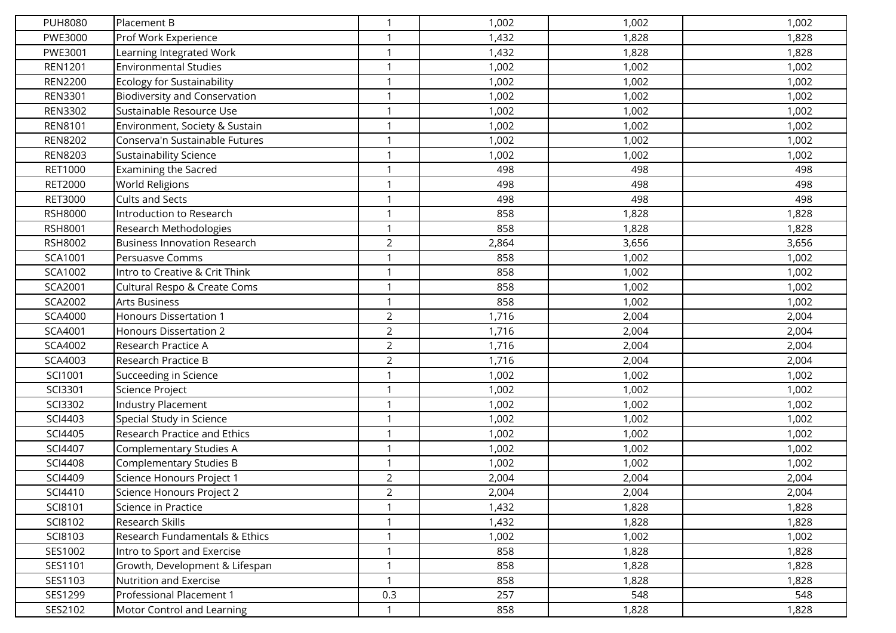| <b>PUH8080</b> | Placement B                          |                | 1,002 | 1,002 | 1,002 |
|----------------|--------------------------------------|----------------|-------|-------|-------|
| PWE3000        | Prof Work Experience                 | $\mathbf{1}$   | 1,432 | 1,828 | 1,828 |
| PWE3001        | Learning Integrated Work             | $\mathbf 1$    | 1,432 | 1,828 | 1,828 |
| <b>REN1201</b> | <b>Environmental Studies</b>         | $\mathbf{1}$   | 1,002 | 1,002 | 1,002 |
| <b>REN2200</b> | <b>Ecology for Sustainability</b>    | $\mathbf 1$    | 1,002 | 1,002 | 1,002 |
| <b>REN3301</b> | <b>Biodiversity and Conservation</b> |                | 1,002 | 1,002 | 1,002 |
| <b>REN3302</b> | Sustainable Resource Use             | $\mathbf 1$    | 1,002 | 1,002 | 1,002 |
| REN8101        | Environment, Society & Sustain       |                | 1,002 | 1,002 | 1,002 |
| <b>REN8202</b> | Conserva'n Sustainable Futures       | $\mathbf{1}$   | 1,002 | 1,002 | 1,002 |
| <b>REN8203</b> | <b>Sustainability Science</b>        | $\mathbf{1}$   | 1,002 | 1,002 | 1,002 |
| RET1000        | <b>Examining the Sacred</b>          | $\mathbf 1$    | 498   | 498   | 498   |
| <b>RET2000</b> | <b>World Religions</b>               | $\mathbf{1}$   | 498   | 498   | 498   |
| <b>RET3000</b> | <b>Cults and Sects</b>               | $\mathbf 1$    | 498   | 498   | 498   |
| <b>RSH8000</b> | Introduction to Research             | $\mathbf{1}$   | 858   | 1,828 | 1,828 |
| RSH8001        | Research Methodologies               | $\mathbf{1}$   | 858   | 1,828 | 1,828 |
| RSH8002        | <b>Business Innovation Research</b>  | $\overline{2}$ | 2,864 | 3,656 | 3,656 |
| SCA1001        | Persuasve Comms                      | $\mathbf{1}$   | 858   | 1,002 | 1,002 |
| SCA1002        | Intro to Creative & Crit Think       | $\mathbf 1$    | 858   | 1,002 | 1,002 |
| SCA2001        | Cultural Respo & Create Coms         | $\mathbf{1}$   | 858   | 1,002 | 1,002 |
| SCA2002        | <b>Arts Business</b>                 | $\mathbf{1}$   | 858   | 1,002 | 1,002 |
| <b>SCA4000</b> | <b>Honours Dissertation 1</b>        | $\overline{2}$ | 1,716 | 2,004 | 2,004 |
| SCA4001        | <b>Honours Dissertation 2</b>        | $\overline{2}$ | 1,716 | 2,004 | 2,004 |
| SCA4002        | Research Practice A                  | $\overline{2}$ | 1,716 | 2,004 | 2,004 |
| SCA4003        | Research Practice B                  | $\overline{2}$ | 1,716 | 2,004 | 2,004 |
| SCI1001        | Succeeding in Science                | $\mathbf{1}$   | 1,002 | 1,002 | 1,002 |
| SCI3301        | Science Project                      | -1             | 1,002 | 1,002 | 1,002 |
| SCI3302        | <b>Industry Placement</b>            | $\mathbf{1}$   | 1,002 | 1,002 | 1,002 |
| SCI4403        | Special Study in Science             |                | 1,002 | 1,002 | 1,002 |
| SCI4405        | <b>Research Practice and Ethics</b>  | $\mathbf{1}$   | 1,002 | 1,002 | 1,002 |
| SCI4407        | Complementary Studies A              | $\mathbf 1$    | 1,002 | 1,002 | 1,002 |
| <b>SCI4408</b> | <b>Complementary Studies B</b>       | -1             | 1,002 | 1,002 | 1,002 |
| SCI4409        | Science Honours Project 1            | $\overline{2}$ | 2,004 | 2,004 | 2,004 |
| SCI4410        | Science Honours Project 2            | $\overline{2}$ | 2,004 | 2,004 | 2,004 |
| SCI8101        | Science in Practice                  | $\mathbf{1}$   | 1,432 | 1,828 | 1,828 |
| SCI8102        | Research Skills                      | $\mathbf{1}$   | 1,432 | 1,828 | 1,828 |
| SCI8103        | Research Fundamentals & Ethics       | $\mathbf{1}$   | 1,002 | 1,002 | 1,002 |
| SES1002        | Intro to Sport and Exercise          | $\mathbf{1}$   | 858   | 1,828 | 1,828 |
| SES1101        | Growth, Development & Lifespan       | $\mathbf{1}$   | 858   | 1,828 | 1,828 |
| SES1103        | Nutrition and Exercise               | $\mathbf{1}$   | 858   | 1,828 | 1,828 |
| SES1299        | Professional Placement 1             | 0.3            | 257   | 548   | 548   |
| SES2102        | Motor Control and Learning           | -1             | 858   | 1,828 | 1,828 |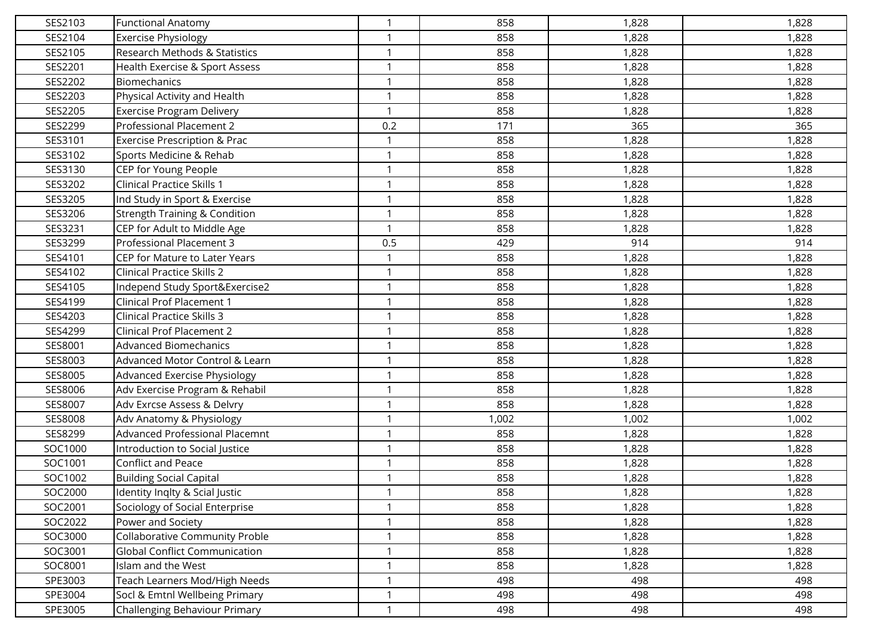| SES2103 | <b>Functional Anatomy</b>                | $\mathbf{1}$ | 858   | 1,828 | 1,828 |
|---------|------------------------------------------|--------------|-------|-------|-------|
| SES2104 | <b>Exercise Physiology</b>               | $\mathbf 1$  | 858   | 1,828 | 1,828 |
| SES2105 | Research Methods & Statistics            | $\mathbf 1$  | 858   | 1,828 | 1,828 |
| SES2201 | Health Exercise & Sport Assess           | $\mathbf 1$  | 858   | 1,828 | 1,828 |
| SES2202 | <b>Biomechanics</b>                      | $\mathbf{1}$ | 858   | 1,828 | 1,828 |
| SES2203 | Physical Activity and Health             | $\mathbf{1}$ | 858   | 1,828 | 1,828 |
| SES2205 | <b>Exercise Program Delivery</b>         | $\mathbf 1$  | 858   | 1,828 | 1,828 |
| SES2299 | Professional Placement 2                 | 0.2          | 171   | 365   | 365   |
| SES3101 | <b>Exercise Prescription &amp; Prac</b>  | $\mathbf{1}$ | 858   | 1,828 | 1,828 |
| SES3102 | Sports Medicine & Rehab                  | $\mathbf{1}$ | 858   | 1,828 | 1,828 |
| SES3130 | CEP for Young People                     | $\mathbf 1$  | 858   | 1,828 | 1,828 |
| SES3202 | <b>Clinical Practice Skills 1</b>        | $\mathbf{1}$ | 858   | 1,828 | 1,828 |
| SES3205 | Ind Study in Sport & Exercise            | $\mathbf 1$  | 858   | 1,828 | 1,828 |
| SES3206 | <b>Strength Training &amp; Condition</b> | $\mathbf 1$  | 858   | 1,828 | 1,828 |
| SES3231 | CEP for Adult to Middle Age              | 1            | 858   | 1,828 | 1,828 |
| SES3299 | Professional Placement 3                 | 0.5          | 429   | 914   | 914   |
| SES4101 | CEP for Mature to Later Years            |              | 858   | 1,828 | 1,828 |
| SES4102 | <b>Clinical Practice Skills 2</b>        | $\mathbf 1$  | 858   | 1,828 | 1,828 |
| SES4105 | Independ Study Sport&Exercise2           | $\mathbf{1}$ | 858   | 1,828 | 1,828 |
| SES4199 | <b>Clinical Prof Placement 1</b>         | $\mathbf{1}$ | 858   | 1,828 | 1,828 |
| SES4203 | <b>Clinical Practice Skills 3</b>        | $\mathbf 1$  | 858   | 1,828 | 1,828 |
| SES4299 | <b>Clinical Prof Placement 2</b>         | $\mathbf{1}$ | 858   | 1,828 | 1,828 |
| SES8001 | <b>Advanced Biomechanics</b>             | $\mathbf 1$  | 858   | 1,828 | 1,828 |
| SES8003 | Advanced Motor Control & Learn           | $\mathbf 1$  | 858   | 1,828 | 1,828 |
| SES8005 | Advanced Exercise Physiology             | $\mathbf{1}$ | 858   | 1,828 | 1,828 |
| SES8006 | Adv Exercise Program & Rehabil           | $\mathbf 1$  | 858   | 1,828 | 1,828 |
| SES8007 | Adv Exrcse Assess & Delvry               | $\mathbf{1}$ | 858   | 1,828 | 1,828 |
| SES8008 | Adv Anatomy & Physiology                 | $\mathbf 1$  | 1,002 | 1,002 | 1,002 |
| SES8299 | <b>Advanced Professional Placemnt</b>    | $\mathbf 1$  | 858   | 1,828 | 1,828 |
| SOC1000 | Introduction to Social Justice           | $\mathbf{1}$ | 858   | 1,828 | 1,828 |
| SOC1001 | <b>Conflict and Peace</b>                | -1           | 858   | 1,828 | 1,828 |
| SOC1002 | <b>Building Social Capital</b>           | 1            | 858   | 1,828 | 1,828 |
| SOC2000 | Identity Inglty & Scial Justic           | $\mathbf{1}$ | 858   | 1,828 | 1,828 |
| SOC2001 | Sociology of Social Enterprise           | $\mathbf{1}$ | 858   | 1,828 | 1,828 |
| SOC2022 | Power and Society                        | 1            | 858   | 1,828 | 1,828 |
| SOC3000 | Collaborative Community Proble           | $\mathbf 1$  | 858   | 1,828 | 1,828 |
| SOC3001 | <b>Global Conflict Communication</b>     | $\mathbf{1}$ | 858   | 1,828 | 1,828 |
| SOC8001 | Islam and the West                       | $\mathbf 1$  | 858   | 1,828 | 1,828 |
| SPE3003 | Teach Learners Mod/High Needs            | $\mathbf{1}$ | 498   | 498   | 498   |
| SPE3004 | Socl & Emtnl Wellbeing Primary           | $\mathbf{1}$ | 498   | 498   | 498   |
| SPE3005 | Challenging Behaviour Primary            | $\mathbf{1}$ | 498   | 498   | 498   |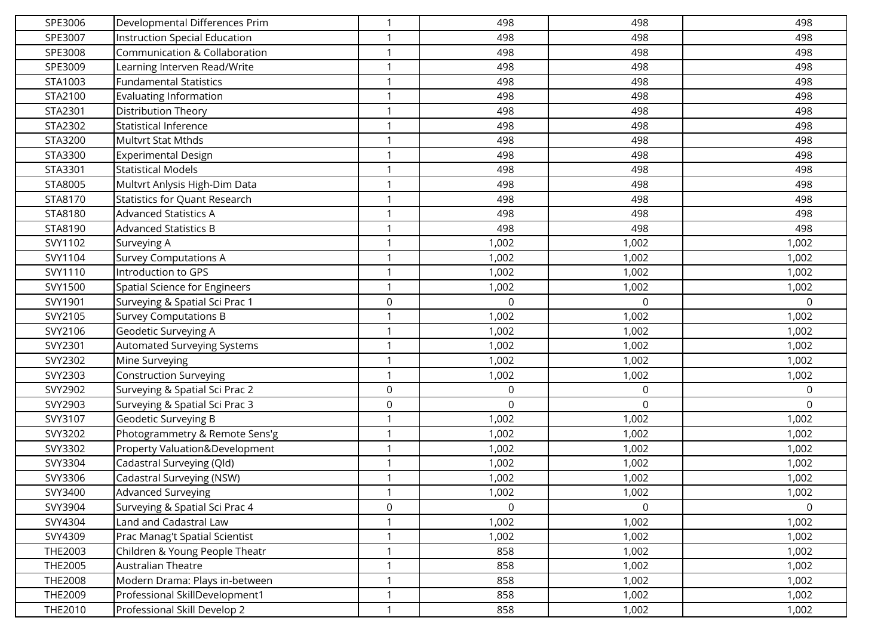| SPE3006        | Developmental Differences Prim       | $\mathbf{1}$ | 498   | 498         | 498      |
|----------------|--------------------------------------|--------------|-------|-------------|----------|
| SPE3007        | Instruction Special Education        | $\mathbf 1$  | 498   | 498         | 498      |
| SPE3008        | Communication & Collaboration        | $\mathbf 1$  | 498   | 498         | 498      |
| SPE3009        | Learning Interven Read/Write         | $\mathbf 1$  | 498   | 498         | 498      |
| STA1003        | <b>Fundamental Statistics</b>        | $\mathbf 1$  | 498   | 498         | 498      |
| STA2100        | Evaluating Information               | $\mathbf{1}$ | 498   | 498         | 498      |
| STA2301        | <b>Distribution Theory</b>           | $\mathbf{1}$ | 498   | 498         | 498      |
| STA2302        | <b>Statistical Inference</b>         |              | 498   | 498         | 498      |
| STA3200        | Multvrt Stat Mthds                   | $\mathbf{1}$ | 498   | 498         | 498      |
| STA3300        | <b>Experimental Design</b>           | $\mathbf 1$  | 498   | 498         | 498      |
| STA3301        | <b>Statistical Models</b>            | $\mathbf{1}$ | 498   | 498         | 498      |
| STA8005        | Multvrt Anlysis High-Dim Data        | $\mathbf{1}$ | 498   | 498         | 498      |
| STA8170        | <b>Statistics for Quant Research</b> | $\mathbf 1$  | 498   | 498         | 498      |
| STA8180        | <b>Advanced Statistics A</b>         | $\mathbf 1$  | 498   | 498         | 498      |
| STA8190        | <b>Advanced Statistics B</b>         |              | 498   | 498         | 498      |
| SVY1102        | Surveying A                          | $\mathbf{1}$ | 1,002 | 1,002       | 1,002    |
| SVY1104        | <b>Survey Computations A</b>         | $\mathbf{1}$ | 1,002 | 1,002       | 1,002    |
| SVY1110        | Introduction to GPS                  |              | 1,002 | 1,002       | 1,002    |
| SVY1500        | Spatial Science for Engineers        | $\mathbf{1}$ | 1,002 | 1,002       | 1,002    |
| SVY1901        | Surveying & Spatial Sci Prac 1       | $\mathbf 0$  | 0     | $\Omega$    | 0        |
| SVY2105        | <b>Survey Computations B</b>         | $\mathbf 1$  | 1,002 | 1,002       | 1,002    |
| SVY2106        | Geodetic Surveying A                 | $\mathbf 1$  | 1,002 | 1,002       | 1,002    |
| SVY2301        | Automated Surveying Systems          | $\mathbf 1$  | 1,002 | 1,002       | 1,002    |
| SVY2302        | Mine Surveying                       | $\mathbf 1$  | 1,002 | 1,002       | 1,002    |
| SVY2303        | <b>Construction Surveying</b>        | $\mathbf 1$  | 1,002 | 1,002       | 1,002    |
| SVY2902        | Surveying & Spatial Sci Prac 2       | $\mathbf 0$  | 0     | $\mathbf 0$ | 0        |
| SVY2903        | Surveying & Spatial Sci Prac 3       | $\mathbf 0$  | 0     | $\mathbf 0$ | $\Omega$ |
| SVY3107        | Geodetic Surveying B                 |              | 1,002 | 1,002       | 1,002    |
| SVY3202        | Photogrammetry & Remote Sens'g       | $\mathbf{1}$ | 1,002 | 1,002       | 1,002    |
| SVY3302        | Property Valuation&Development       | $\mathbf 1$  | 1,002 | 1,002       | 1,002    |
| SVY3304        | Cadastral Surveying (Qld)            | $\mathbf 1$  | 1,002 | 1,002       | 1,002    |
| SVY3306        | Cadastral Surveying (NSW)            |              | 1,002 | 1,002       | 1,002    |
| SVY3400        | Advanced Surveying                   | $\mathbf{1}$ | 1,002 | 1,002       | 1,002    |
| SVY3904        | Surveying & Spatial Sci Prac 4       | $\mathsf 0$  | 0     | $\Omega$    | 0        |
| SVY4304        | Land and Cadastral Law               |              | 1,002 | 1,002       | 1,002    |
| SVY4309        | Prac Manag't Spatial Scientist       | $\mathbf{1}$ | 1,002 | 1,002       | 1,002    |
| THE2003        | Children & Young People Theatr       | $\mathbf{1}$ | 858   | 1,002       | 1,002    |
| <b>THE2005</b> | Australian Theatre                   | $\mathbf 1$  | 858   | 1,002       | 1,002    |
| <b>THE2008</b> | Modern Drama: Plays in-between       | $\mathbf{1}$ | 858   | 1,002       | 1,002    |
| THE2009        | Professional SkillDevelopment1       | $\mathbf 1$  | 858   | 1,002       | 1,002    |
| THE2010        | Professional Skill Develop 2         | $\mathbf{1}$ | 858   | 1,002       | 1,002    |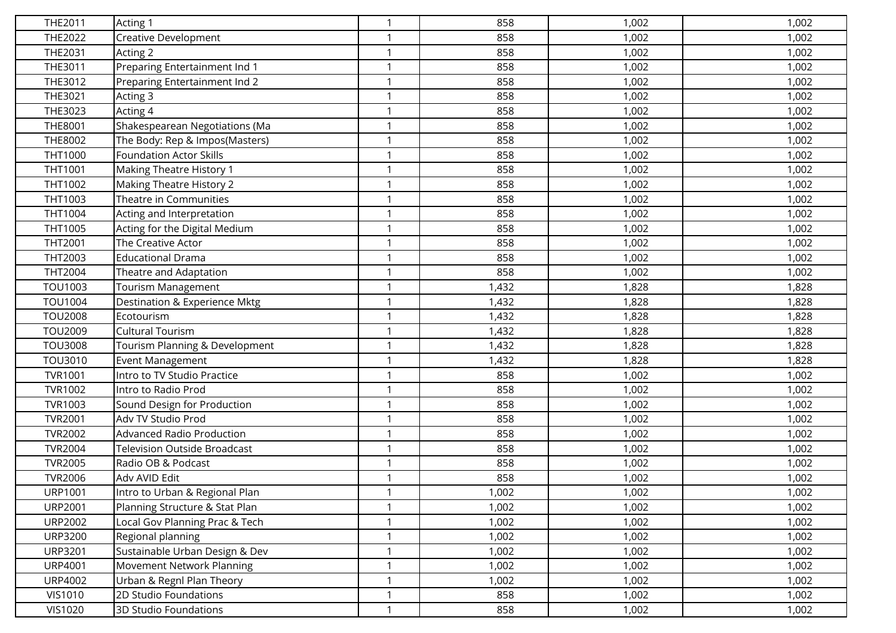| THE2011        | Acting 1                            |              | 858   | 1,002 | 1,002 |
|----------------|-------------------------------------|--------------|-------|-------|-------|
| THE2022        | <b>Creative Development</b>         | $\mathbf 1$  | 858   | 1,002 | 1,002 |
| THE2031        | Acting 2                            | $\mathbf 1$  | 858   | 1,002 | 1,002 |
| THE3011        | Preparing Entertainment Ind 1       | $\mathbf 1$  | 858   | 1,002 | 1,002 |
| THE3012        | Preparing Entertainment Ind 2       | $\mathbf 1$  | 858   | 1,002 | 1,002 |
| THE3021        | Acting 3                            |              | 858   | 1,002 | 1,002 |
| THE3023        | Acting 4                            | $\mathbf 1$  | 858   | 1,002 | 1,002 |
| <b>THE8001</b> | Shakespearean Negotiations (Ma      |              | 858   | 1,002 | 1,002 |
| THE8002        | The Body: Rep & Impos(Masters)      | $\mathbf{1}$ | 858   | 1,002 | 1,002 |
| THT1000        | <b>Foundation Actor Skills</b>      | $\mathbf{1}$ | 858   | 1,002 | 1,002 |
| THT1001        | Making Theatre History 1            | $\mathbf 1$  | 858   | 1,002 | 1,002 |
| THT1002        | <b>Making Theatre History 2</b>     | $\mathbf{1}$ | 858   | 1,002 | 1,002 |
| THT1003        | Theatre in Communities              | $\mathbf 1$  | 858   | 1,002 | 1,002 |
| THT1004        | Acting and Interpretation           | $\mathbf{1}$ | 858   | 1,002 | 1,002 |
| THT1005        | Acting for the Digital Medium       | $\mathbf{1}$ | 858   | 1,002 | 1,002 |
| THT2001        | The Creative Actor                  | $\mathbf 1$  | 858   | 1,002 | 1,002 |
| THT2003        | <b>Educational Drama</b>            | $\mathbf 1$  | 858   | 1,002 | 1,002 |
| THT2004        | Theatre and Adaptation              |              | 858   | 1,002 | 1,002 |
| TOU1003        | Tourism Management                  | $\mathbf{1}$ | 1,432 | 1,828 | 1,828 |
| TOU1004        | Destination & Experience Mktg       | $\mathbf{1}$ | 1,432 | 1,828 | 1,828 |
| <b>TOU2008</b> | Ecotourism                          | -1           | 1,432 | 1,828 | 1,828 |
| TOU2009        | <b>Cultural Tourism</b>             | $\mathbf{1}$ | 1,432 | 1,828 | 1,828 |
| <b>TOU3008</b> | Tourism Planning & Development      | $\mathbf 1$  | 1,432 | 1,828 | 1,828 |
| TOU3010        | Event Management                    | $\mathbf{1}$ | 1,432 | 1,828 | 1,828 |
| <b>TVR1001</b> | Intro to TV Studio Practice         | $\mathbf 1$  | 858   | 1,002 | 1,002 |
| <b>TVR1002</b> | Intro to Radio Prod                 | -1           | 858   | 1,002 | 1,002 |
| TVR1003        | Sound Design for Production         | $\mathbf{1}$ | 858   | 1,002 | 1,002 |
| <b>TVR2001</b> | Adv TV Studio Prod                  |              | 858   | 1,002 | 1,002 |
| <b>TVR2002</b> | Advanced Radio Production           | $\mathbf{1}$ | 858   | 1,002 | 1,002 |
| <b>TVR2004</b> | <b>Television Outside Broadcast</b> | $\mathbf 1$  | 858   | 1,002 | 1,002 |
| <b>TVR2005</b> | Radio OB & Podcast                  |              | 858   | 1,002 | 1,002 |
| <b>TVR2006</b> | Adv AVID Edit                       | $\mathbf 1$  | 858   | 1,002 | 1,002 |
| <b>URP1001</b> | Intro to Urban & Regional Plan      | $\mathbf{1}$ | 1,002 | 1,002 | 1,002 |
| <b>URP2001</b> | Planning Structure & Stat Plan      | $\mathbf{1}$ | 1,002 | 1,002 | 1,002 |
| <b>URP2002</b> | Local Gov Planning Prac & Tech      | $\mathbf 1$  | 1,002 | 1,002 | 1,002 |
| <b>URP3200</b> | Regional planning                   | $\mathbf 1$  | 1,002 | 1,002 | 1,002 |
| <b>URP3201</b> | Sustainable Urban Design & Dev      | $\mathbf 1$  | 1,002 | 1,002 | 1,002 |
| <b>URP4001</b> | Movement Network Planning           | $\mathbf 1$  | 1,002 | 1,002 | 1,002 |
| <b>URP4002</b> | Urban & Regnl Plan Theory           | $\mathbf{1}$ | 1,002 | 1,002 | 1,002 |
| <b>VIS1010</b> | 2D Studio Foundations               | $\mathbf{1}$ | 858   | 1,002 | 1,002 |
| <b>VIS1020</b> | <b>3D Studio Foundations</b>        | $\mathbf{1}$ | 858   | 1,002 | 1,002 |